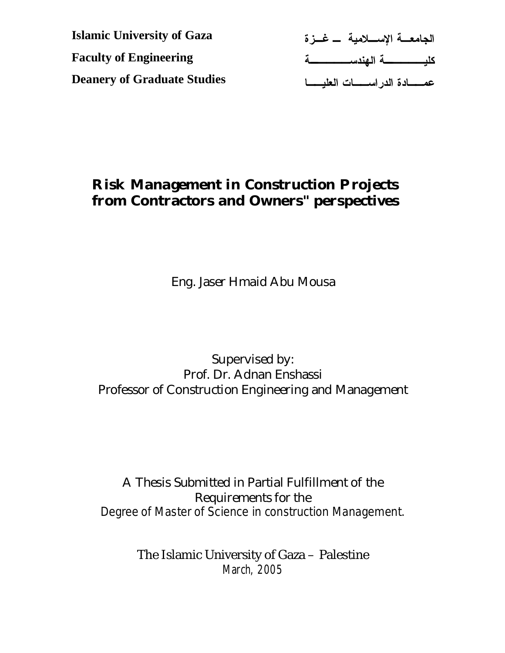**الجامعـة الإسـلامية ـ غـزة Islamic University of Gaza كليـــــة الهندســــــة Faculty of Engineering عمــادة الدراســات العليــا Deanery of Graduate Studies** 

# **Risk Management in Construction Projects from Contractors and Owners" perspectives**

Eng. Jaser Hmaid Abu Mousa

## Supervised by: Prof. Dr. Adnan Enshassi Professor of Construction Engineering and Management

# A Thesis Submitted in Partial Fulfillment of the Requirements for the

Degree of Master of Science in construction Management.

The Islamic University of Gaza – Palestine March, 2005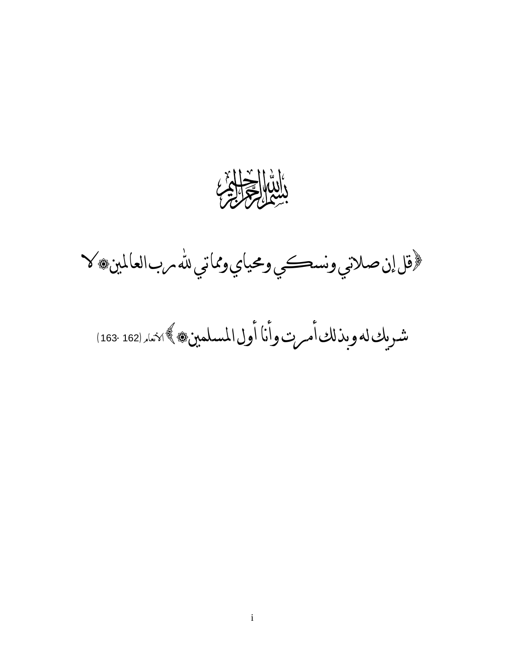

ثرقل إن صلاتي ونسكي ومحياي ومماتي لله مرب العالمين، لا

شريكلهوبذلكأمرتوأناأولالمسلمينالأنعام(163-162)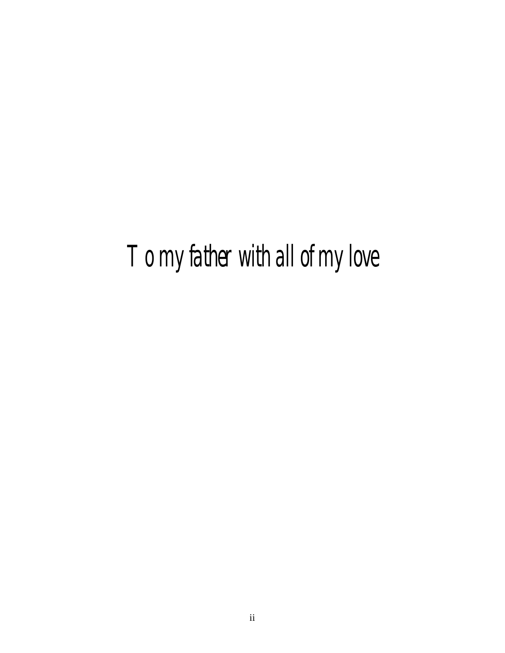*To my father with all of my love*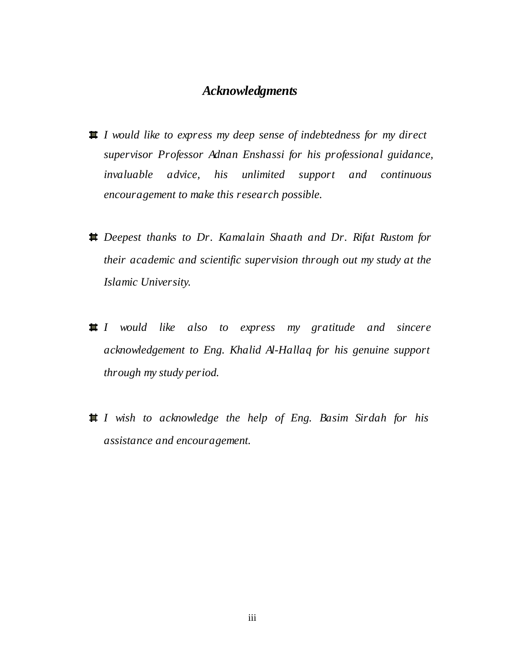### *Acknowledgments*

- *I would like to express my deep sense of indebtedness for my direct supervisor Professor Adnan Enshassi for his professional guidance, invaluable advice, his unlimited support and continuous encouragement to make this research possible.*
- *Deepest thanks to Dr. Kamalain Shaath and Dr. Rifat Rustom for their academic and scientific supervision through out my study at the Islamic University.*
- *I would like also to express my gratitude and sincere acknowledgement to Eng. Khalid Al-Hallaq for his genuine support through my study period.*
- *I wish to acknowledge the help of Eng. Basim Sirdah for his assistance and encouragement.*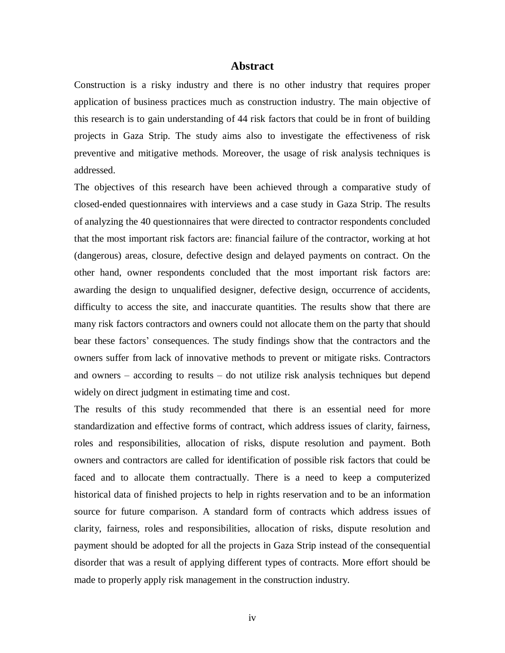#### **Abstract**

Construction is a risky industry and there is no other industry that requires proper application of business practices much as construction industry. The main objective of this research is to gain understanding of 44 risk factors that could be in front of building projects in Gaza Strip. The study aims also to investigate the effectiveness of risk preventive and mitigative methods. Moreover, the usage of risk analysis techniques is addressed.

The objectives of this research have been achieved through a comparative study of closed-ended questionnaires with interviews and a case study in Gaza Strip. The results of analyzing the 40 questionnaires that were directed to contractor respondents concluded that the most important risk factors are: financial failure of the contractor, working at hot (dangerous) areas, closure, defective design and delayed payments on contract. On the other hand, owner respondents concluded that the most important risk factors are: awarding the design to unqualified designer, defective design, occurrence of accidents, difficulty to access the site, and inaccurate quantities. The results show that there are many risk factors contractors and owners could not allocate them on the party that should bear these factors' consequences. The study findings show that the contractors and the owners suffer from lack of innovative methods to prevent or mitigate risks. Contractors and owners – according to results – do not utilize risk analysis techniques but depend widely on direct judgment in estimating time and cost.

The results of this study recommended that there is an essential need for more standardization and effective forms of contract, which address issues of clarity, fairness, roles and responsibilities, allocation of risks, dispute resolution and payment. Both owners and contractors are called for identification of possible risk factors that could be faced and to allocate them contractually. There is a need to keep a computerized historical data of finished projects to help in rights reservation and to be an information source for future comparison. A standard form of contracts which address issues of clarity, fairness, roles and responsibilities, allocation of risks, dispute resolution and payment should be adopted for all the projects in Gaza Strip instead of the consequential disorder that was a result of applying different types of contracts. More effort should be made to properly apply risk management in the construction industry.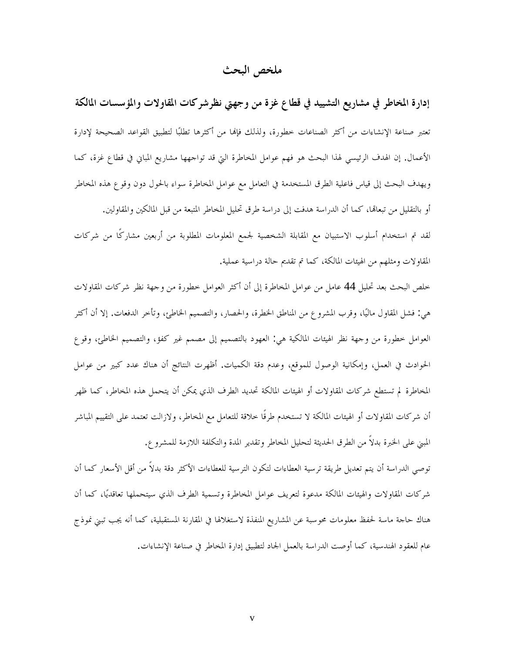### **ملخص البحث**

**إدارة المخاطر في مشاريع التشييد في قطاع غزة من وجهتي نظرشركات المقاولات والمؤسسات المالكة**  تعتبر صناعة الإنشاءات من أكثر الصناعات خطورة، ولذلك فإا من أكثرها تطلبا لتطبيق القواعد الصحيحة لإدارة الأعمال. إن الهدف الرئيسي لهذا البحث هو فهم عوامل المخاطرة التي قد تواجهها مشاريع المباني في قطاع غزة، كما ويهدف البحث إلى قياس فاعلية الطرق المستخدمة في التعامل مع عوامل المخاطرة سواء بالحول دون وقوع هذه المخاطر أو بالتقليل من تبعالها، كما أن الدراسة هدفت إلى دراسة طرق تحليل المخاطر المتبعة من قبل المالكين والمقاولين. لقد تم استخدام أسلوب الاستبيان مع المقابلة الشخصية لجمع المعلومات المطلوبة من أربعين مشاركًا من شركات المقاولات ومثلهم من الهيئات المالكة، كما تم تقديم حالة دراسية عملية.

خلص البحث بعد تحليل 44 عامل من عوامل المخاطرة إلى أن أكثر العوامل خطورة من وجهة نظر شركات المقاولات هي: فشل المقاول ماليا، وقرب المشروع من المناطق الخطرة، والحصار، والتصميم الخاطئ، وتأخر الدفعات. إلا أن أكثر العوامل خطورة من وجهة نظر الهيئات المالكية هي: العهود بالتصميم إلى مصمم غير كفؤ، والتصميم الخاطئ، وقوع الحوادث في العمل، وإمكانية الوصول للموقع، وعدم دقة الكميات. أظهرت النتائج أن هناك عدد كبير من عوامل المخاطرة لم تستطع شركات المقاولات أو الهيئات المالكة تحديد الطرف الذي يمكن أن يتحمل هذه المخاطر، كما ظهر أن شركات المقاولات أو الهيئات المالكة لا تستخدم طرقًا خلاقة للتعامل مع المخاطر، ولازالت تعتمد على التقييم المباشر المبني على الخبرة بدلاً من الطرق الحديثة لتحليل المخاطر وتقدير المدة والتكلفة اللازمة للمشروع.

توصي الدراسة أن يتم تعديل طريقة ترسية العطاءات لتكون الترسية للعطاءات الأكثر دقة بدلاً من أقل الأسعار كما أن شركات المقاولات والهيئات المالكة مدعوة لتعريف عوامل المخاطرة وتسمية الطرف الذي سيتحملها تعاقديا، كما أن هناك حاجة ماسة لحفظ معلومات محوسبة عن المشاريع المنفذة لاستغلالها في المقارنة المستقبلية، كما أنه يجب تبني نموذج عام للعقود الهندسية، كما أوصت الدراسة بالعمل الجاد لتطبيق إدارة المخاطر في صناعة الإنشاءات.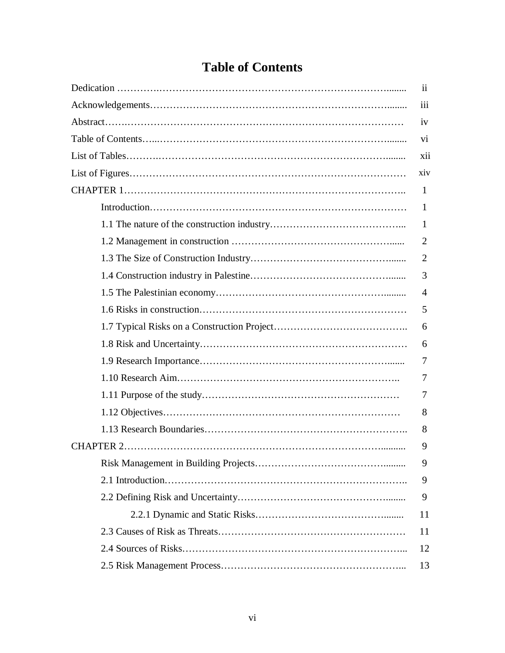# **Table of Contents**

| 11  |
|-----|
| iii |
| 1V  |
| V1  |
| xii |
| xiv |
| 1   |
| 1   |
| 1   |
| 2   |
| 2   |
| 3   |
| 4   |
| 5   |
| 6   |
| 6   |
| 7   |
| 7   |
| 7   |
| 8   |
| 8   |
| 9   |
| 9   |
| 9   |
| 9   |
| 11  |
| 11  |
| 12  |
| 13  |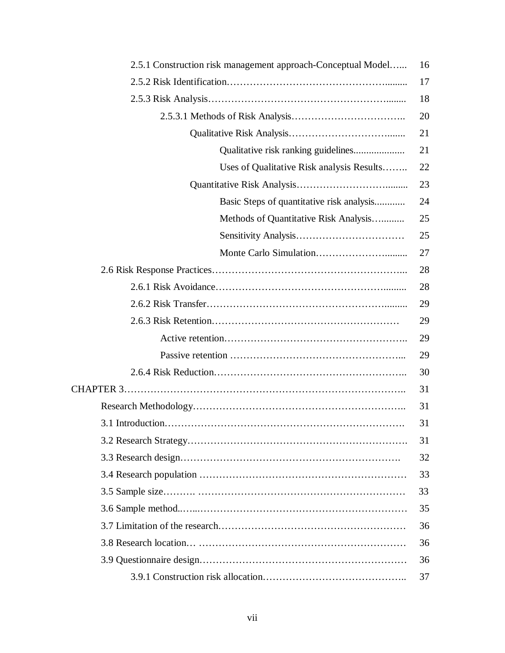| 2.5.1 Construction risk management approach-Conceptual Model | 16 |
|--------------------------------------------------------------|----|
|                                                              | 17 |
|                                                              | 18 |
|                                                              | 20 |
|                                                              | 21 |
| Qualitative risk ranking guidelines                          | 21 |
| Uses of Qualitative Risk analysis Results                    | 22 |
|                                                              | 23 |
| Basic Steps of quantitative risk analysis                    | 24 |
| Methods of Quantitative Risk Analysis                        | 25 |
|                                                              | 25 |
|                                                              | 27 |
|                                                              | 28 |
|                                                              | 28 |
|                                                              | 29 |
|                                                              | 29 |
|                                                              | 29 |
|                                                              | 29 |
|                                                              | 30 |
|                                                              | 31 |
|                                                              | 31 |
|                                                              | 31 |
|                                                              | 31 |
|                                                              | 32 |
|                                                              | 33 |
|                                                              | 33 |
|                                                              | 35 |
|                                                              | 36 |
|                                                              | 36 |
|                                                              | 36 |
|                                                              | 37 |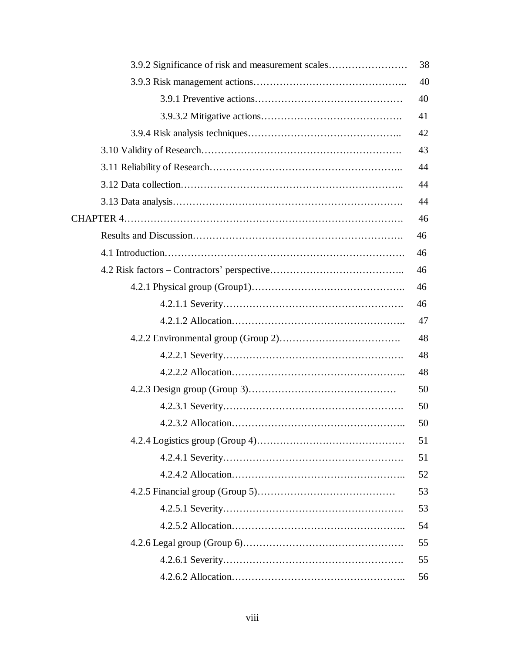| 3.9.2 Significance of risk and measurement scales | 38 |
|---------------------------------------------------|----|
|                                                   | 40 |
|                                                   | 40 |
|                                                   | 41 |
|                                                   | 42 |
|                                                   | 43 |
|                                                   | 44 |
|                                                   | 44 |
|                                                   | 44 |
|                                                   | 46 |
|                                                   | 46 |
|                                                   | 46 |
|                                                   | 46 |
|                                                   | 46 |
|                                                   | 46 |
|                                                   | 47 |
|                                                   | 48 |
|                                                   | 48 |
|                                                   | 48 |
|                                                   | 50 |
|                                                   | 50 |
|                                                   | 50 |
|                                                   | 51 |
|                                                   | 51 |
|                                                   | 52 |
|                                                   | 53 |
|                                                   | 53 |
|                                                   | 54 |
|                                                   | 55 |
|                                                   | 55 |
|                                                   | 56 |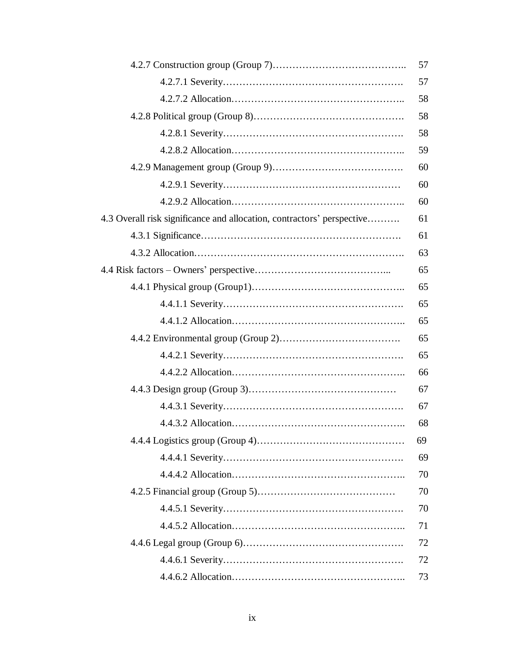|                                                                        | 57 |
|------------------------------------------------------------------------|----|
|                                                                        | 57 |
|                                                                        | 58 |
|                                                                        | 58 |
|                                                                        | 58 |
|                                                                        | 59 |
|                                                                        | 60 |
|                                                                        | 60 |
|                                                                        | 60 |
| 4.3 Overall risk significance and allocation, contractors' perspective | 61 |
|                                                                        | 61 |
|                                                                        | 63 |
|                                                                        | 65 |
|                                                                        | 65 |
|                                                                        | 65 |
|                                                                        | 65 |
|                                                                        | 65 |
|                                                                        | 65 |
|                                                                        | 66 |
|                                                                        | 67 |
|                                                                        | 67 |
|                                                                        | 68 |
|                                                                        | 69 |
|                                                                        | 69 |
|                                                                        | 70 |
|                                                                        | 70 |
|                                                                        | 70 |
|                                                                        | 71 |
|                                                                        | 72 |
|                                                                        | 72 |
|                                                                        | 73 |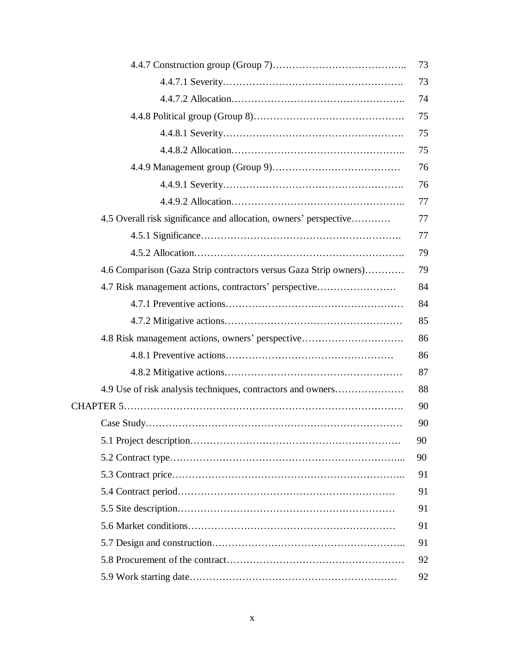|                                                                   | 73 |
|-------------------------------------------------------------------|----|
|                                                                   | 73 |
|                                                                   | 74 |
|                                                                   | 75 |
|                                                                   | 75 |
|                                                                   | 75 |
|                                                                   | 76 |
|                                                                   | 76 |
|                                                                   | 77 |
| 4.5 Overall risk significance and allocation, owners' perspective | 77 |
|                                                                   | 77 |
|                                                                   | 79 |
| 4.6 Comparison (Gaza Strip contractors versus Gaza Strip owners)  | 79 |
| 4.7 Risk management actions, contractors' perspective             | 84 |
|                                                                   | 84 |
|                                                                   | 85 |
| 4.8 Risk management actions, owners' perspective                  | 86 |
|                                                                   | 86 |
|                                                                   | 87 |
| 4.9 Use of risk analysis techniques, contractors and owners       | 88 |
|                                                                   | 90 |
|                                                                   | 90 |
|                                                                   | 90 |
|                                                                   | 90 |
|                                                                   | 91 |
|                                                                   | 91 |
|                                                                   | 91 |
|                                                                   | 91 |
|                                                                   | 91 |
|                                                                   | 92 |
|                                                                   | 92 |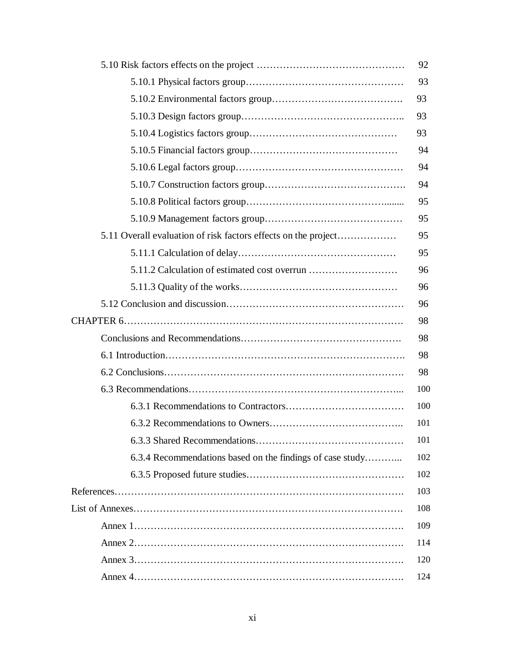|                                                                | 92  |
|----------------------------------------------------------------|-----|
|                                                                | 93  |
|                                                                | 93  |
|                                                                | 93  |
|                                                                | 93  |
|                                                                | 94  |
|                                                                | 94  |
|                                                                | 94  |
|                                                                | 95  |
|                                                                | 95  |
| 5.11 Overall evaluation of risk factors effects on the project | 95  |
|                                                                | 95  |
|                                                                | 96  |
|                                                                | 96  |
|                                                                | 96  |
|                                                                | 98  |
|                                                                | 98  |
|                                                                | 98  |
|                                                                | 98  |
|                                                                | 100 |
|                                                                | 100 |
|                                                                | 101 |
|                                                                | 101 |
| 6.3.4 Recommendations based on the findings of case study      | 102 |
|                                                                | 102 |
|                                                                | 103 |
|                                                                | 108 |
|                                                                | 109 |
|                                                                | 114 |
|                                                                | 120 |
|                                                                | 124 |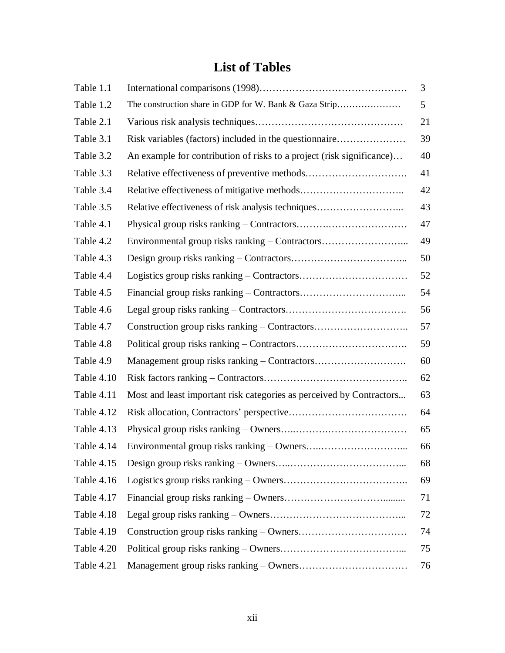# **List of Tables**

| Table 1.1  |                                                                       | 3  |
|------------|-----------------------------------------------------------------------|----|
| Table 1.2  | The construction share in GDP for W. Bank & Gaza Strip                | 5  |
| Table 2.1  |                                                                       | 21 |
| Table 3.1  | Risk variables (factors) included in the questionnaire                | 39 |
| Table 3.2  | An example for contribution of risks to a project (risk significance) | 40 |
| Table 3.3  |                                                                       | 41 |
| Table 3.4  |                                                                       | 42 |
| Table 3.5  | Relative effectiveness of risk analysis techniques                    | 43 |
| Table 4.1  |                                                                       | 47 |
| Table 4.2  | Environmental group risks ranking – Contractors                       | 49 |
| Table 4.3  |                                                                       | 50 |
| Table 4.4  |                                                                       | 52 |
| Table 4.5  |                                                                       | 54 |
| Table 4.6  |                                                                       | 56 |
| Table 4.7  | Construction group risks ranking – Contractors                        | 57 |
| Table 4.8  |                                                                       | 59 |
| Table 4.9  |                                                                       | 60 |
| Table 4.10 |                                                                       | 62 |
| Table 4.11 | Most and least important risk categories as perceived by Contractors  | 63 |
| Table 4.12 |                                                                       | 64 |
| Table 4.13 |                                                                       | 65 |
| Table 4.14 |                                                                       | 66 |
| Table 4.15 |                                                                       | 68 |
| Table 4.16 |                                                                       | 69 |
| Table 4.17 |                                                                       | 71 |
| Table 4.18 |                                                                       | 72 |
| Table 4.19 |                                                                       | 74 |
| Table 4.20 |                                                                       | 75 |
| Table 4.21 |                                                                       | 76 |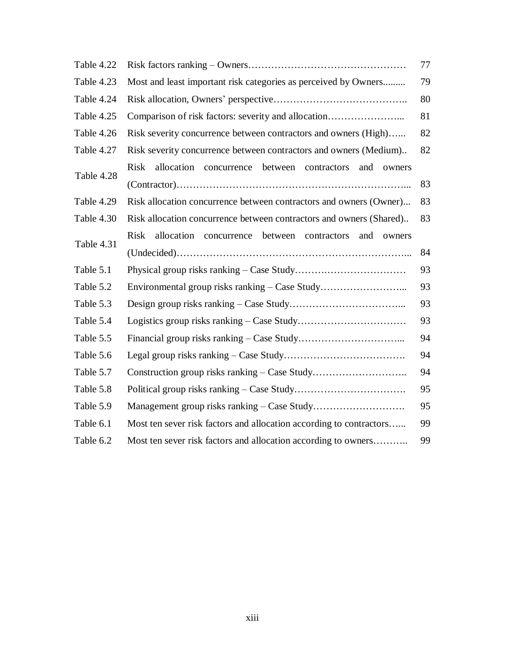| Table 4.22 | 77                                                                                  |    |  |  |  |
|------------|-------------------------------------------------------------------------------------|----|--|--|--|
| Table 4.23 | Most and least important risk categories as perceived by Owners<br>79               |    |  |  |  |
| Table 4.24 | 80                                                                                  |    |  |  |  |
| Table 4.25 | Comparison of risk factors: severity and allocation<br>81                           |    |  |  |  |
| Table 4.26 | Risk severity concurrence between contractors and owners (High)                     |    |  |  |  |
| Table 4.27 | Risk severity concurrence between contractors and owners (Medium)                   |    |  |  |  |
| Table 4.28 | <b>Risk</b><br>allocation concurrence between contractors<br>and<br>owners          |    |  |  |  |
|            |                                                                                     | 83 |  |  |  |
| Table 4.29 | Risk allocation concurrence between contractors and owners (Owner)                  | 83 |  |  |  |
| Table 4.30 | Risk allocation concurrence between contractors and owners (Shared)                 | 83 |  |  |  |
|            | <b>Risk</b><br>allocation<br>between<br>concurrence<br>contractors<br>and<br>owners |    |  |  |  |
| Table 4.31 |                                                                                     | 84 |  |  |  |
| Table 5.1  |                                                                                     | 93 |  |  |  |
| Table 5.2  | Environmental group risks ranking – Case Study                                      | 93 |  |  |  |
| Table 5.3  | 93                                                                                  |    |  |  |  |
| Table 5.4  | 93                                                                                  |    |  |  |  |
| Table 5.5  |                                                                                     | 94 |  |  |  |
| Table 5.6  |                                                                                     | 94 |  |  |  |
| Table 5.7  |                                                                                     | 94 |  |  |  |
| Table 5.8  | 95                                                                                  |    |  |  |  |
| Table 5.9  | 95                                                                                  |    |  |  |  |
| Table 6.1  | Most ten sever risk factors and allocation according to contractors<br>99           |    |  |  |  |
| Table 6.2  | Most ten sever risk factors and allocation according to owners<br>99                |    |  |  |  |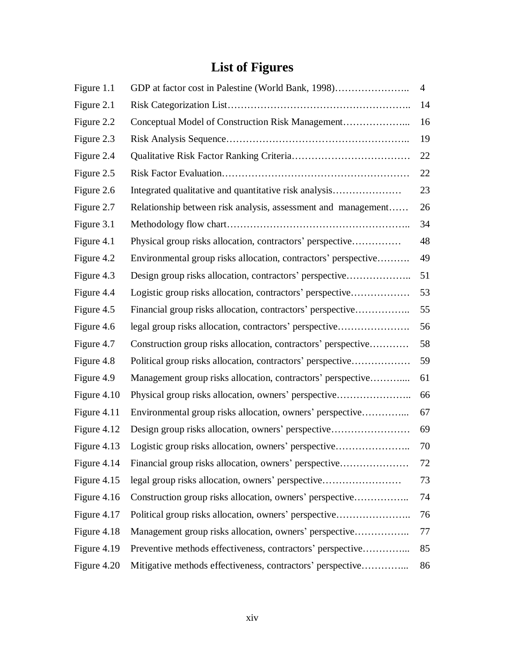# **List of Figures**

| Figure 1.1  | GDP at factor cost in Palestine (World Bank, 1998)             | 4  |  |
|-------------|----------------------------------------------------------------|----|--|
| Figure 2.1  |                                                                | 14 |  |
| Figure 2.2  | Conceptual Model of Construction Risk Management               | 16 |  |
| Figure 2.3  |                                                                |    |  |
| Figure 2.4  |                                                                | 22 |  |
| Figure 2.5  |                                                                | 22 |  |
| Figure 2.6  | Integrated qualitative and quantitative risk analysis          | 23 |  |
| Figure 2.7  | Relationship between risk analysis, assessment and management  | 26 |  |
| Figure 3.1  |                                                                | 34 |  |
| Figure 4.1  | Physical group risks allocation, contractors' perspective      | 48 |  |
| Figure 4.2  | Environmental group risks allocation, contractors' perspective | 49 |  |
| Figure 4.3  | Design group risks allocation, contractors' perspective        | 51 |  |
| Figure 4.4  | Logistic group risks allocation, contractors' perspective      | 53 |  |
| Figure 4.5  | Financial group risks allocation, contractors' perspective     | 55 |  |
| Figure 4.6  | legal group risks allocation, contractors' perspective         | 56 |  |
| Figure 4.7  | Construction group risks allocation, contractors' perspective  | 58 |  |
| Figure 4.8  | Political group risks allocation, contractors' perspective     | 59 |  |
| Figure 4.9  | Management group risks allocation, contractors' perspective    | 61 |  |
| Figure 4.10 | Physical group risks allocation, owners' perspective           | 66 |  |
| Figure 4.11 | Environmental group risks allocation, owners' perspective      | 67 |  |
| Figure 4.12 | Design group risks allocation, owners' perspective             | 69 |  |
| Figure 4.13 | Logistic group risks allocation, owners' perspective           | 70 |  |
| Figure 4.14 | Financial group risks allocation, owners' perspective          | 72 |  |
| Figure 4.15 | legal group risks allocation, owners' perspective              | 73 |  |
| Figure 4.16 | Construction group risks allocation, owners' perspective       | 74 |  |
| Figure 4.17 | Political group risks allocation, owners' perspective          | 76 |  |
| Figure 4.18 | Management group risks allocation, owners' perspective         | 77 |  |
| Figure 4.19 | Preventive methods effectiveness, contractors' perspective     | 85 |  |
| Figure 4.20 | Mitigative methods effectiveness, contractors' perspective     | 86 |  |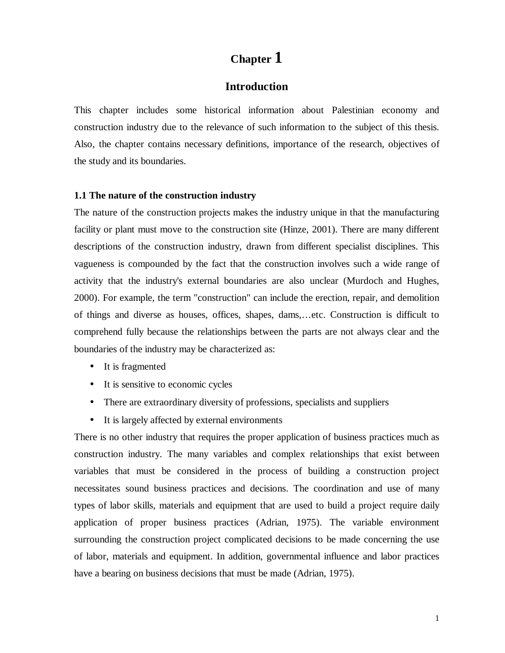## **Chapter 1**

#### **Introduction**

This chapter includes some historical information about Palestinian economy and construction industry due to the relevance of such information to the subject of this thesis. Also, the chapter contains necessary definitions, importance of the research, objectives of the study and its boundaries.

#### **1.1 The nature of the construction industry**

The nature of the construction projects makes the industry unique in that the manufacturing facility or plant must move to the construction site (Hinze, 2001). There are many different descriptions of the construction industry, drawn from different specialist disciplines. This vagueness is compounded by the fact that the construction involves such a wide range of activity that the industry's external boundaries are also unclear (Murdoch and Hughes, 2000). For example, the term "construction" can include the erection, repair, and demolition of things and diverse as houses, offices, shapes, dams,…etc. Construction is difficult to comprehend fully because the relationships between the parts are not always clear and the boundaries of the industry may be characterized as:

- It is fragmented
- It is sensitive to economic cycles
- There are extraordinary diversity of professions, specialists and suppliers
- It is largely affected by external environments

There is no other industry that requires the proper application of business practices much as construction industry. The many variables and complex relationships that exist between variables that must be considered in the process of building a construction project necessitates sound business practices and decisions. The coordination and use of many types of labor skills, materials and equipment that are used to build a project require daily application of proper business practices (Adrian, 1975). The variable environment surrounding the construction project complicated decisions to be made concerning the use of labor, materials and equipment. In addition, governmental influence and labor practices have a bearing on business decisions that must be made (Adrian, 1975).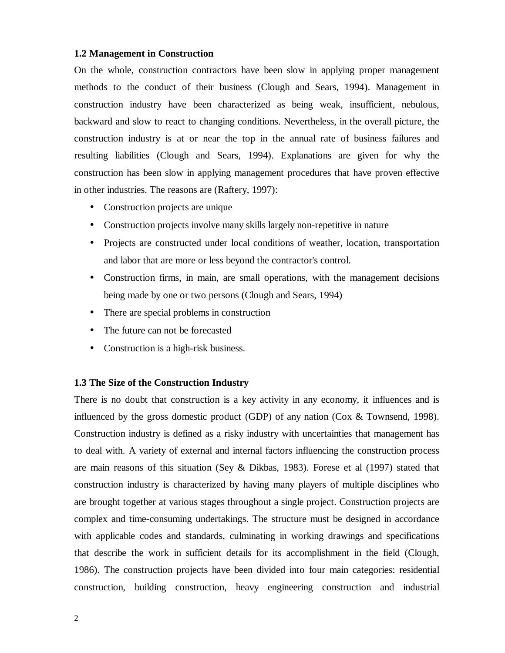#### **1.2 Management in Construction**

On the whole, construction contractors have been slow in applying proper management methods to the conduct of their business (Clough and Sears, 1994). Management in construction industry have been characterized as being weak, insufficient, nebulous, backward and slow to react to changing conditions. Nevertheless, in the overall picture, the construction industry is at or near the top in the annual rate of business failures and resulting liabilities (Clough and Sears, 1994). Explanations are given for why the construction has been slow in applying management procedures that have proven effective in other industries. The reasons are (Raftery, 1997):

- Construction projects are unique
- Construction projects involve many skills largely non-repetitive in nature
- Projects are constructed under local conditions of weather, location, transportation and labor that are more or less beyond the contractor's control.
- Construction firms, in main, are small operations, with the management decisions being made by one or two persons (Clough and Sears, 1994)
- There are special problems in construction
- The future can not be forecasted
- Construction is a high-risk business.

#### **1.3 The Size of the Construction Industry**

There is no doubt that construction is a key activity in any economy, it influences and is influenced by the gross domestic product (GDP) of any nation (Cox & Townsend, 1998). Construction industry is defined as a risky industry with uncertainties that management has to deal with. A variety of external and internal factors influencing the construction process are main reasons of this situation (Sey & Dikbas, 1983). Forese et al (1997) stated that construction industry is characterized by having many players of multiple disciplines who are brought together at various stages throughout a single project. Construction projects are complex and time-consuming undertakings. The structure must be designed in accordance with applicable codes and standards, culminating in working drawings and specifications that describe the work in sufficient details for its accomplishment in the field (Clough, 1986). The construction projects have been divided into four main categories: residential construction, building construction, heavy engineering construction and industrial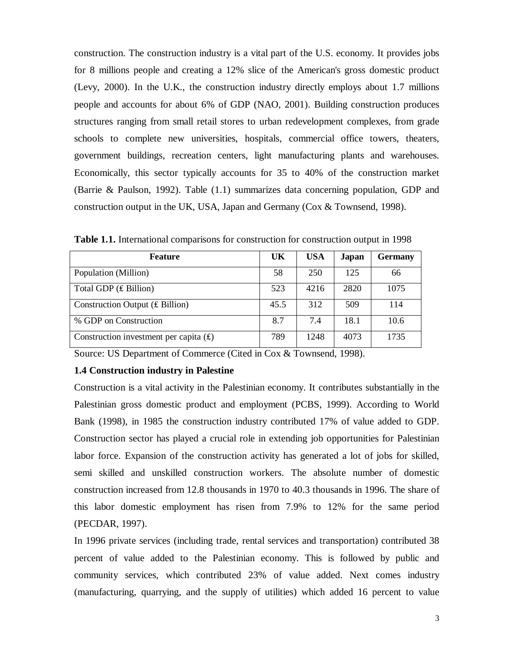construction. The construction industry is a vital part of the U.S. economy. It provides jobs for 8 millions people and creating a 12% slice of the American's gross domestic product (Levy, 2000). In the U.K., the construction industry directly employs about 1.7 millions people and accounts for about 6% of GDP (NAO, 2001). Building construction produces structures ranging from small retail stores to urban redevelopment complexes, from grade schools to complete new universities, hospitals, commercial office towers, theaters, government buildings, recreation centers, light manufacturing plants and warehouses. Economically, this sector typically accounts for 35 to 40% of the construction market (Barrie & Paulson, 1992). Table (1.1) summarizes data concerning population, GDP and construction output in the UK, USA, Japan and Germany (Cox & Townsend, 1998).

| <b>Feature</b>                            | UK   | <b>USA</b> | Japan | <b>Germany</b> |
|-------------------------------------------|------|------------|-------|----------------|
| Population (Million)                      | 58   | 250        | 125   | 66             |
| Total GDP $(E$ Billion)                   | 523  | 4216       | 2820  | 1075           |
| Construction Output $(E \text{ Billion})$ | 45.5 | 312        | 509   | 114            |
| % GDP on Construction                     | 8.7  | 7.4        | 18.1  | 10.6           |
| Construction investment per capita $(E)$  | 789  | 1248       | 4073  | 1735           |

**Table 1.1.** International comparisons for construction for construction output in 1998

Source: US Department of Commerce (Cited in Cox & Townsend, 1998).

#### **1.4 Construction industry in Palestine**

Construction is a vital activity in the Palestinian economy. It contributes substantially in the Palestinian gross domestic product and employment (PCBS, 1999). According to World Bank (1998), in 1985 the construction industry contributed 17% of value added to GDP. Construction sector has played a crucial role in extending job opportunities for Palestinian labor force. Expansion of the construction activity has generated a lot of jobs for skilled, semi skilled and unskilled construction workers. The absolute number of domestic construction increased from 12.8 thousands in 1970 to 40.3 thousands in 1996. The share of this labor domestic employment has risen from 7.9% to 12% for the same period (PECDAR, 1997).

In 1996 private services (including trade, rental services and transportation) contributed 38 percent of value added to the Palestinian economy. This is followed by public and community services, which contributed 23% of value added. Next comes industry (manufacturing, quarrying, and the supply of utilities) which added 16 percent to value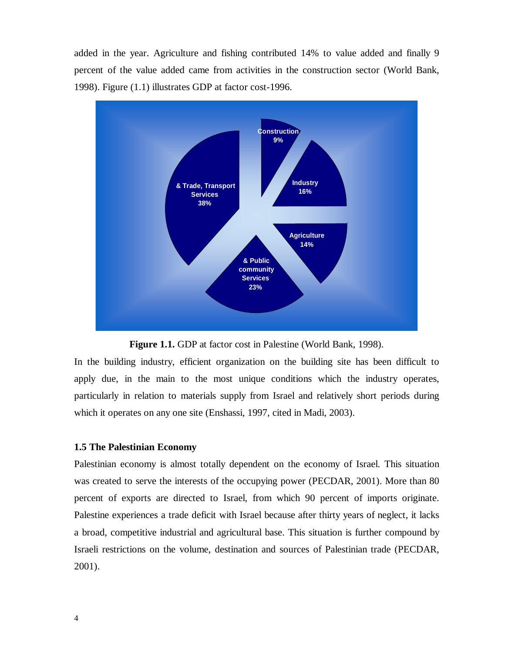added in the year. Agriculture and fishing contributed 14% to value added and finally 9 percent of the value added came from activities in the construction sector (World Bank, 1998). Figure (1.1) illustrates GDP at factor cost-1996.



**Figure 1.1.** GDP at factor cost in Palestine (World Bank, 1998).

In the building industry, efficient organization on the building site has been difficult to apply due, in the main to the most unique conditions which the industry operates, particularly in relation to materials supply from Israel and relatively short periods during which it operates on any one site (Enshassi, 1997, cited in Madi, 2003).

#### **1.5 The Palestinian Economy**

Palestinian economy is almost totally dependent on the economy of Israel. This situation was created to serve the interests of the occupying power (PECDAR, 2001). More than 80 percent of exports are directed to Israel, from which 90 percent of imports originate. Palestine experiences a trade deficit with Israel because after thirty years of neglect, it lacks a broad, competitive industrial and agricultural base. This situation is further compound by Israeli restrictions on the volume, destination and sources of Palestinian trade (PECDAR, 2001).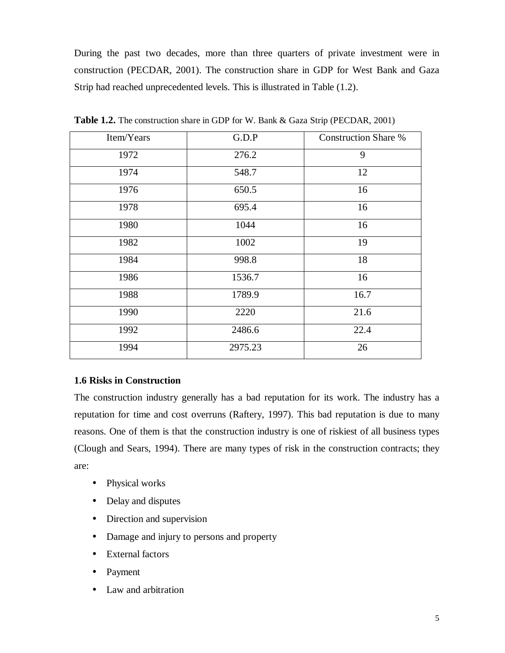During the past two decades, more than three quarters of private investment were in construction (PECDAR, 2001). The construction share in GDP for West Bank and Gaza Strip had reached unprecedented levels. This is illustrated in Table (1.2).

| Item/Years | G.D.P   | <b>Construction Share %</b> |
|------------|---------|-----------------------------|
| 1972       | 276.2   | 9                           |
| 1974       | 548.7   | 12                          |
| 1976       | 650.5   | 16                          |
| 1978       | 695.4   | 16                          |
| 1980       | 1044    | 16                          |
| 1982       | 1002    | 19                          |
| 1984       | 998.8   | 18                          |
| 1986       | 1536.7  | 16                          |
| 1988       | 1789.9  | 16.7                        |
| 1990       | 2220    | 21.6                        |
| 1992       | 2486.6  | 22.4                        |
| 1994       | 2975.23 | 26                          |

**Table 1.2.** The construction share in GDP for W. Bank & Gaza Strip (PECDAR, 2001)

#### **1.6 Risks in Construction**

The construction industry generally has a bad reputation for its work. The industry has a reputation for time and cost overruns (Raftery, 1997). This bad reputation is due to many reasons. One of them is that the construction industry is one of riskiest of all business types (Clough and Sears, 1994). There are many types of risk in the construction contracts; they are:

- Physical works
- Delay and disputes
- Direction and supervision
- Damage and injury to persons and property
- External factors
- Payment
- Law and arbitration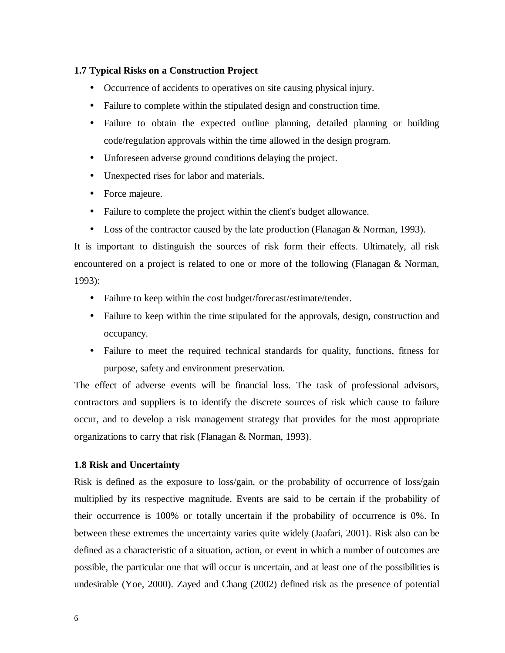#### **1.7 Typical Risks on a Construction Project**

- Occurrence of accidents to operatives on site causing physical injury.
- Failure to complete within the stipulated design and construction time.
- Failure to obtain the expected outline planning, detailed planning or building code/regulation approvals within the time allowed in the design program.
- Unforeseen adverse ground conditions delaying the project.
- Unexpected rises for labor and materials.
- Force majeure.
- Failure to complete the project within the client's budget allowance.
- Loss of the contractor caused by the late production (Flanagan & Norman, 1993).

It is important to distinguish the sources of risk form their effects. Ultimately, all risk encountered on a project is related to one or more of the following (Flanagan & Norman, 1993):

- Failure to keep within the cost budget/forecast/estimate/tender.
- Failure to keep within the time stipulated for the approvals, design, construction and occupancy.
- Failure to meet the required technical standards for quality, functions, fitness for purpose, safety and environment preservation.

The effect of adverse events will be financial loss. The task of professional advisors, contractors and suppliers is to identify the discrete sources of risk which cause to failure occur, and to develop a risk management strategy that provides for the most appropriate organizations to carry that risk (Flanagan & Norman, 1993).

#### **1.8 Risk and Uncertainty**

Risk is defined as the exposure to loss/gain, or the probability of occurrence of loss/gain multiplied by its respective magnitude. Events are said to be certain if the probability of their occurrence is 100% or totally uncertain if the probability of occurrence is 0%. In between these extremes the uncertainty varies quite widely (Jaafari, 2001). Risk also can be defined as a characteristic of a situation, action, or event in which a number of outcomes are possible, the particular one that will occur is uncertain, and at least one of the possibilities is undesirable (Yoe, 2000). Zayed and Chang (2002) defined risk as the presence of potential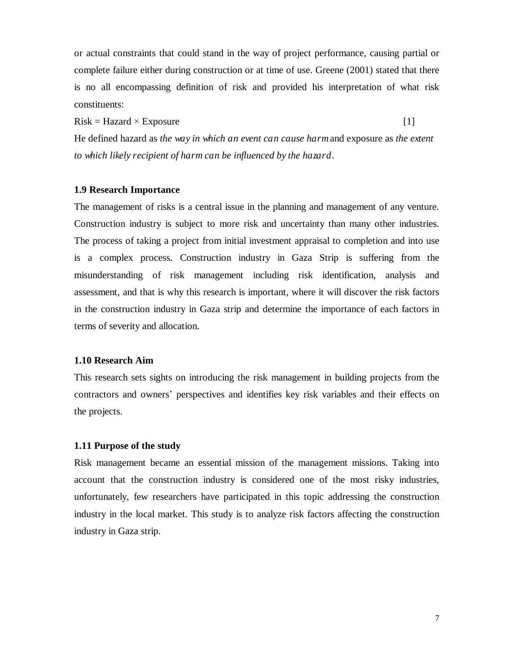or actual constraints that could stand in the way of project performance, causing partial or complete failure either during construction or at time of use. Greene (2001) stated that there is no all encompassing definition of risk and provided his interpretation of what risk constituents:

 $Risk = Hazard \times Exposure$  [1]

He defined hazard as *the way in which an event can cause harm*and exposure as *the extent to which likely recipient of harm can be influenced by the hazard*.

#### **1.9 Research Importance**

The management of risks is a central issue in the planning and management of any venture. Construction industry is subject to more risk and uncertainty than many other industries. The process of taking a project from initial investment appraisal to completion and into use is a complex process. Construction industry in Gaza Strip is suffering from the misunderstanding of risk management including risk identification, analysis and assessment, and that is why this research is important, where it will discover the risk factors in the construction industry in Gaza strip and determine the importance of each factors in terms of severity and allocation.

#### **1.10 Research Aim**

This research sets sights on introducing the risk management in building projects from the contractors and owners' perspectives and identifies key risk variables and their effects on the projects.

#### **1.11 Purpose of the study**

Risk management became an essential mission of the management missions. Taking into account that the construction industry is considered one of the most risky industries, unfortunately, few researchers have participated in this topic addressing the construction industry in the local market. This study is to analyze risk factors affecting the construction industry in Gaza strip.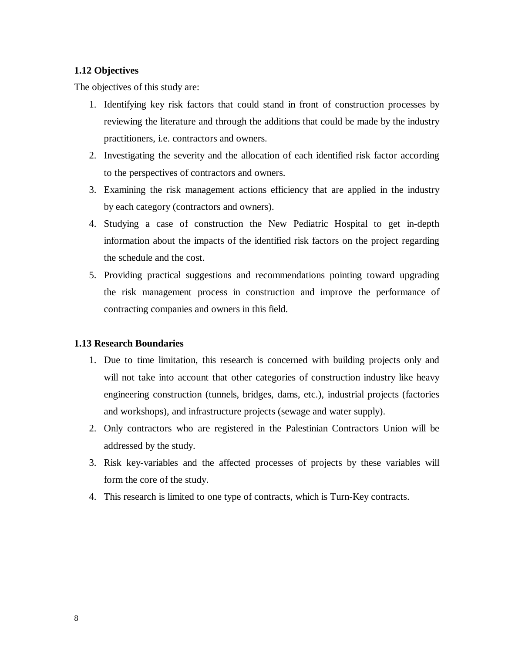#### **1.12 Objectives**

The objectives of this study are:

- 1. Identifying key risk factors that could stand in front of construction processes by reviewing the literature and through the additions that could be made by the industry practitioners, i.e. contractors and owners.
- 2. Investigating the severity and the allocation of each identified risk factor according to the perspectives of contractors and owners.
- 3. Examining the risk management actions efficiency that are applied in the industry by each category (contractors and owners).
- 4. Studying a case of construction the New Pediatric Hospital to get in-depth information about the impacts of the identified risk factors on the project regarding the schedule and the cost.
- 5. Providing practical suggestions and recommendations pointing toward upgrading the risk management process in construction and improve the performance of contracting companies and owners in this field.

#### **1.13 Research Boundaries**

- 1. Due to time limitation, this research is concerned with building projects only and will not take into account that other categories of construction industry like heavy engineering construction (tunnels, bridges, dams, etc.), industrial projects (factories and workshops), and infrastructure projects (sewage and water supply).
- 2. Only contractors who are registered in the Palestinian Contractors Union will be addressed by the study.
- 3. Risk key-variables and the affected processes of projects by these variables will form the core of the study.
- 4. This research is limited to one type of contracts, which is Turn-Key contracts.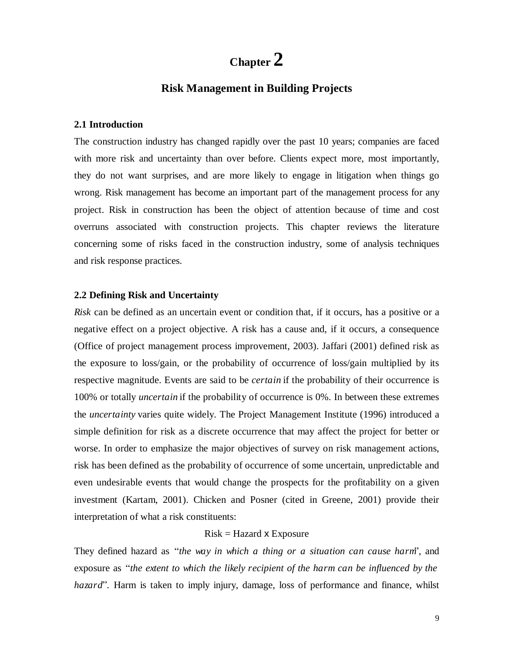## **Chapter 2**

### **Risk Management in Building Projects**

#### **2.1 Introduction**

The construction industry has changed rapidly over the past 10 years; companies are faced with more risk and uncertainty than over before. Clients expect more, most importantly, they do not want surprises, and are more likely to engage in litigation when things go wrong. Risk management has become an important part of the management process for any project. Risk in construction has been the object of attention because of time and cost overruns associated with construction projects. This chapter reviews the literature concerning some of risks faced in the construction industry, some of analysis techniques and risk response practices.

#### **2.2 Defining Risk and Uncertainty**

*Risk* can be defined as an uncertain event or condition that, if it occurs, has a positive or a negative effect on a project objective. A risk has a cause and, if it occurs, a consequence (Office of project management process improvement, 2003). Jaffari (2001) defined risk as the exposure to loss/gain, or the probability of occurrence of loss/gain multiplied by its respective magnitude. Events are said to be *certain* if the probability of their occurrence is 100% or totally *uncertain* if the probability of occurrence is 0%. In between these extremes the *uncertainty* varies quite widely. The Project Management Institute (1996) introduced a simple definition for risk as a discrete occurrence that may affect the project for better or worse. In order to emphasize the major objectives of survey on risk management actions, risk has been defined as the probability of occurrence of some uncertain, unpredictable and even undesirable events that would change the prospects for the profitability on a given investment (Kartam, 2001). Chicken and Posner (cited in Greene, 2001) provide their interpretation of what a risk constituents:

#### $Risk = Hazard \times Exposure$

They defined hazard as *" the way in which a thing or a situation can cause harm" ,* and exposure as *" the extent to which the likely recipient of the harm can be influenced by the hazard*<sup>"</sup>. Harm is taken to imply injury, damage, loss of performance and finance, whilst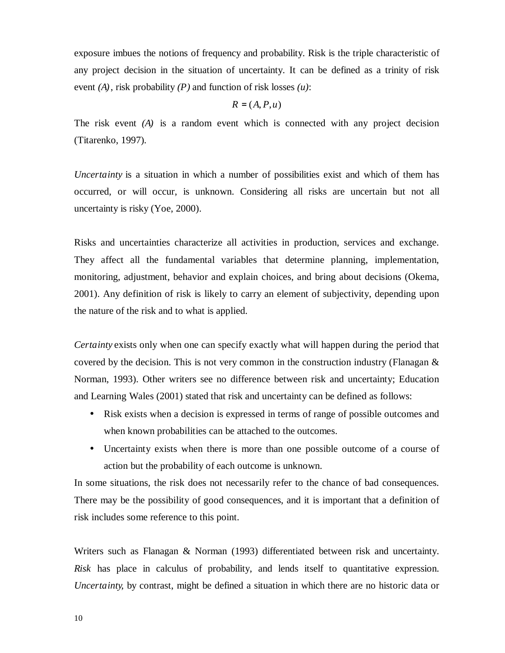exposure imbues the notions of frequency and probability. Risk is the triple characteristic of any project decision in the situation of uncertainty. It can be defined as a trinity of risk event *(A)*, risk probability *(P)* and function of risk losses *(u)*:

#### $R = (A, P, u)$

The risk event *(A)* is a random event which is connected with any project decision (Titarenko, 1997).

*Uncertainty* is a situation in which a number of possibilities exist and which of them has occurred, or will occur, is unknown. Considering all risks are uncertain but not all uncertainty is risky (Yoe, 2000).

Risks and uncertainties characterize all activities in production, services and exchange. They affect all the fundamental variables that determine planning, implementation, monitoring, adjustment, behavior and explain choices, and bring about decisions (Okema, 2001). Any definition of risk is likely to carry an element of subjectivity, depending upon the nature of the risk and to what is applied.

*Certainty* exists only when one can specify exactly what will happen during the period that covered by the decision. This is not very common in the construction industry (Flanagan & Norman, 1993). Other writers see no difference between risk and uncertainty; Education and Learning Wales (2001) stated that risk and uncertainty can be defined as follows:

- Risk exists when a decision is expressed in terms of range of possible outcomes and when known probabilities can be attached to the outcomes.
- Uncertainty exists when there is more than one possible outcome of a course of action but the probability of each outcome is unknown.

In some situations, the risk does not necessarily refer to the chance of bad consequences. There may be the possibility of good consequences, and it is important that a definition of risk includes some reference to this point.

Writers such as Flanagan & Norman (1993) differentiated between risk and uncertainty. *Risk* has place in calculus of probability, and lends itself to quantitative expression. *Uncertainty*, by contrast, might be defined a situation in which there are no historic data or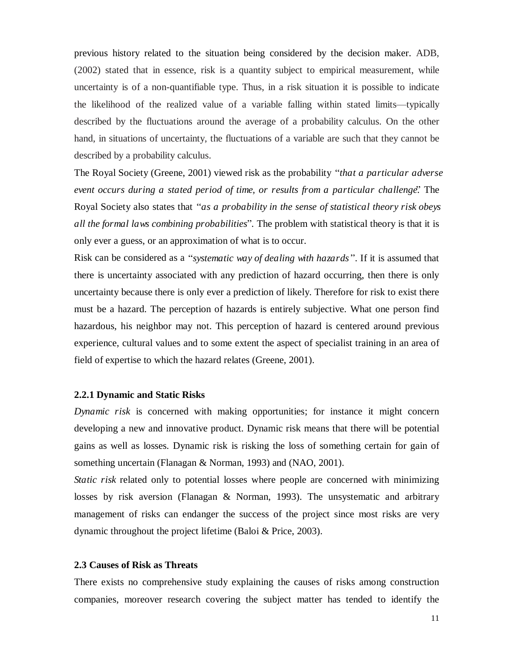previous history related to the situation being considered by the decision maker. ADB, (2002) stated that in essence, risk is a quantity subject to empirical measurement, while uncertainty is of a non-quantifiable type. Thus, in a risk situation it is possible to indicate the likelihood of the realized value of a variable falling within stated limits—typically described by the fluctuations around the average of a probability calculus. On the other hand, in situations of uncertainty, the fluctuations of a variable are such that they cannot be described by a probability calculus.

The Royal Society (Greene, 2001) viewed risk as the probability *" that a particular adverse event occurs during a stated period of time, or results from a particular challenge."* The Royal Society also states that *"as a probability in the sense of statistical theory risk obeys all the formal laws combining probabilities" .* The problem with statistical theory is that it is only ever a guess, or an approximation of what is to occur.

Risk can be considered as a *" systematic way of dealing with hazards"* . If it is assumed that there is uncertainty associated with any prediction of hazard occurring, then there is only uncertainty because there is only ever a prediction of likely. Therefore for risk to exist there must be a hazard. The perception of hazards is entirely subjective. What one person find hazardous, his neighbor may not. This perception of hazard is centered around previous experience, cultural values and to some extent the aspect of specialist training in an area of field of expertise to which the hazard relates (Greene, 2001).

#### **2.2.1 Dynamic and Static Risks**

*Dynamic risk* is concerned with making opportunities; for instance it might concern developing a new and innovative product. Dynamic risk means that there will be potential gains as well as losses. Dynamic risk is risking the loss of something certain for gain of something uncertain (Flanagan & Norman, 1993) and (NAO, 2001).

*Static risk* related only to potential losses where people are concerned with minimizing losses by risk aversion (Flanagan & Norman, 1993). The unsystematic and arbitrary management of risks can endanger the success of the project since most risks are very dynamic throughout the project lifetime (Baloi & Price, 2003).

#### **2.3 Causes of Risk as Threats**

There exists no comprehensive study explaining the causes of risks among construction companies, moreover research covering the subject matter has tended to identify the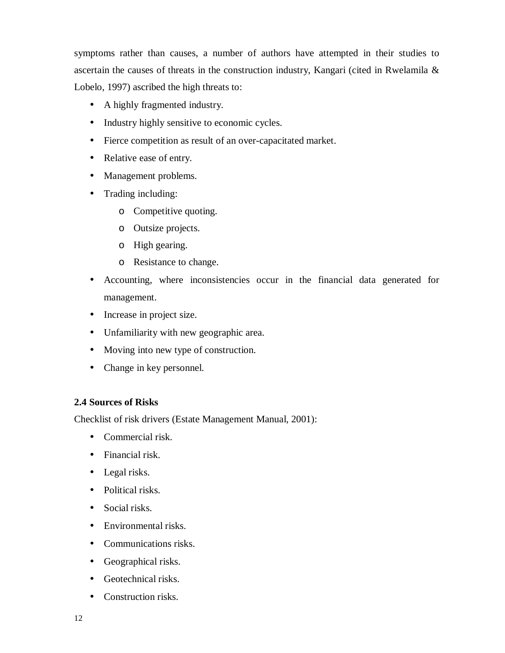symptoms rather than causes, a number of authors have attempted in their studies to ascertain the causes of threats in the construction industry, Kangari (cited in Rwelamila & Lobelo, 1997) ascribed the high threats to:

- A highly fragmented industry.
- Industry highly sensitive to economic cycles.
- Fierce competition as result of an over-capacitated market.
- Relative ease of entry.
- Management problems.
- Trading including:
	- o Competitive quoting.
	- o Outsize projects.
	- o High gearing.
	- o Resistance to change.
- Accounting, where inconsistencies occur in the financial data generated for management.
- Increase in project size.
- Unfamiliarity with new geographic area.
- Moving into new type of construction.
- Change in key personnel.

#### **2.4 Sources of Risks**

Checklist of risk drivers (Estate Management Manual, 2001):

- Commercial risk.
- Financial risk.
- Legal risks.
- Political risks.
- Social risks.
- Environmental risks.
- Communications risks.
- Geographical risks.
- Geotechnical risks.
- Construction risks.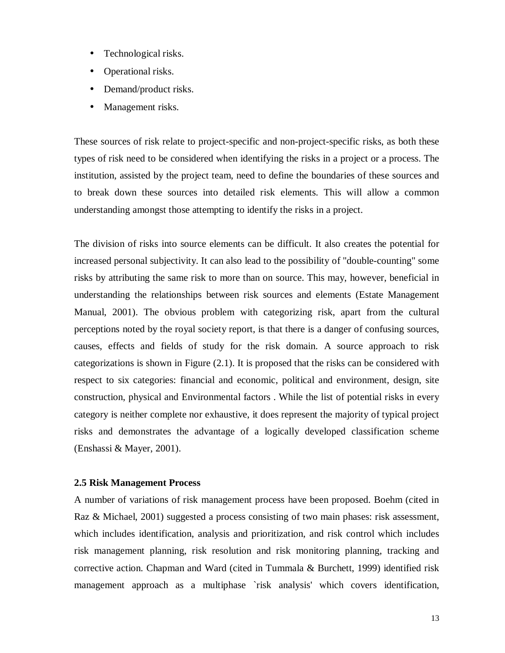- Technological risks.
- Operational risks.
- Demand/product risks.
- Management risks.

These sources of risk relate to project-specific and non-project-specific risks, as both these types of risk need to be considered when identifying the risks in a project or a process. The institution, assisted by the project team, need to define the boundaries of these sources and to break down these sources into detailed risk elements. This will allow a common understanding amongst those attempting to identify the risks in a project.

The division of risks into source elements can be difficult. It also creates the potential for increased personal subjectivity. It can also lead to the possibility of "double-counting" some risks by attributing the same risk to more than on source. This may, however, beneficial in understanding the relationships between risk sources and elements (Estate Management Manual, 2001). The obvious problem with categorizing risk, apart from the cultural perceptions noted by the royal society report, is that there is a danger of confusing sources, causes, effects and fields of study for the risk domain. A source approach to risk categorizations is shown in Figure (2.1). It is proposed that the risks can be considered with respect to six categories: financial and economic, political and environment, design, site construction, physical and Environmental factors . While the list of potential risks in every category is neither complete nor exhaustive, it does represent the majority of typical project risks and demonstrates the advantage of a logically developed classification scheme (Enshassi & Mayer, 2001).

#### **2.5 Risk Management Process**

A number of variations of risk management process have been proposed. Boehm (cited in Raz & Michael, 2001) suggested a process consisting of two main phases: risk assessment, which includes identification, analysis and prioritization, and risk control which includes risk management planning, risk resolution and risk monitoring planning, tracking and corrective action. Chapman and Ward (cited in Tummala & Burchett, 1999) identified risk management approach as a multiphase `risk analysis' which covers identification,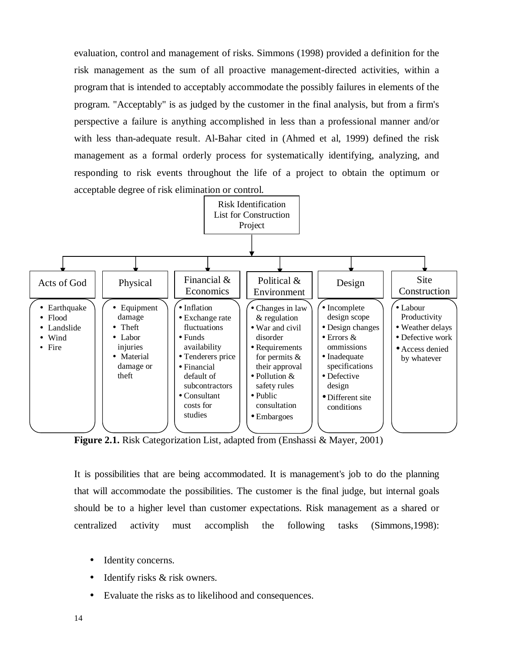evaluation, control and management of risks. Simmons (1998) provided a definition for the risk management as the sum of all proactive management-directed activities, within a program that is intended to acceptably accommodate the possibly failures in elements of the program. "Acceptably" is as judged by the customer in the final analysis, but from a firm's perspective a failure is anything accomplished in less than a professional manner and/or with less than-adequate result. Al-Bahar cited in (Ahmed et al, 1999) defined the risk management as a formal orderly process for systematically identifying, analyzing, and responding to risk events throughout the life of a project to obtain the optimum or acceptable degree of risk elimination or control.



**Figure 2.1.** Risk Categorization List, adapted from (Enshassi & Mayer, 2001)

It is possibilities that are being accommodated. It is management's job to do the planning that will accommodate the possibilities. The customer is the final judge, but internal goals should be to a higher level than customer expectations. Risk management as a shared or centralized activity must accomplish the following tasks (Simmons,1998):

- Identity concerns.
- Identify risks & risk owners.
- Evaluate the risks as to likelihood and consequences.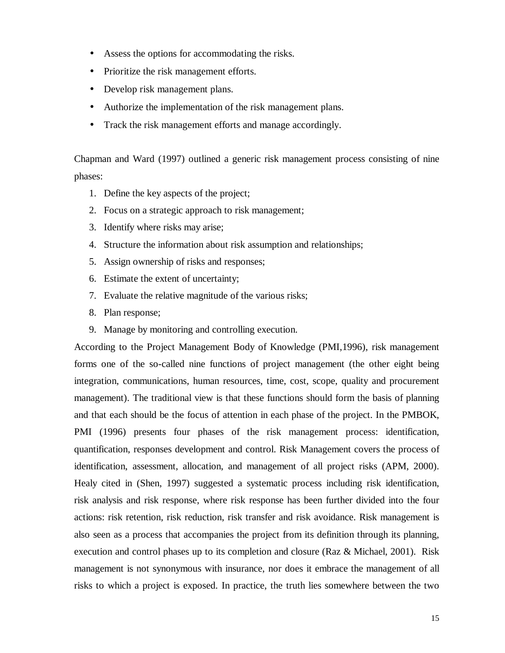- Assess the options for accommodating the risks.
- Prioritize the risk management efforts.
- Develop risk management plans.
- Authorize the implementation of the risk management plans.
- Track the risk management efforts and manage accordingly.

Chapman and Ward (1997) outlined a generic risk management process consisting of nine phases:

- 1. Define the key aspects of the project;
- 2. Focus on a strategic approach to risk management;
- 3. Identify where risks may arise;
- 4. Structure the information about risk assumption and relationships;
- 5. Assign ownership of risks and responses;
- 6. Estimate the extent of uncertainty;
- 7. Evaluate the relative magnitude of the various risks;
- 8. Plan response;
- 9. Manage by monitoring and controlling execution.

According to the Project Management Body of Knowledge (PMI,1996), risk management forms one of the so-called nine functions of project management (the other eight being integration, communications, human resources, time, cost, scope, quality and procurement management). The traditional view is that these functions should form the basis of planning and that each should be the focus of attention in each phase of the project. In the PMBOK, PMI (1996) presents four phases of the risk management process: identification, quantification, responses development and control. Risk Management covers the process of identification, assessment, allocation, and management of all project risks (APM, 2000). Healy cited in (Shen, 1997) suggested a systematic process including risk identification, risk analysis and risk response, where risk response has been further divided into the four actions: risk retention, risk reduction, risk transfer and risk avoidance. Risk management is also seen as a process that accompanies the project from its definition through its planning, execution and control phases up to its completion and closure (Raz & Michael, 2001). Risk management is not synonymous with insurance, nor does it embrace the management of all risks to which a project is exposed. In practice, the truth lies somewhere between the two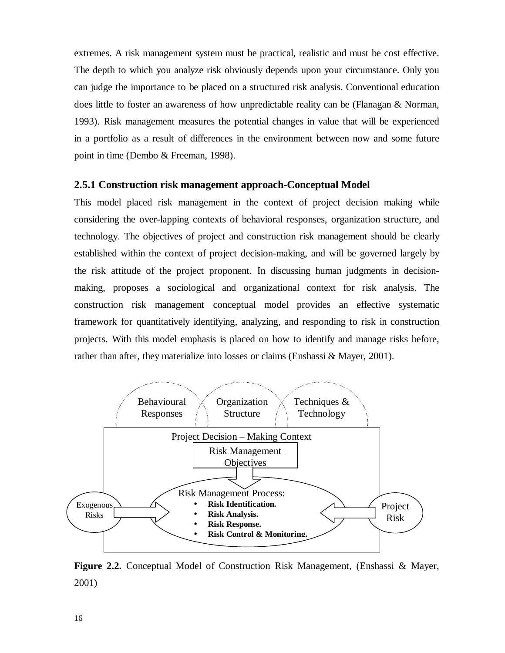extremes. A risk management system must be practical, realistic and must be cost effective. The depth to which you analyze risk obviously depends upon your circumstance. Only you can judge the importance to be placed on a structured risk analysis. Conventional education does little to foster an awareness of how unpredictable reality can be (Flanagan & Norman, 1993). Risk management measures the potential changes in value that will be experienced in a portfolio as a result of differences in the environment between now and some future point in time (Dembo & Freeman, 1998).

#### **2.5.1 Construction risk management approach-Conceptual Model**

This model placed risk management in the context of project decision making while considering the over-lapping contexts of behavioral responses, organization structure, and technology. The objectives of project and construction risk management should be clearly established within the context of project decision-making, and will be governed largely by the risk attitude of the project proponent. In discussing human judgments in decisionmaking, proposes a sociological and organizational context for risk analysis. The construction risk management conceptual model provides an effective systematic framework for quantitatively identifying, analyzing, and responding to risk in construction projects. With this model emphasis is placed on how to identify and manage risks before, rather than after, they materialize into losses or claims (Enshassi & Mayer, 2001).



**Figure 2.2.** Conceptual Model of Construction Risk Management, (Enshassi & Mayer, 2001)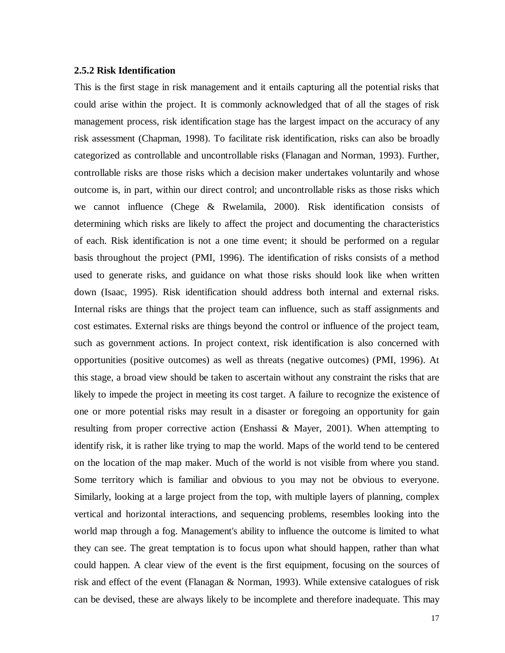#### **2.5.2 Risk Identification**

This is the first stage in risk management and it entails capturing all the potential risks that could arise within the project. It is commonly acknowledged that of all the stages of risk management process, risk identification stage has the largest impact on the accuracy of any risk assessment (Chapman, 1998). To facilitate risk identification, risks can also be broadly categorized as controllable and uncontrollable risks (Flanagan and Norman, 1993). Further, controllable risks are those risks which a decision maker undertakes voluntarily and whose outcome is, in part, within our direct control; and uncontrollable risks as those risks which we cannot influence (Chege & Rwelamila, 2000). Risk identification consists of determining which risks are likely to affect the project and documenting the characteristics of each. Risk identification is not a one time event; it should be performed on a regular basis throughout the project (PMI, 1996). The identification of risks consists of a method used to generate risks, and guidance on what those risks should look like when written down (Isaac, 1995). Risk identification should address both internal and external risks. Internal risks are things that the project team can influence, such as staff assignments and cost estimates. External risks are things beyond the control or influence of the project team, such as government actions. In project context, risk identification is also concerned with opportunities (positive outcomes) as well as threats (negative outcomes) (PMI, 1996). At this stage, a broad view should be taken to ascertain without any constraint the risks that are likely to impede the project in meeting its cost target. A failure to recognize the existence of one or more potential risks may result in a disaster or foregoing an opportunity for gain resulting from proper corrective action (Enshassi & Mayer, 2001). When attempting to identify risk, it is rather like trying to map the world. Maps of the world tend to be centered on the location of the map maker. Much of the world is not visible from where you stand. Some territory which is familiar and obvious to you may not be obvious to everyone. Similarly, looking at a large project from the top, with multiple layers of planning, complex vertical and horizontal interactions, and sequencing problems, resembles looking into the world map through a fog. Management's ability to influence the outcome is limited to what they can see. The great temptation is to focus upon what should happen, rather than what could happen. A clear view of the event is the first equipment, focusing on the sources of risk and effect of the event (Flanagan & Norman, 1993). While extensive catalogues of risk can be devised, these are always likely to be incomplete and therefore inadequate. This may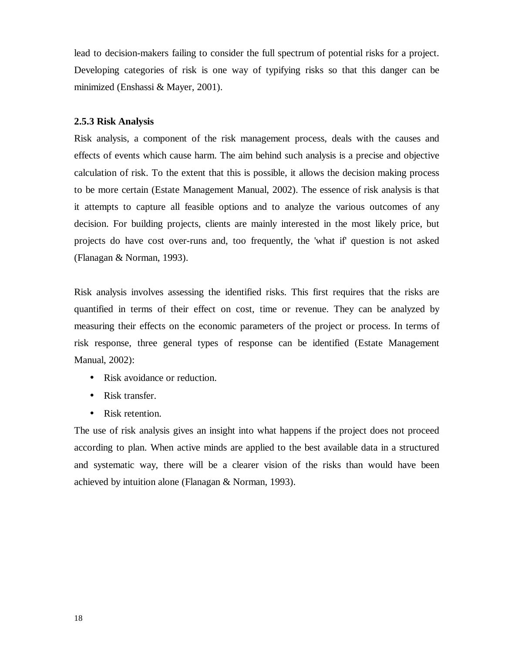lead to decision-makers failing to consider the full spectrum of potential risks for a project. Developing categories of risk is one way of typifying risks so that this danger can be minimized (Enshassi & Mayer, 2001).

#### **2.5.3 Risk Analysis**

Risk analysis, a component of the risk management process, deals with the causes and effects of events which cause harm. The aim behind such analysis is a precise and objective calculation of risk. To the extent that this is possible, it allows the decision making process to be more certain (Estate Management Manual, 2002). The essence of risk analysis is that it attempts to capture all feasible options and to analyze the various outcomes of any decision. For building projects, clients are mainly interested in the most likely price, but projects do have cost over-runs and, too frequently, the 'what if' question is not asked (Flanagan & Norman, 1993).

Risk analysis involves assessing the identified risks. This first requires that the risks are quantified in terms of their effect on cost, time or revenue. They can be analyzed by measuring their effects on the economic parameters of the project or process. In terms of risk response, three general types of response can be identified (Estate Management Manual, 2002):

- Risk avoidance or reduction.
- Risk transfer.
- Risk retention.

The use of risk analysis gives an insight into what happens if the project does not proceed according to plan. When active minds are applied to the best available data in a structured and systematic way, there will be a clearer vision of the risks than would have been achieved by intuition alone (Flanagan & Norman, 1993).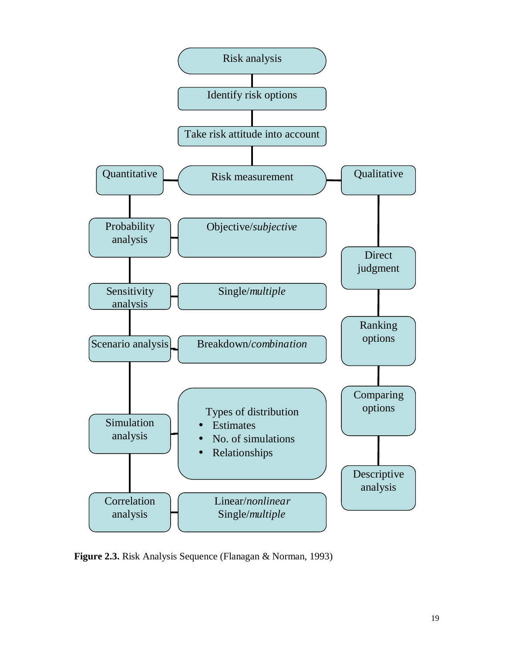

**Figure 2.3.** Risk Analysis Sequence (Flanagan & Norman, 1993)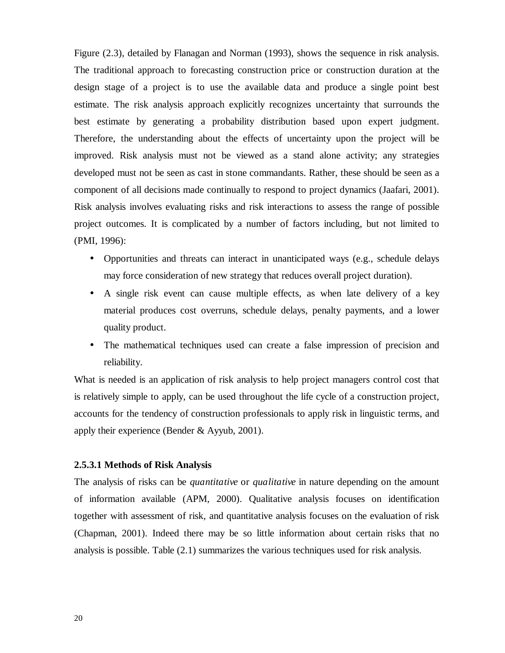Figure (2.3), detailed by Flanagan and Norman (1993), shows the sequence in risk analysis. The traditional approach to forecasting construction price or construction duration at the design stage of a project is to use the available data and produce a single point best estimate. The risk analysis approach explicitly recognizes uncertainty that surrounds the best estimate by generating a probability distribution based upon expert judgment. Therefore, the understanding about the effects of uncertainty upon the project will be improved. Risk analysis must not be viewed as a stand alone activity; any strategies developed must not be seen as cast in stone commandants. Rather, these should be seen as a component of all decisions made continually to respond to project dynamics (Jaafari, 2001). Risk analysis involves evaluating risks and risk interactions to assess the range of possible project outcomes. It is complicated by a number of factors including, but not limited to (PMI, 1996):

- Opportunities and threats can interact in unanticipated ways (e.g., schedule delays may force consideration of new strategy that reduces overall project duration).
- A single risk event can cause multiple effects, as when late delivery of a key material produces cost overruns, schedule delays, penalty payments, and a lower quality product.
- The mathematical techniques used can create a false impression of precision and reliability.

What is needed is an application of risk analysis to help project managers control cost that is relatively simple to apply, can be used throughout the life cycle of a construction project, accounts for the tendency of construction professionals to apply risk in linguistic terms, and apply their experience (Bender & Ayyub, 2001).

#### **2.5.3.1 Methods of Risk Analysis**

The analysis of risks can be *quantitative* or *qualitative* in nature depending on the amount of information available (APM, 2000). Qualitative analysis focuses on identification together with assessment of risk, and quantitative analysis focuses on the evaluation of risk (Chapman, 2001). Indeed there may be so little information about certain risks that no analysis is possible. Table (2.1) summarizes the various techniques used for risk analysis.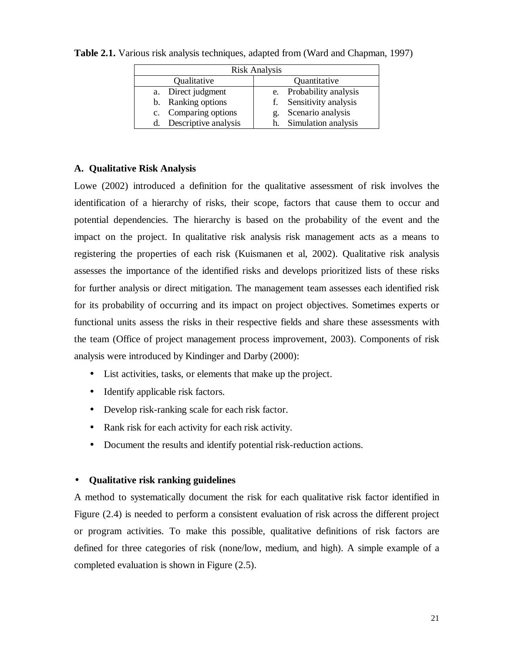| <b>Risk Analysis</b>    |                            |  |  |  |  |  |
|-------------------------|----------------------------|--|--|--|--|--|
| Qualitative             | Quantitative               |  |  |  |  |  |
| a. Direct judgment      | Probability analysis<br>e. |  |  |  |  |  |
| b. Ranking options      | f. Sensitivity analysis    |  |  |  |  |  |
| c. Comparing options    | Scenario analysis<br>g.    |  |  |  |  |  |
| d. Descriptive analysis | h. Simulation analysis     |  |  |  |  |  |

**Table 2.1.** Various risk analysis techniques, adapted from (Ward and Chapman, 1997)

# **A. Qualitative Risk Analysis**

Lowe (2002) introduced a definition for the qualitative assessment of risk involves the identification of a hierarchy of risks, their scope, factors that cause them to occur and potential dependencies. The hierarchy is based on the probability of the event and the impact on the project. In qualitative risk analysis risk management acts as a means to registering the properties of each risk (Kuismanen et al, 2002). Qualitative risk analysis assesses the importance of the identified risks and develops prioritized lists of these risks for further analysis or direct mitigation. The management team assesses each identified risk for its probability of occurring and its impact on project objectives. Sometimes experts or functional units assess the risks in their respective fields and share these assessments with the team (Office of project management process improvement, 2003). Components of risk analysis were introduced by Kindinger and Darby (2000):

- List activities, tasks, or elements that make up the project.
- Identify applicable risk factors.
- Develop risk-ranking scale for each risk factor.
- Rank risk for each activity for each risk activity.
- Document the results and identify potential risk-reduction actions.

# • **Qualitative risk ranking guidelines**

A method to systematically document the risk for each qualitative risk factor identified in Figure (2.4) is needed to perform a consistent evaluation of risk across the different project or program activities. To make this possible, qualitative definitions of risk factors are defined for three categories of risk (none/low, medium, and high). A simple example of a completed evaluation is shown in Figure (2.5).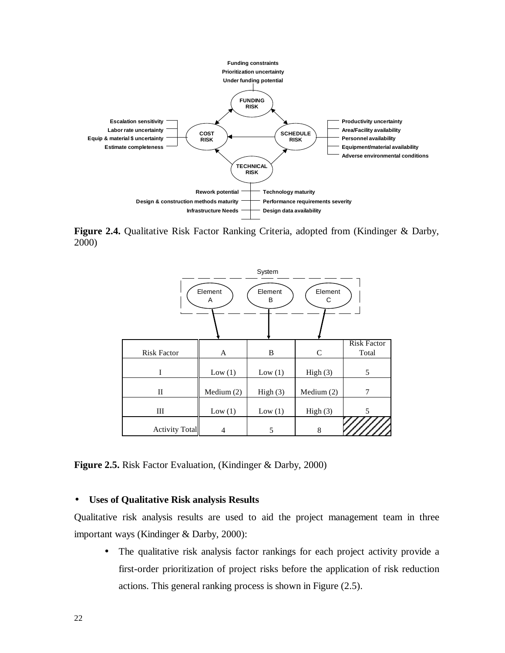

**Figure 2.4.** Qualitative Risk Factor Ranking Criteria, adopted from (Kindinger & Darby, 2000)



**Figure 2.5.** Risk Factor Evaluation, (Kindinger & Darby, 2000)

# • **Uses of Qualitative Risk analysis Results**

Qualitative risk analysis results are used to aid the project management team in three important ways (Kindinger & Darby, 2000):

• The qualitative risk analysis factor rankings for each project activity provide a first-order prioritization of project risks before the application of risk reduction actions. This general ranking process is shown in Figure (2.5).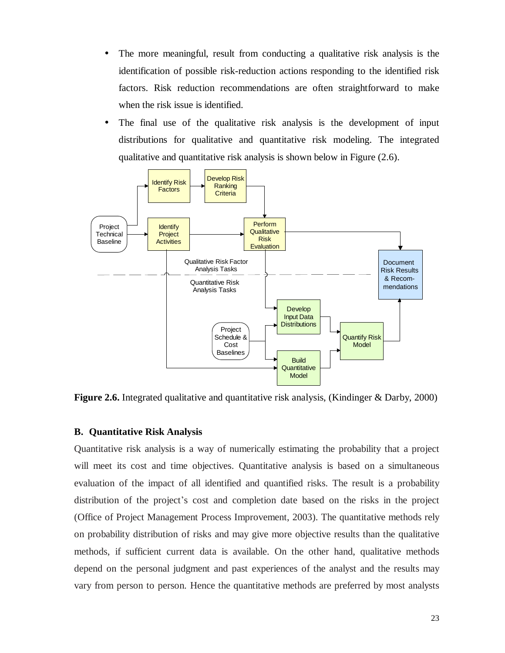- The more meaningful, result from conducting a qualitative risk analysis is the identification of possible risk-reduction actions responding to the identified risk factors. Risk reduction recommendations are often straightforward to make when the risk issue is identified.
- The final use of the qualitative risk analysis is the development of input distributions for qualitative and quantitative risk modeling. The integrated qualitative and quantitative risk analysis is shown below in Figure (2.6).



**Figure 2.6.** Integrated qualitative and quantitative risk analysis, (Kindinger & Darby, 2000)

## **B. Quantitative Risk Analysis**

Quantitative risk analysis is a way of numerically estimating the probability that a project will meet its cost and time objectives. Quantitative analysis is based on a simultaneous evaluation of the impact of all identified and quantified risks. The result is a probability distribution of the project's cost and completion date based on the risks in the project (Office of Project Management Process Improvement, 2003). The quantitative methods rely on probability distribution of risks and may give more objective results than the qualitative methods, if sufficient current data is available. On the other hand, qualitative methods depend on the personal judgment and past experiences of the analyst and the results may vary from person to person. Hence the quantitative methods are preferred by most analysts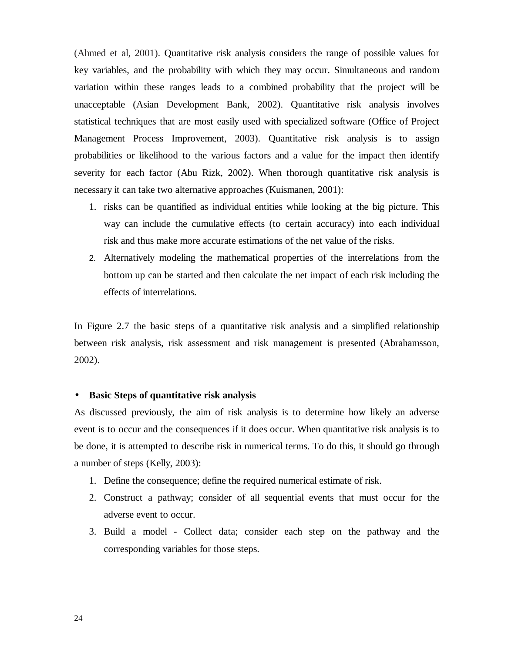(Ahmed et al, 2001). Quantitative risk analysis considers the range of possible values for key variables, and the probability with which they may occur. Simultaneous and random variation within these ranges leads to a combined probability that the project will be unacceptable (Asian Development Bank, 2002). Quantitative risk analysis involves statistical techniques that are most easily used with specialized software (Office of Project Management Process Improvement, 2003). Quantitative risk analysis is to assign probabilities or likelihood to the various factors and a value for the impact then identify severity for each factor (Abu Rizk, 2002). When thorough quantitative risk analysis is necessary it can take two alternative approaches (Kuismanen, 2001):

- 1. risks can be quantified as individual entities while looking at the big picture. This way can include the cumulative effects (to certain accuracy) into each individual risk and thus make more accurate estimations of the net value of the risks.
- 2. Alternatively modeling the mathematical properties of the interrelations from the bottom up can be started and then calculate the net impact of each risk including the effects of interrelations.

In Figure 2.7 the basic steps of a quantitative risk analysis and a simplified relationship between risk analysis, risk assessment and risk management is presented (Abrahamsson, 2002).

## • **Basic Steps of quantitative risk analysis**

As discussed previously, the aim of risk analysis is to determine how likely an adverse event is to occur and the consequences if it does occur. When quantitative risk analysis is to be done, it is attempted to describe risk in numerical terms. To do this, it should go through a number of steps (Kelly, 2003):

- 1. Define the consequence; define the required numerical estimate of risk.
- 2. Construct a pathway; consider of all sequential events that must occur for the adverse event to occur.
- 3. Build a model Collect data; consider each step on the pathway and the corresponding variables for those steps.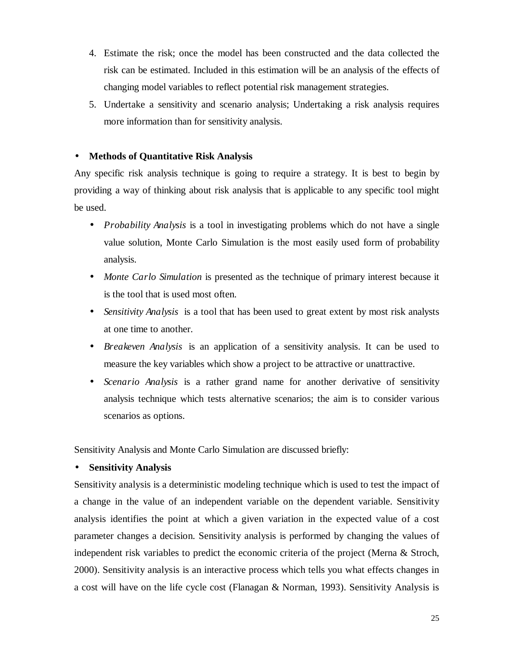- 4. Estimate the risk; once the model has been constructed and the data collected the risk can be estimated. Included in this estimation will be an analysis of the effects of changing model variables to reflect potential risk management strategies.
- 5. Undertake a sensitivity and scenario analysis; Undertaking a risk analysis requires more information than for sensitivity analysis.

# • **Methods of Quantitative Risk Analysis**

Any specific risk analysis technique is going to require a strategy. It is best to begin by providing a way of thinking about risk analysis that is applicable to any specific tool might be used.

- *Probability Analysis* is a tool in investigating problems which do not have a single value solution, Monte Carlo Simulation is the most easily used form of probability analysis.
- *Monte Carlo Simulation* is presented as the technique of primary interest because it is the tool that is used most often.
- *Sensitivity Analysis* is a tool that has been used to great extent by most risk analysts at one time to another.
- *Breakeven Analysis* is an application of a sensitivity analysis. It can be used to measure the key variables which show a project to be attractive or unattractive.
- *Scenario Analysis* is a rather grand name for another derivative of sensitivity analysis technique which tests alternative scenarios; the aim is to consider various scenarios as options.

Sensitivity Analysis and Monte Carlo Simulation are discussed briefly:

# • **Sensitivity Analysis**

Sensitivity analysis is a deterministic modeling technique which is used to test the impact of a change in the value of an independent variable on the dependent variable. Sensitivity analysis identifies the point at which a given variation in the expected value of a cost parameter changes a decision. Sensitivity analysis is performed by changing the values of independent risk variables to predict the economic criteria of the project (Merna & Stroch, 2000). Sensitivity analysis is an interactive process which tells you what effects changes in a cost will have on the life cycle cost (Flanagan & Norman, 1993). Sensitivity Analysis is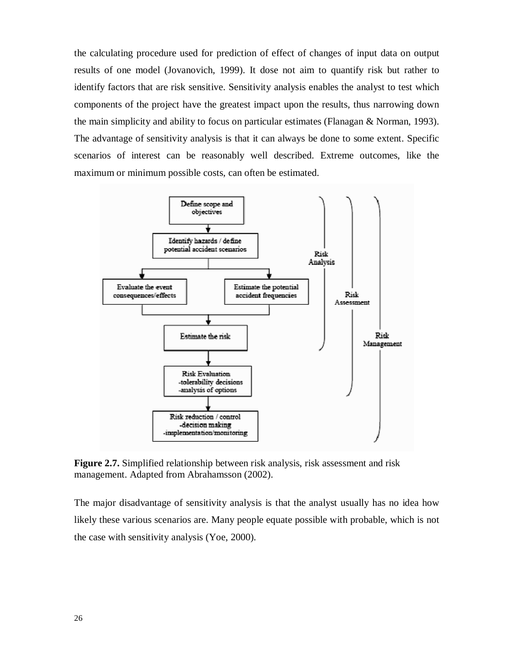the calculating procedure used for prediction of effect of changes of input data on output results of one model (Jovanovich, 1999). It dose not aim to quantify risk but rather to identify factors that are risk sensitive. Sensitivity analysis enables the analyst to test which components of the project have the greatest impact upon the results, thus narrowing down the main simplicity and ability to focus on particular estimates (Flanagan & Norman, 1993). The advantage of sensitivity analysis is that it can always be done to some extent. Specific scenarios of interest can be reasonably well described. Extreme outcomes, like the maximum or minimum possible costs, can often be estimated.



**Figure 2.7.** Simplified relationship between risk analysis, risk assessment and risk management. Adapted from Abrahamsson (2002).

The major disadvantage of sensitivity analysis is that the analyst usually has no idea how likely these various scenarios are. Many people equate possible with probable, which is not the case with sensitivity analysis (Yoe, 2000).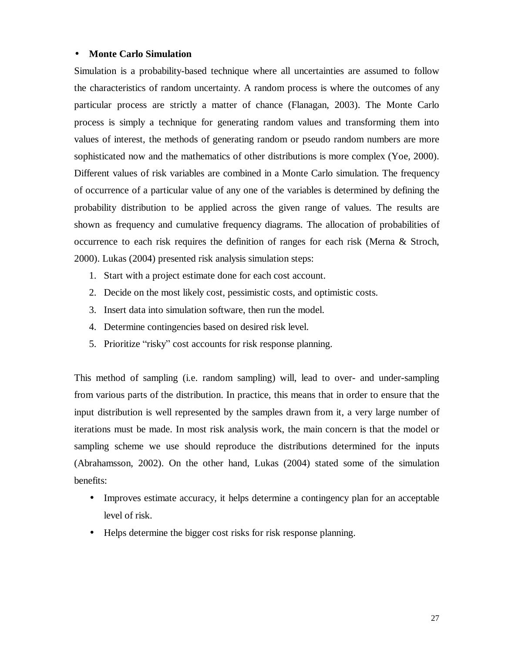## • **Monte Carlo Simulation**

Simulation is a probability-based technique where all uncertainties are assumed to follow the characteristics of random uncertainty. A random process is where the outcomes of any particular process are strictly a matter of chance (Flanagan, 2003). The Monte Carlo process is simply a technique for generating random values and transforming them into values of interest, the methods of generating random or pseudo random numbers are more sophisticated now and the mathematics of other distributions is more complex (Yoe, 2000). Different values of risk variables are combined in a Monte Carlo simulation. The frequency of occurrence of a particular value of any one of the variables is determined by defining the probability distribution to be applied across the given range of values. The results are shown as frequency and cumulative frequency diagrams. The allocation of probabilities of occurrence to each risk requires the definition of ranges for each risk (Merna & Stroch, 2000). Lukas (2004) presented risk analysis simulation steps:

- 1. Start with a project estimate done for each cost account.
- 2. Decide on the most likely cost, pessimistic costs, and optimistic costs.
- 3. Insert data into simulation software, then run the model.
- 4. Determine contingencies based on desired risk level.
- 5. Prioritize "risky" cost accounts for risk response planning.

This method of sampling (i.e. random sampling) will, lead to over- and under-sampling from various parts of the distribution. In practice, this means that in order to ensure that the input distribution is well represented by the samples drawn from it, a very large number of iterations must be made. In most risk analysis work, the main concern is that the model or sampling scheme we use should reproduce the distributions determined for the inputs (Abrahamsson, 2002). On the other hand, Lukas (2004) stated some of the simulation benefits:

- Improves estimate accuracy, it helps determine a contingency plan for an acceptable level of risk.
- Helps determine the bigger cost risks for risk response planning.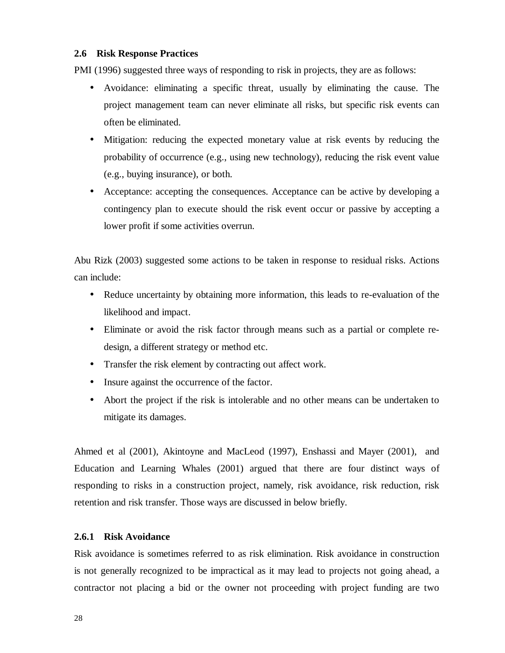# **2.6 Risk Response Practices**

PMI (1996) suggested three ways of responding to risk in projects, they are as follows:

- Avoidance: eliminating a specific threat, usually by eliminating the cause. The project management team can never eliminate all risks, but specific risk events can often be eliminated.
- Mitigation: reducing the expected monetary value at risk events by reducing the probability of occurrence (e.g., using new technology), reducing the risk event value (e.g., buying insurance), or both.
- Acceptance: accepting the consequences. Acceptance can be active by developing a contingency plan to execute should the risk event occur or passive by accepting a lower profit if some activities overrun.

Abu Rizk (2003) suggested some actions to be taken in response to residual risks. Actions can include:

- Reduce uncertainty by obtaining more information, this leads to re-evaluation of the likelihood and impact.
- Eliminate or avoid the risk factor through means such as a partial or complete redesign, a different strategy or method etc.
- Transfer the risk element by contracting out affect work.
- Insure against the occurrence of the factor.
- Abort the project if the risk is intolerable and no other means can be undertaken to mitigate its damages.

Ahmed et al (2001), Akintoyne and MacLeod (1997), Enshassi and Mayer (2001), and Education and Learning Whales (2001) argued that there are four distinct ways of responding to risks in a construction project, namely, risk avoidance, risk reduction, risk retention and risk transfer. Those ways are discussed in below briefly.

#### **2.6.1 Risk Avoidance**

Risk avoidance is sometimes referred to as risk elimination. Risk avoidance in construction is not generally recognized to be impractical as it may lead to projects not going ahead, a contractor not placing a bid or the owner not proceeding with project funding are two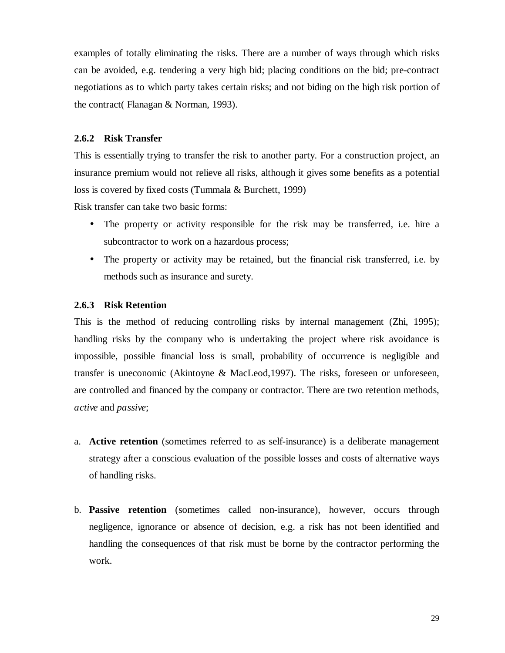examples of totally eliminating the risks. There are a number of ways through which risks can be avoided, e.g. tendering a very high bid; placing conditions on the bid; pre-contract negotiations as to which party takes certain risks; and not biding on the high risk portion of the contract( Flanagan & Norman, 1993).

# **2.6.2 Risk Transfer**

This is essentially trying to transfer the risk to another party. For a construction project, an insurance premium would not relieve all risks, although it gives some benefits as a potential loss is covered by fixed costs (Tummala & Burchett, 1999)

Risk transfer can take two basic forms:

- The property or activity responsible for the risk may be transferred, i.e. hire a subcontractor to work on a hazardous process;
- The property or activity may be retained, but the financial risk transferred, i.e. by methods such as insurance and surety.

#### **2.6.3 Risk Retention**

This is the method of reducing controlling risks by internal management (Zhi, 1995); handling risks by the company who is undertaking the project where risk avoidance is impossible, possible financial loss is small, probability of occurrence is negligible and transfer is uneconomic (Akintoyne & MacLeod,1997). The risks, foreseen or unforeseen, are controlled and financed by the company or contractor. There are two retention methods, *active* and *passive*;

- a. **Active retention** (sometimes referred to as self-insurance) is a deliberate management strategy after a conscious evaluation of the possible losses and costs of alternative ways of handling risks.
- b. **Passive retention** (sometimes called non-insurance), however, occurs through negligence, ignorance or absence of decision, e.g. a risk has not been identified and handling the consequences of that risk must be borne by the contractor performing the work.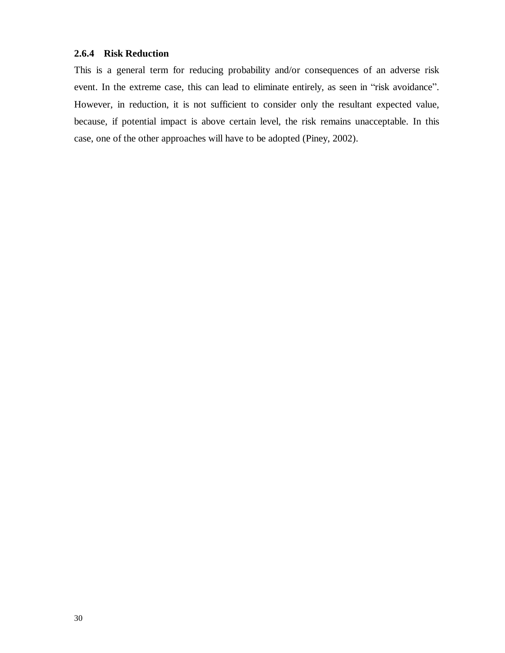# **2.6.4 Risk Reduction**

This is a general term for reducing probability and/or consequences of an adverse risk event. In the extreme case, this can lead to eliminate entirely, as seen in "risk avoidance". However, in reduction, it is not sufficient to consider only the resultant expected value, because, if potential impact is above certain level, the risk remains unacceptable. In this case, one of the other approaches will have to be adopted (Piney, 2002).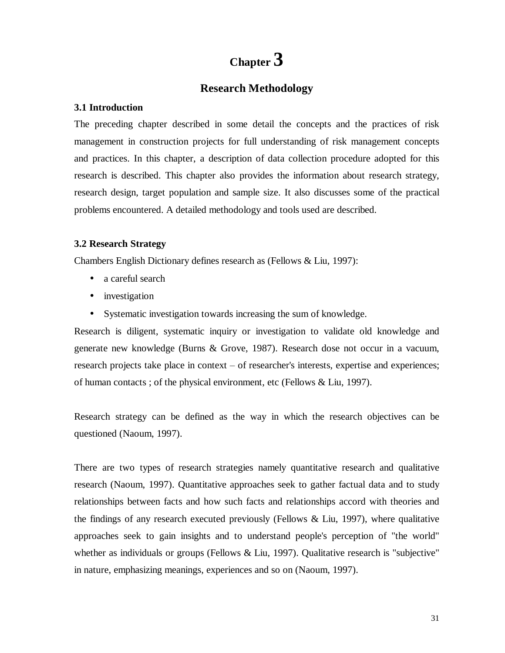# **Chapter 3**

# **Research Methodology**

## **3.1 Introduction**

The preceding chapter described in some detail the concepts and the practices of risk management in construction projects for full understanding of risk management concepts and practices. In this chapter, a description of data collection procedure adopted for this research is described. This chapter also provides the information about research strategy, research design, target population and sample size. It also discusses some of the practical problems encountered. A detailed methodology and tools used are described.

# **3.2 Research Strategy**

Chambers English Dictionary defines research as (Fellows & Liu, 1997):

- a careful search
- investigation
- Systematic investigation towards increasing the sum of knowledge.

Research is diligent, systematic inquiry or investigation to validate old knowledge and generate new knowledge (Burns & Grove, 1987). Research dose not occur in a vacuum, research projects take place in context – of researcher's interests, expertise and experiences; of human contacts ; of the physical environment, etc (Fellows & Liu, 1997).

Research strategy can be defined as the way in which the research objectives can be questioned (Naoum, 1997).

There are two types of research strategies namely quantitative research and qualitative research (Naoum, 1997). Quantitative approaches seek to gather factual data and to study relationships between facts and how such facts and relationships accord with theories and the findings of any research executed previously (Fellows & Liu, 1997), where qualitative approaches seek to gain insights and to understand people's perception of "the world" whether as individuals or groups (Fellows & Liu, 1997). Qualitative research is "subjective" in nature, emphasizing meanings, experiences and so on (Naoum, 1997).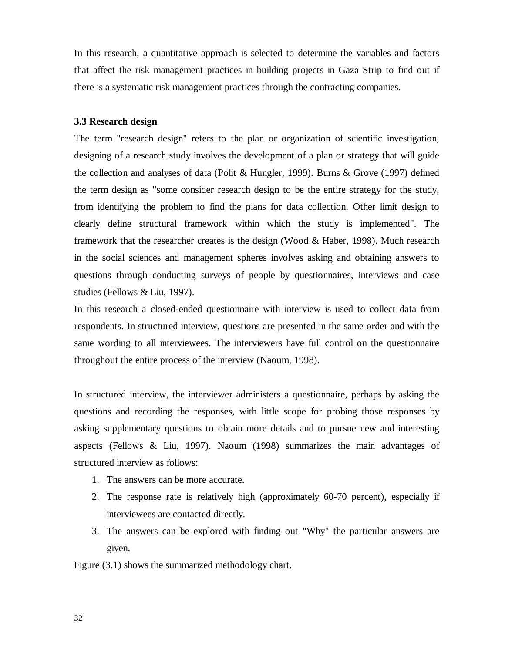In this research, a quantitative approach is selected to determine the variables and factors that affect the risk management practices in building projects in Gaza Strip to find out if there is a systematic risk management practices through the contracting companies.

## **3.3 Research design**

The term "research design" refers to the plan or organization of scientific investigation, designing of a research study involves the development of a plan or strategy that will guide the collection and analyses of data (Polit & Hungler, 1999). Burns & Grove (1997) defined the term design as "some consider research design to be the entire strategy for the study, from identifying the problem to find the plans for data collection. Other limit design to clearly define structural framework within which the study is implemented". The framework that the researcher creates is the design (Wood & Haber, 1998). Much research in the social sciences and management spheres involves asking and obtaining answers to questions through conducting surveys of people by questionnaires, interviews and case studies (Fellows & Liu, 1997).

In this research a closed-ended questionnaire with interview is used to collect data from respondents. In structured interview, questions are presented in the same order and with the same wording to all interviewees. The interviewers have full control on the questionnaire throughout the entire process of the interview (Naoum, 1998).

In structured interview, the interviewer administers a questionnaire, perhaps by asking the questions and recording the responses, with little scope for probing those responses by asking supplementary questions to obtain more details and to pursue new and interesting aspects (Fellows & Liu, 1997). Naoum (1998) summarizes the main advantages of structured interview as follows:

- 1. The answers can be more accurate.
- 2. The response rate is relatively high (approximately 60-70 percent), especially if interviewees are contacted directly.
- 3. The answers can be explored with finding out "Why" the particular answers are given.

Figure (3.1) shows the summarized methodology chart.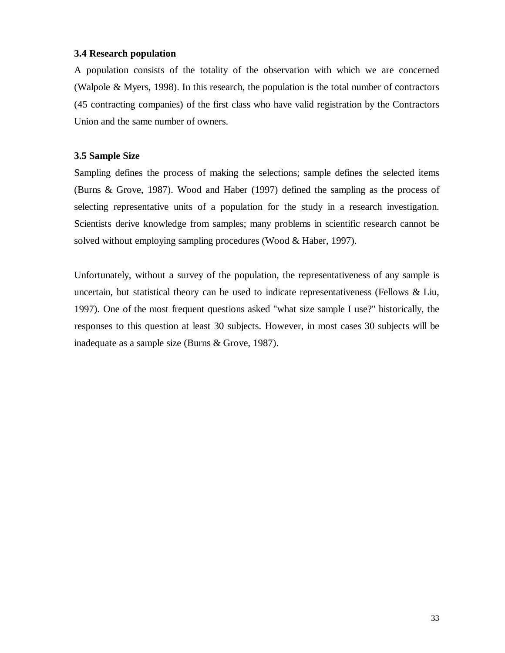# **3.4 Research population**

A population consists of the totality of the observation with which we are concerned (Walpole & Myers, 1998). In this research, the population is the total number of contractors (45 contracting companies) of the first class who have valid registration by the Contractors Union and the same number of owners.

# **3.5 Sample Size**

Sampling defines the process of making the selections; sample defines the selected items (Burns & Grove, 1987). Wood and Haber (1997) defined the sampling as the process of selecting representative units of a population for the study in a research investigation. Scientists derive knowledge from samples; many problems in scientific research cannot be solved without employing sampling procedures (Wood & Haber, 1997).

Unfortunately, without a survey of the population, the representativeness of any sample is uncertain, but statistical theory can be used to indicate representativeness (Fellows  $\&$  Liu, 1997). One of the most frequent questions asked "what size sample I use?" historically, the responses to this question at least 30 subjects. However, in most cases 30 subjects will be inadequate as a sample size (Burns & Grove, 1987).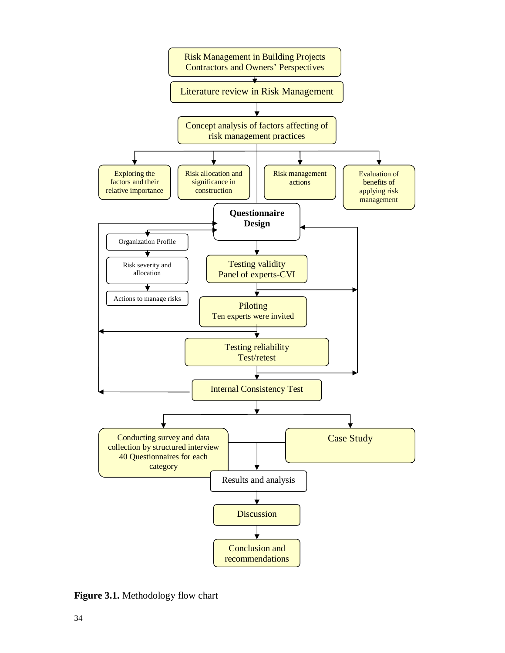

**Figure 3.1.** Methodology flow chart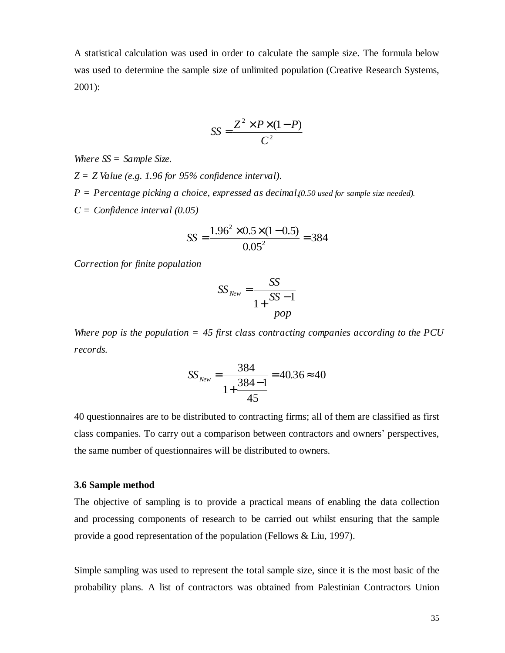A statistical calculation was used in order to calculate the sample size. The formula below was used to determine the sample size of unlimited population (Creative Research Systems, 2001):

$$
SS = \frac{Z^2 \times P \times (1 - P)}{C^2}
$$

*Where SS = Sample Size.* 

- *Z = Z Value (e.g. 1.96 for 95% confidence interval).*
- *P = Percentage picking a choice, expressed as decimal, (0.50 used for sample size needed).*
- *C = Confidence interval (0.05)*

$$
SS = \frac{1.96^2 \times 0.5 \times (1 - 0.5)}{0.05^2} = 384
$$

*Correction for finite population* 

$$
SS_{New} = \frac{SS}{1 + \frac{SS - 1}{pop}}
$$

*Where pop is the population = 45 first class contracting companies according to the PCU records.* 

$$
SS_{New} = \frac{384}{1 + \frac{384 - 1}{45}} = 40.36 \approx 40
$$

40 questionnaires are to be distributed to contracting firms; all of them are classified as first class companies. To carry out a comparison between contractors and owners' perspectives, the same number of questionnaires will be distributed to owners.

#### **3.6 Sample method**

The objective of sampling is to provide a practical means of enabling the data collection and processing components of research to be carried out whilst ensuring that the sample provide a good representation of the population (Fellows & Liu, 1997).

Simple sampling was used to represent the total sample size, since it is the most basic of the probability plans. A list of contractors was obtained from Palestinian Contractors Union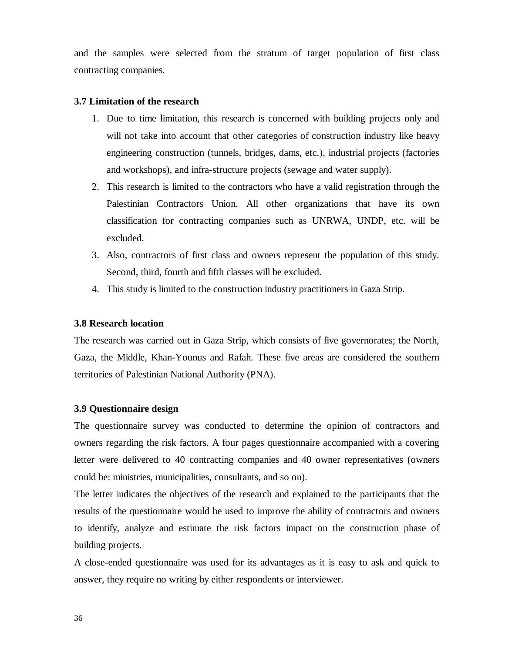and the samples were selected from the stratum of target population of first class contracting companies.

# **3.7 Limitation of the research**

- 1. Due to time limitation, this research is concerned with building projects only and will not take into account that other categories of construction industry like heavy engineering construction (tunnels, bridges, dams, etc.), industrial projects (factories and workshops), and infra-structure projects (sewage and water supply).
- 2. This research is limited to the contractors who have a valid registration through the Palestinian Contractors Union. All other organizations that have its own classification for contracting companies such as UNRWA, UNDP, etc. will be excluded.
- 3. Also, contractors of first class and owners represent the population of this study. Second, third, fourth and fifth classes will be excluded.
- 4. This study is limited to the construction industry practitioners in Gaza Strip.

# **3.8 Research location**

The research was carried out in Gaza Strip, which consists of five governorates; the North, Gaza, the Middle, Khan-Younus and Rafah. These five areas are considered the southern territories of Palestinian National Authority (PNA).

# **3.9 Questionnaire design**

The questionnaire survey was conducted to determine the opinion of contractors and owners regarding the risk factors. A four pages questionnaire accompanied with a covering letter were delivered to 40 contracting companies and 40 owner representatives (owners could be: ministries, municipalities, consultants, and so on).

The letter indicates the objectives of the research and explained to the participants that the results of the questionnaire would be used to improve the ability of contractors and owners to identify, analyze and estimate the risk factors impact on the construction phase of building projects.

A close-ended questionnaire was used for its advantages as it is easy to ask and quick to answer, they require no writing by either respondents or interviewer.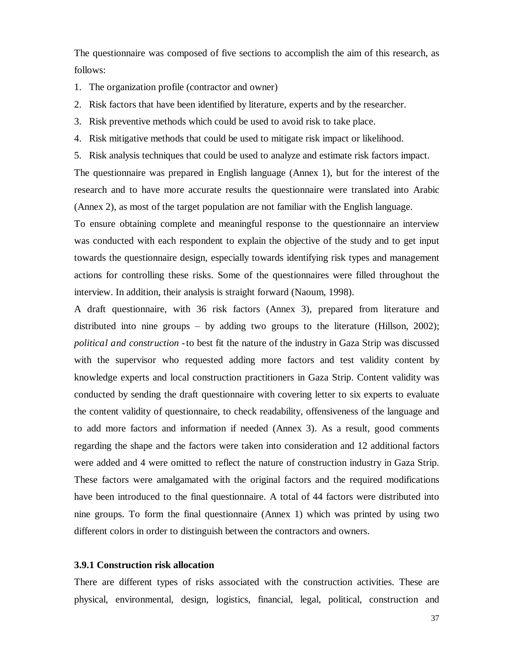The questionnaire was composed of five sections to accomplish the aim of this research, as follows:

- 1. The organization profile (contractor and owner)
- 2. Risk factors that have been identified by literature, experts and by the researcher.
- 3. Risk preventive methods which could be used to avoid risk to take place.
- 4. Risk mitigative methods that could be used to mitigate risk impact or likelihood.
- 5. Risk analysis techniques that could be used to analyze and estimate risk factors impact.

The questionnaire was prepared in English language (Annex 1), but for the interest of the research and to have more accurate results the questionnaire were translated into Arabic (Annex 2), as most of the target population are not familiar with the English language.

To ensure obtaining complete and meaningful response to the questionnaire an interview was conducted with each respondent to explain the objective of the study and to get input towards the questionnaire design, especially towards identifying risk types and management actions for controlling these risks. Some of the questionnaires were filled throughout the interview. In addition, their analysis is straight forward (Naoum, 1998).

A draft questionnaire, with 36 risk factors (Annex 3), prepared from literature and distributed into nine groups – by adding two groups to the literature (Hillson, 2002); *political and construction -* to best fit the nature of the industry in Gaza Strip was discussed with the supervisor who requested adding more factors and test validity content by knowledge experts and local construction practitioners in Gaza Strip. Content validity was conducted by sending the draft questionnaire with covering letter to six experts to evaluate the content validity of questionnaire, to check readability, offensiveness of the language and to add more factors and information if needed (Annex 3). As a result, good comments regarding the shape and the factors were taken into consideration and 12 additional factors were added and 4 were omitted to reflect the nature of construction industry in Gaza Strip. These factors were amalgamated with the original factors and the required modifications have been introduced to the final questionnaire. A total of 44 factors were distributed into nine groups. To form the final questionnaire (Annex 1) which was printed by using two different colors in order to distinguish between the contractors and owners.

#### **3.9.1 Construction risk allocation**

There are different types of risks associated with the construction activities. These are physical, environmental, design, logistics, financial, legal, political, construction and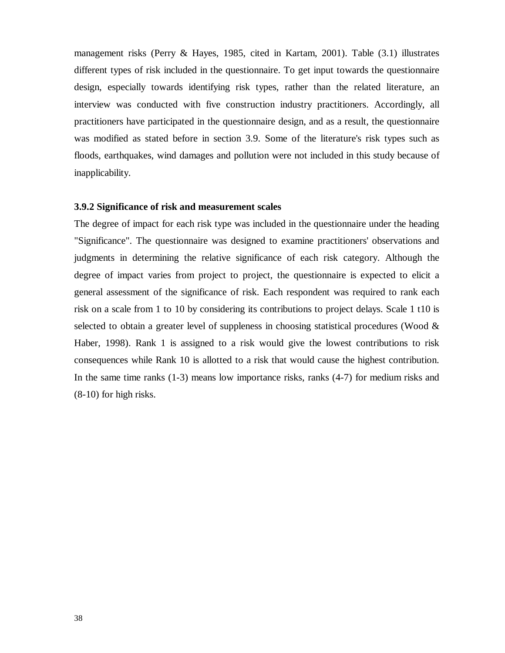management risks (Perry & Hayes, 1985, cited in Kartam, 2001). Table (3.1) illustrates different types of risk included in the questionnaire. To get input towards the questionnaire design, especially towards identifying risk types, rather than the related literature, an interview was conducted with five construction industry practitioners. Accordingly, all practitioners have participated in the questionnaire design, and as a result, the questionnaire was modified as stated before in section 3.9. Some of the literature's risk types such as floods, earthquakes, wind damages and pollution were not included in this study because of inapplicability.

#### **3.9.2 Significance of risk and measurement scales**

The degree of impact for each risk type was included in the questionnaire under the heading "Significance". The questionnaire was designed to examine practitioners' observations and judgments in determining the relative significance of each risk category. Although the degree of impact varies from project to project, the questionnaire is expected to elicit a general assessment of the significance of risk. Each respondent was required to rank each risk on a scale from 1 to 10 by considering its contributions to project delays. Scale 1 t10 is selected to obtain a greater level of suppleness in choosing statistical procedures (Wood & Haber, 1998). Rank 1 is assigned to a risk would give the lowest contributions to risk consequences while Rank 10 is allotted to a risk that would cause the highest contribution. In the same time ranks (1-3) means low importance risks, ranks (4-7) for medium risks and (8-10) for high risks.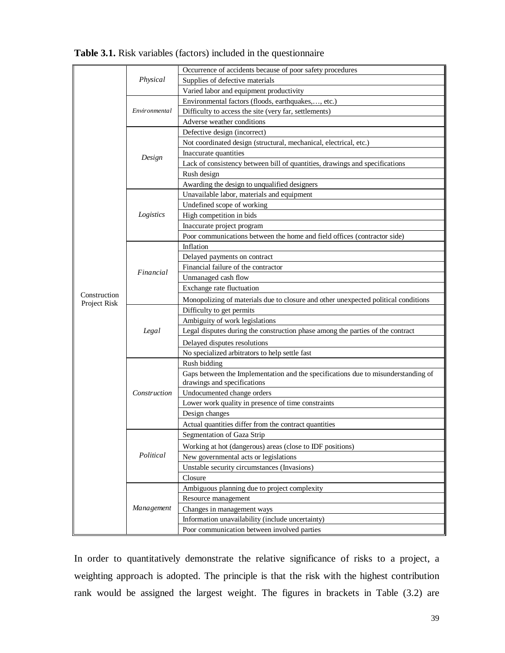|                              |               | Occurrence of accidents because of poor safety procedures                          |
|------------------------------|---------------|------------------------------------------------------------------------------------|
|                              | Physical      | Supplies of defective materials                                                    |
|                              |               | Varied labor and equipment productivity                                            |
|                              |               | Environmental factors (floods, earthquakes,, etc.)                                 |
|                              | Environmental | Difficulty to access the site (very far, settlements)                              |
|                              |               | Adverse weather conditions                                                         |
|                              |               | Defective design (incorrect)                                                       |
|                              |               | Not coordinated design (structural, mechanical, electrical, etc.)                  |
|                              |               | Inaccurate quantities                                                              |
|                              | Design        | Lack of consistency between bill of quantities, drawings and specifications        |
|                              |               | Rush design                                                                        |
|                              |               | Awarding the design to unqualified designers                                       |
|                              |               | Unavailable labor, materials and equipment                                         |
|                              |               | Undefined scope of working                                                         |
|                              | Logistics     | High competition in bids                                                           |
|                              |               | Inaccurate project program                                                         |
|                              |               | Poor communications between the home and field offices (contractor side)           |
|                              |               | Inflation                                                                          |
|                              |               | Delayed payments on contract                                                       |
|                              | Financial     | Financial failure of the contractor                                                |
|                              |               | Unmanaged cash flow                                                                |
|                              |               | Exchange rate fluctuation                                                          |
| Construction<br>Project Risk |               | Monopolizing of materials due to closure and other unexpected political conditions |
|                              |               | Difficulty to get permits                                                          |
|                              |               | Ambiguity of work legislations                                                     |
|                              | Legal         | Legal disputes during the construction phase among the parties of the contract     |
|                              |               | Delayed disputes resolutions                                                       |
|                              |               | No specialized arbitrators to help settle fast                                     |
|                              |               | Rush bidding                                                                       |
|                              |               | Gaps between the Implementation and the specifications due to misunderstanding of  |
|                              |               | drawings and specifications                                                        |
|                              | Construction  | Undocumented change orders                                                         |
|                              |               | Lower work quality in presence of time constraints                                 |
|                              |               | Design changes                                                                     |
|                              |               | Actual quantities differ from the contract quantities                              |
|                              |               | Segmentation of Gaza Strip                                                         |
|                              |               | Working at hot (dangerous) areas (close to IDF positions)                          |
|                              | Political     | New governmental acts or legislations                                              |
|                              |               | Unstable security circumstances (Invasions)                                        |
|                              |               | Closure                                                                            |
|                              |               | Ambiguous planning due to project complexity                                       |
|                              |               | Resource management                                                                |
|                              | Management    | Changes in management ways                                                         |
|                              |               | Information unavailability (include uncertainty)                                   |
|                              |               | Poor communication between involved parties                                        |

**Table 3.1.** Risk variables (factors) included in the questionnaire

In order to quantitatively demonstrate the relative significance of risks to a project, a weighting approach is adopted. The principle is that the risk with the highest contribution rank would be assigned the largest weight. The figures in brackets in Table (3.2) are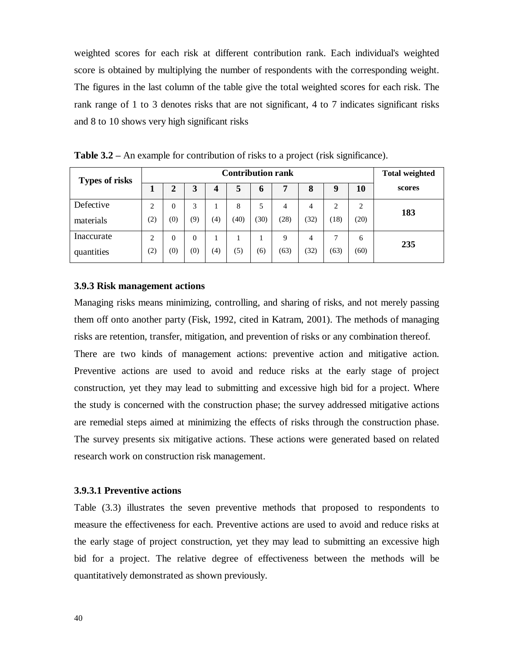weighted scores for each risk at different contribution rank. Each individual's weighted score is obtained by multiplying the number of respondents with the corresponding weight. The figures in the last column of the table give the total weighted scores for each risk. The rank range of 1 to 3 denotes risks that are not significant, 4 to 7 indicates significant risks and 8 to 10 shows very high significant risks

| <b>Types of risks</b> | <b>Contribution rank</b> |          |          |     |      |      |      |      | <b>Total weighted</b> |      |        |
|-----------------------|--------------------------|----------|----------|-----|------|------|------|------|-----------------------|------|--------|
|                       |                          | ◠<br>∠   | 3        |     | 5    | o    |      | 8    |                       | 10   | scores |
| Defective             | $\overline{2}$           | $\Omega$ | 3        |     | 8    | 5    | 4    | 4    | 2                     | 2    | 183    |
| materials             | $\left( 2\right)$        | (0)      | (9)      | (4) | (40) | (30) | (28) | (32) | (18)                  | (20) |        |
| Inaccurate            | 2                        | $\Omega$ | $\theta$ |     |      |      | 9    | 4    | ⇁                     | 6    | 235    |
| quantities            | (2)                      | (0)      | (0)      | (4) | (5)  | (6)  | (63) | (32) | (63)                  | (60) |        |

**Table 3.2 –** An example for contribution of risks to a project (risk significance).

## **3.9.3 Risk management actions**

Managing risks means minimizing, controlling, and sharing of risks, and not merely passing them off onto another party (Fisk, 1992, cited in Katram, 2001). The methods of managing risks are retention, transfer, mitigation, and prevention of risks or any combination thereof. There are two kinds of management actions: preventive action and mitigative action. Preventive actions are used to avoid and reduce risks at the early stage of project construction, yet they may lead to submitting and excessive high bid for a project. Where the study is concerned with the construction phase; the survey addressed mitigative actions are remedial steps aimed at minimizing the effects of risks through the construction phase. The survey presents six mitigative actions. These actions were generated based on related research work on construction risk management.

## **3.9.3.1 Preventive actions**

Table (3.3) illustrates the seven preventive methods that proposed to respondents to measure the effectiveness for each. Preventive actions are used to avoid and reduce risks at the early stage of project construction, yet they may lead to submitting an excessive high bid for a project. The relative degree of effectiveness between the methods will be quantitatively demonstrated as shown previously.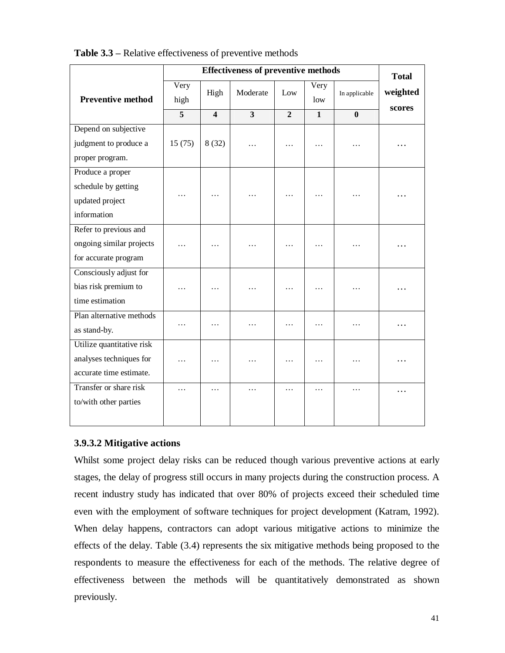|                           |                |                | <b>Effectiveness of preventive methods</b> |                |                |               | <b>Total</b>       |
|---------------------------|----------------|----------------|--------------------------------------------|----------------|----------------|---------------|--------------------|
| <b>Preventive method</b>  | Very<br>high   | High           | Moderate                                   | Low            | Very<br>low    | In applicable | weighted<br>scores |
|                           | $\overline{5}$ | $\overline{4}$ | $\overline{3}$                             | $\overline{2}$ | $\overline{1}$ | $\bf{0}$      |                    |
| Depend on subjective      |                |                |                                            |                |                |               |                    |
| judgment to produce a     | 15(75)         | 8(32)          | $\overline{\phantom{a}}$                   | $\cdots$       | $\cdots$       | $\cdots$      |                    |
| proper program.           |                |                |                                            |                |                |               |                    |
| Produce a proper          |                |                |                                            |                |                |               |                    |
| schedule by getting       |                |                |                                            |                |                |               |                    |
| updated project           | .              | $\cdots$       | .                                          | $\cdots$       | $\cdots$       | $\cdots$      |                    |
| information               |                |                |                                            |                |                |               |                    |
| Refer to previous and     |                |                |                                            |                |                |               |                    |
| ongoing similar projects  | $\cdots$       | $\cdots$       | .                                          | $\cdots$       | $\ddotsc$      | .             |                    |
| for accurate program      |                |                |                                            |                |                |               |                    |
| Consciously adjust for    |                |                |                                            |                |                |               |                    |
| bias risk premium to      | .              | .              | .                                          | $\cdots$       | .              | .             |                    |
| time estimation           |                |                |                                            |                |                |               |                    |
| Plan alternative methods  |                |                |                                            |                |                |               |                    |
| as stand-by.              | .              | .              | .                                          | .              | .              | .             |                    |
| Utilize quantitative risk |                |                |                                            |                |                |               |                    |
| analyses techniques for   | .              | $\cdots$       | $\cdots$                                   | $\cdots$       | $\cdots$       | .             | .                  |
| accurate time estimate.   |                |                |                                            |                |                |               |                    |
| Transfer or share risk    | .              | .              | $\cdots$                                   | .              | .              | $\cdots$      | .                  |
| to/with other parties     |                |                |                                            |                |                |               |                    |
|                           |                |                |                                            |                |                |               |                    |

**Table 3.3 –** Relative effectiveness of preventive methods

# **3.9.3.2 Mitigative actions**

Whilst some project delay risks can be reduced though various preventive actions at early stages, the delay of progress still occurs in many projects during the construction process. A recent industry study has indicated that over 80% of projects exceed their scheduled time even with the employment of software techniques for project development (Katram, 1992). When delay happens, contractors can adopt various mitigative actions to minimize the effects of the delay. Table (3.4) represents the six mitigative methods being proposed to the respondents to measure the effectiveness for each of the methods. The relative degree of effectiveness between the methods will be quantitatively demonstrated as shown previously.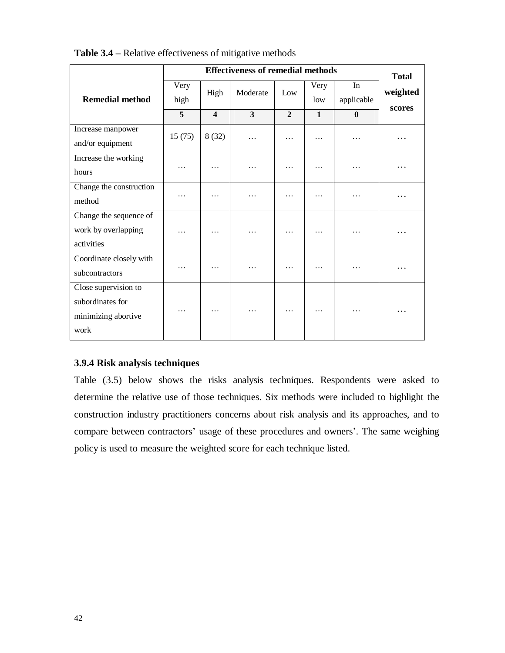|                                                                         | <b>Effectiveness of remedial methods</b> |                         |                         |                |              |                  | <b>Total</b> |
|-------------------------------------------------------------------------|------------------------------------------|-------------------------|-------------------------|----------------|--------------|------------------|--------------|
| <b>Remedial method</b>                                                  | Very<br>high                             | High                    | Moderate                | Low            | Very<br>low  | In<br>applicable | weighted     |
|                                                                         | 5                                        | $\overline{\mathbf{4}}$ | $\overline{\mathbf{3}}$ | $\overline{2}$ | $\mathbf{1}$ | $\mathbf{0}$     | scores       |
| Increase manpower<br>and/or equipment                                   | 15(75)                                   | 8(32)                   | .                       | .              | .            | .                | .            |
| Increase the working<br>hours                                           | .                                        | $\cdots$                | .                       | .              | .            | .                |              |
| Change the construction<br>method                                       | .                                        | .                       | .                       | .              | .            | .                |              |
| Change the sequence of<br>work by overlapping<br>activities             | $\cdots$                                 | .                       | $\cdots$                | .              | .            | .                | .            |
| Coordinate closely with<br>subcontractors                               | .                                        | .                       | .                       | .              | .            | .                | .            |
| Close supervision to<br>subordinates for<br>minimizing abortive<br>work | .                                        | .                       | .                       | .              | .            | .                |              |

**Table 3.4 –** Relative effectiveness of mitigative methods

# **3.9.4 Risk analysis techniques**

Table (3.5) below shows the risks analysis techniques. Respondents were asked to determine the relative use of those techniques. Six methods were included to highlight the construction industry practitioners concerns about risk analysis and its approaches, and to compare between contractors' usage of these procedures and owners'. The same weighing policy is used to measure the weighted score for each technique listed.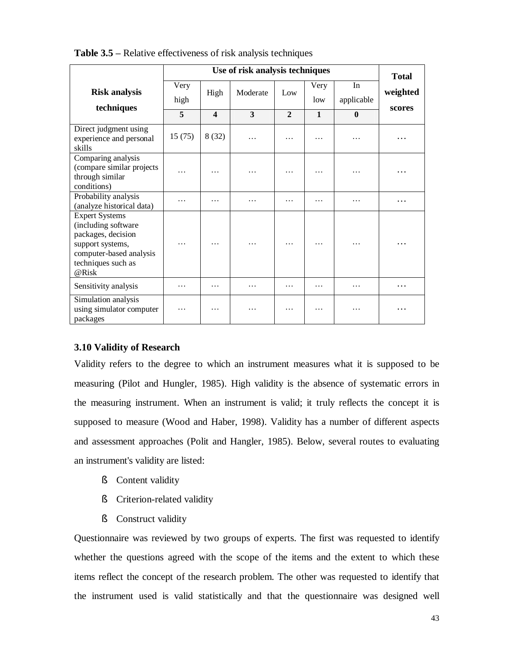|                                                                                                                                                  | Use of risk analysis techniques |                  |          |              |              |                  | <b>Total</b>       |
|--------------------------------------------------------------------------------------------------------------------------------------------------|---------------------------------|------------------|----------|--------------|--------------|------------------|--------------------|
| <b>Risk analysis</b><br>techniques                                                                                                               | Very<br>high                    | High             | Moderate | Low          | Very<br>low  | In<br>applicable | weighted<br>scores |
|                                                                                                                                                  | 5                               | $\boldsymbol{4}$ | 3        | $\mathbf{2}$ | $\mathbf{1}$ | $\mathbf{0}$     |                    |
| Direct judgment using<br>experience and personal<br>skills                                                                                       | 15(75)                          | 8(32)            | .        | .            | .            | .                |                    |
| Comparing analysis<br>(compare similar projects<br>through similar<br>conditions)                                                                | .                               | .                | .        | .            | .            | .                |                    |
| Probability analysis<br>(analyze historical data)                                                                                                | .                               | .                | .        | .            | .            | .                | .                  |
| <b>Expert Systems</b><br>(including software<br>packages, decision<br>support systems,<br>computer-based analysis<br>techniques such as<br>@Risk | .                               |                  | .        | .            |              | .                | .                  |
| Sensitivity analysis                                                                                                                             | .                               | .                | .        | .            | .            | .                | .                  |
| Simulation analysis<br>using simulator computer<br>packages                                                                                      | .                               |                  | .        | .            | .            | .                |                    |

**Table 3.5 –** Relative effectiveness of risk analysis techniques

# **3.10 Validity of Research**

Validity refers to the degree to which an instrument measures what it is supposed to be measuring (Pilot and Hungler, 1985). High validity is the absence of systematic errors in the measuring instrument. When an instrument is valid; it truly reflects the concept it is supposed to measure (Wood and Haber, 1998). Validity has a number of different aspects and assessment approaches (Polit and Hangler, 1985). Below, several routes to evaluating an instrument's validity are listed:

- § Content validity
- § Criterion-related validity
- § Construct validity

Questionnaire was reviewed by two groups of experts. The first was requested to identify whether the questions agreed with the scope of the items and the extent to which these items reflect the concept of the research problem. The other was requested to identify that the instrument used is valid statistically and that the questionnaire was designed well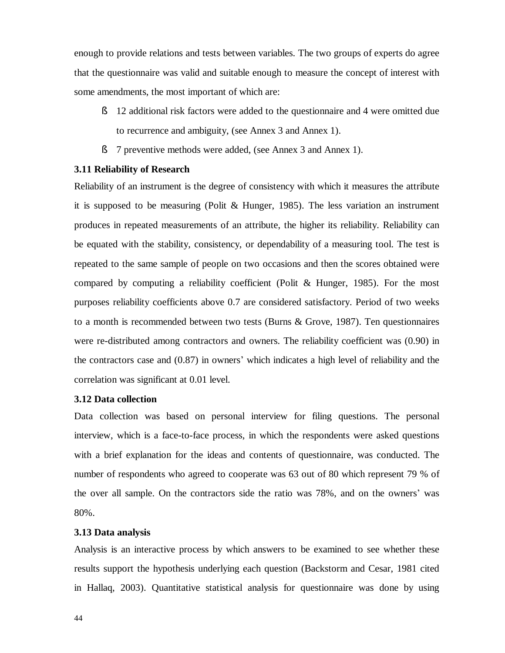enough to provide relations and tests between variables. The two groups of experts do agree that the questionnaire was valid and suitable enough to measure the concept of interest with some amendments, the most important of which are:

- § 12 additional risk factors were added to the questionnaire and 4 were omitted due to recurrence and ambiguity, (see Annex 3 and Annex 1).
- § 7 preventive methods were added, (see Annex 3 and Annex 1).

# **3.11 Reliability of Research**

Reliability of an instrument is the degree of consistency with which it measures the attribute it is supposed to be measuring (Polit & Hunger, 1985). The less variation an instrument produces in repeated measurements of an attribute, the higher its reliability. Reliability can be equated with the stability, consistency, or dependability of a measuring tool. The test is repeated to the same sample of people on two occasions and then the scores obtained were compared by computing a reliability coefficient (Polit  $\&$  Hunger, 1985). For the most purposes reliability coefficients above 0.7 are considered satisfactory. Period of two weeks to a month is recommended between two tests (Burns & Grove, 1987). Ten questionnaires were re-distributed among contractors and owners. The reliability coefficient was (0.90) in the contractors case and (0.87) in owners' which indicates a high level of reliability and the correlation was significant at 0.01 level.

# **3.12 Data collection**

Data collection was based on personal interview for filing questions. The personal interview, which is a face-to-face process, in which the respondents were asked questions with a brief explanation for the ideas and contents of questionnaire, was conducted. The number of respondents who agreed to cooperate was 63 out of 80 which represent 79 % of the over all sample. On the contractors side the ratio was 78%, and on the owners' was 80%.

## **3.13 Data analysis**

Analysis is an interactive process by which answers to be examined to see whether these results support the hypothesis underlying each question (Backstorm and Cesar, 1981 cited in Hallaq, 2003). Quantitative statistical analysis for questionnaire was done by using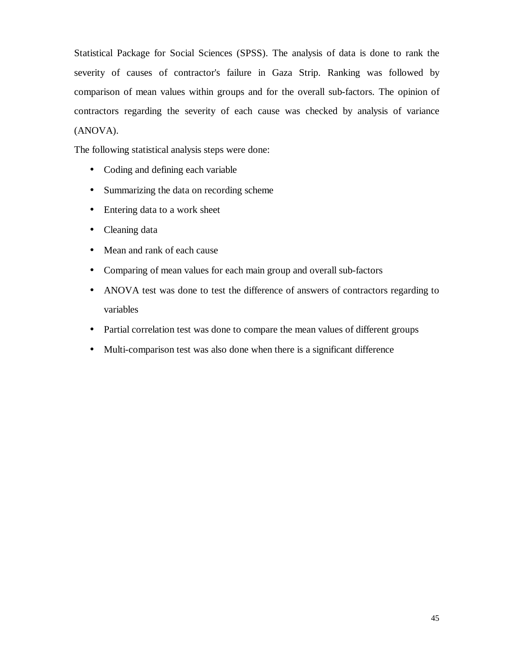Statistical Package for Social Sciences (SPSS). The analysis of data is done to rank the severity of causes of contractor's failure in Gaza Strip. Ranking was followed by comparison of mean values within groups and for the overall sub-factors. The opinion of contractors regarding the severity of each cause was checked by analysis of variance (ANOVA).

The following statistical analysis steps were done:

- Coding and defining each variable
- Summarizing the data on recording scheme
- Entering data to a work sheet
- Cleaning data
- Mean and rank of each cause
- Comparing of mean values for each main group and overall sub-factors
- ANOVA test was done to test the difference of answers of contractors regarding to variables
- Partial correlation test was done to compare the mean values of different groups
- Multi-comparison test was also done when there is a significant difference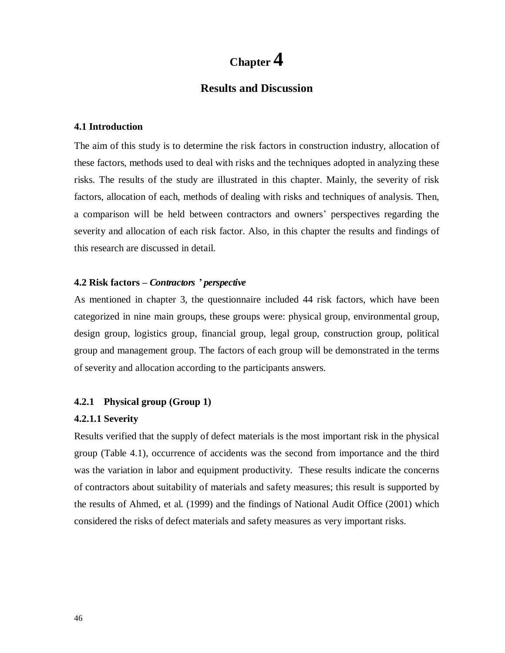# **Chapter 4**

# **Results and Discussion**

### **4.1 Introduction**

The aim of this study is to determine the risk factors in construction industry, allocation of these factors, methods used to deal with risks and the techniques adopted in analyzing these risks. The results of the study are illustrated in this chapter. Mainly, the severity of risk factors, allocation of each, methods of dealing with risks and techniques of analysis. Then, a comparison will be held between contractors and owners' perspectives regarding the severity and allocation of each risk factor. Also, in this chapter the results and findings of this research are discussed in detail.

# **4.2 Risk factors –** *Contractors ' perspective*

As mentioned in chapter 3, the questionnaire included 44 risk factors, which have been categorized in nine main groups, these groups were: physical group, environmental group, design group, logistics group, financial group, legal group, construction group, political group and management group. The factors of each group will be demonstrated in the terms of severity and allocation according to the participants answers.

## **4.2.1 Physical group (Group 1)**

## **4.2.1.1 Severity**

Results verified that the supply of defect materials is the most important risk in the physical group (Table 4.1), occurrence of accidents was the second from importance and the third was the variation in labor and equipment productivity. These results indicate the concerns of contractors about suitability of materials and safety measures; this result is supported by the results of Ahmed, et al. (1999) and the findings of National Audit Office (2001) which considered the risks of defect materials and safety measures as very important risks.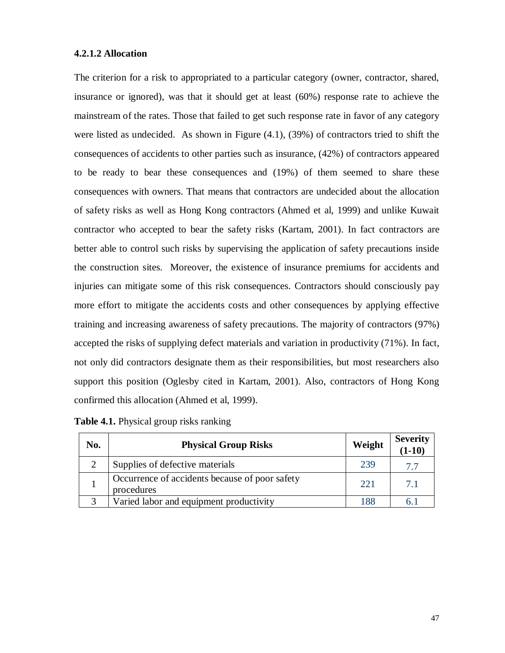#### **4.2.1.2 Allocation**

The criterion for a risk to appropriated to a particular category (owner, contractor, shared, insurance or ignored), was that it should get at least (60%) response rate to achieve the mainstream of the rates. Those that failed to get such response rate in favor of any category were listed as undecided. As shown in Figure (4.1), (39%) of contractors tried to shift the consequences of accidents to other parties such as insurance, (42%) of contractors appeared to be ready to bear these consequences and (19%) of them seemed to share these consequences with owners. That means that contractors are undecided about the allocation of safety risks as well as Hong Kong contractors (Ahmed et al, 1999) and unlike Kuwait contractor who accepted to bear the safety risks (Kartam, 2001). In fact contractors are better able to control such risks by supervising the application of safety precautions inside the construction sites. Moreover, the existence of insurance premiums for accidents and injuries can mitigate some of this risk consequences. Contractors should consciously pay more effort to mitigate the accidents costs and other consequences by applying effective training and increasing awareness of safety precautions. The majority of contractors (97%) accepted the risks of supplying defect materials and variation in productivity (71%). In fact, not only did contractors designate them as their responsibilities, but most researchers also support this position (Oglesby cited in Kartam, 2001). Also, contractors of Hong Kong confirmed this allocation (Ahmed et al, 1999).

| No. | <b>Physical Group Risks</b>                                  | Weight | <b>Severity</b><br>$(1-10)$ |
|-----|--------------------------------------------------------------|--------|-----------------------------|
|     | Supplies of defective materials                              | 239    | 7.7                         |
|     | Occurrence of accidents because of poor safety<br>procedures | 22.1   | 7.1                         |
|     | Varied labor and equipment productivity                      | 188    | 6.1                         |

| <b>Table 4.1.</b> Physical group risks ranking |  |  |  |
|------------------------------------------------|--|--|--|
|                                                |  |  |  |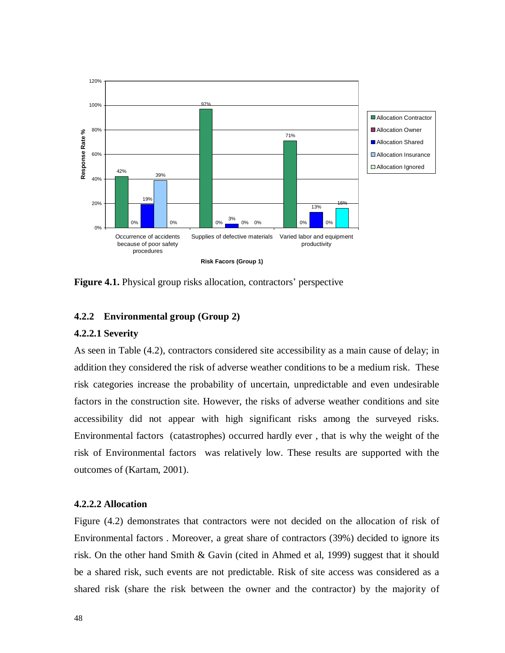

**Figure 4.1.** Physical group risks allocation, contractors' perspective

## **4.2.2 Environmental group (Group 2)**

# **4.2.2.1 Severity**

As seen in Table (4.2), contractors considered site accessibility as a main cause of delay; in addition they considered the risk of adverse weather conditions to be a medium risk. These risk categories increase the probability of uncertain, unpredictable and even undesirable factors in the construction site. However, the risks of adverse weather conditions and site accessibility did not appear with high significant risks among the surveyed risks. Environmental factors (catastrophes) occurred hardly ever , that is why the weight of the risk of Environmental factors was relatively low. These results are supported with the outcomes of (Kartam, 2001).

# **4.2.2.2 Allocation**

Figure (4.2) demonstrates that contractors were not decided on the allocation of risk of Environmental factors . Moreover, a great share of contractors (39%) decided to ignore its risk. On the other hand Smith & Gavin (cited in Ahmed et al, 1999) suggest that it should be a shared risk, such events are not predictable. Risk of site access was considered as a shared risk (share the risk between the owner and the contractor) by the majority of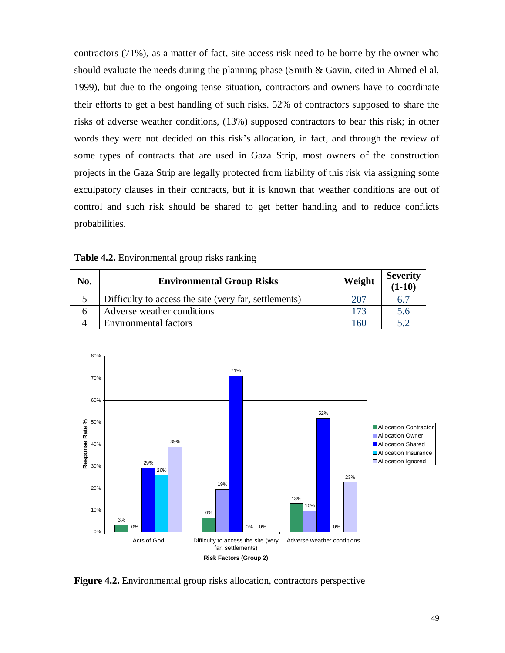contractors (71%), as a matter of fact, site access risk need to be borne by the owner who should evaluate the needs during the planning phase (Smith  $\&$  Gavin, cited in Ahmed el al, 1999), but due to the ongoing tense situation, contractors and owners have to coordinate their efforts to get a best handling of such risks. 52% of contractors supposed to share the risks of adverse weather conditions, (13%) supposed contractors to bear this risk; in other words they were not decided on this risk's allocation, in fact, and through the review of some types of contracts that are used in Gaza Strip, most owners of the construction projects in the Gaza Strip are legally protected from liability of this risk via assigning some exculpatory clauses in their contracts, but it is known that weather conditions are out of control and such risk should be shared to get better handling and to reduce conflicts probabilities.

| No. | <b>Environmental Group Risks</b>                      | Weight | Severity<br>$(1-10)$ |
|-----|-------------------------------------------------------|--------|----------------------|
|     | Difficulty to access the site (very far, settlements) | 207    | 6.7                  |
|     | Adverse weather conditions                            | 173    | 5.6                  |
|     | <b>Environmental factors</b>                          | 160    |                      |

**Table 4.2.** Environmental group risks ranking



**Figure 4.2.** Environmental group risks allocation, contractors perspective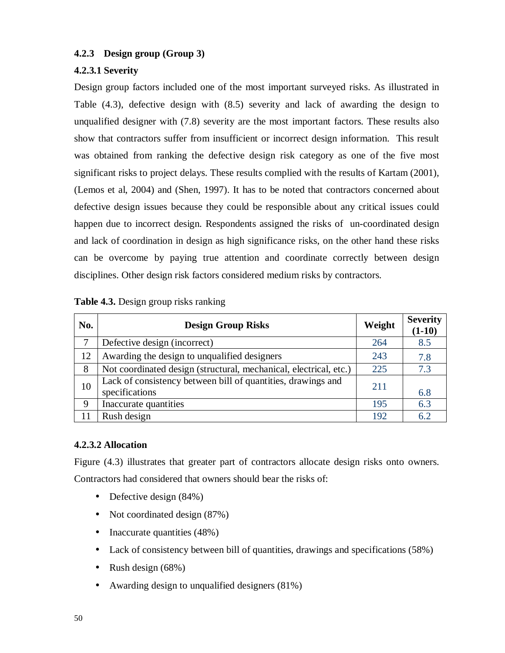# **4.2.3 Design group (Group 3)**

# **4.2.3.1 Severity**

Design group factors included one of the most important surveyed risks. As illustrated in Table (4.3), defective design with (8.5) severity and lack of awarding the design to unqualified designer with (7.8) severity are the most important factors. These results also show that contractors suffer from insufficient or incorrect design information. This result was obtained from ranking the defective design risk category as one of the five most significant risks to project delays. These results complied with the results of Kartam (2001), (Lemos et al, 2004) and (Shen, 1997). It has to be noted that contractors concerned about defective design issues because they could be responsible about any critical issues could happen due to incorrect design. Respondents assigned the risks of un-coordinated design and lack of coordination in design as high significance risks, on the other hand these risks can be overcome by paying true attention and coordinate correctly between design disciplines. Other design risk factors considered medium risks by contractors.

| No. | <b>Design Group Risks</b>                                                      | Weight | <b>Severity</b><br>$(1-10)$ |
|-----|--------------------------------------------------------------------------------|--------|-----------------------------|
| 7   | Defective design (incorrect)                                                   | 264    | 8.5                         |
| 12  | Awarding the design to unqualified designers                                   | 243    | 7.8                         |
| 8   | Not coordinated design (structural, mechanical, electrical, etc.)              | 225    | 7.3                         |
| 10  | Lack of consistency between bill of quantities, drawings and<br>specifications | 211    | 6.8                         |
| 9   | Inaccurate quantities                                                          | 195    | 6.3                         |
|     | Rush design                                                                    | 192    | 62                          |

| Table 4.3. Design group risks ranking |  |  |  |
|---------------------------------------|--|--|--|
|---------------------------------------|--|--|--|

# **4.2.3.2 Allocation**

Figure (4.3) illustrates that greater part of contractors allocate design risks onto owners. Contractors had considered that owners should bear the risks of:

- Defective design  $(84\%)$
- Not coordinated design  $(87%)$
- Inaccurate quantities (48%)
- Lack of consistency between bill of quantities, drawings and specifications (58%)
- Rush design (68%)
- Awarding design to unqualified designers (81%)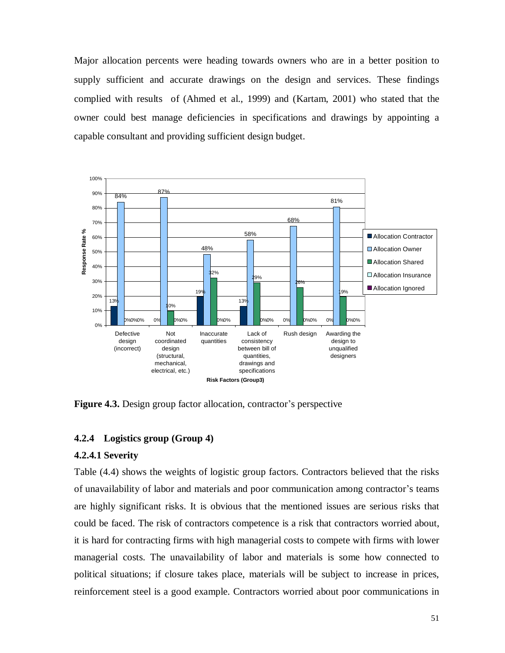Major allocation percents were heading towards owners who are in a better position to supply sufficient and accurate drawings on the design and services. These findings complied with results of (Ahmed et al., 1999) and (Kartam, 2001) who stated that the owner could best manage deficiencies in specifications and drawings by appointing a capable consultant and providing sufficient design budget.



**Figure 4.3.** Design group factor allocation, contractor's perspective

## **4.2.4 Logistics group (Group 4)**

#### **4.2.4.1 Severity**

Table (4.4) shows the weights of logistic group factors. Contractors believed that the risks of unavailability of labor and materials and poor communication among contractor's teams are highly significant risks. It is obvious that the mentioned issues are serious risks that could be faced. The risk of contractors competence is a risk that contractors worried about, it is hard for contracting firms with high managerial costs to compete with firms with lower managerial costs. The unavailability of labor and materials is some how connected to political situations; if closure takes place, materials will be subject to increase in prices, reinforcement steel is a good example. Contractors worried about poor communications in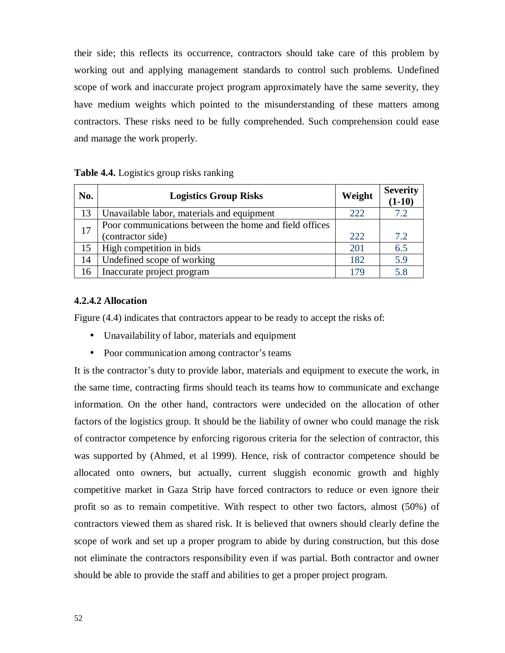their side; this reflects its occurrence, contractors should take care of this problem by working out and applying management standards to control such problems. Undefined scope of work and inaccurate project program approximately have the same severity, they have medium weights which pointed to the misunderstanding of these matters among contractors. These risks need to be fully comprehended. Such comprehension could ease and manage the work properly.

| No. | <b>Logistics Group Risks</b>                           | Weight | <b>Severity</b><br>$(1-10)$ |
|-----|--------------------------------------------------------|--------|-----------------------------|
| 13  | Unavailable labor, materials and equipment             | 222    | 7.2                         |
| 17  | Poor communications between the home and field offices |        |                             |
|     | (contractor side)                                      | 222    | 7.2                         |
| 15  | High competition in bids                               | 201    | 6.5                         |
| 14  | Undefined scope of working                             | 182    | 5.9                         |
| 16  | Inaccurate project program                             | 179    | 5.8                         |

# **Table 4.4.** Logistics group risks ranking

# **4.2.4.2 Allocation**

Figure  $(4.4)$  indicates that contractors appear to be ready to accept the risks of:

- Unavailability of labor, materials and equipment
- Poor communication among contractor's teams

It is the contractor's duty to provide labor, materials and equipment to execute the work, in the same time, contracting firms should teach its teams how to communicate and exchange information. On the other hand, contractors were undecided on the allocation of other factors of the logistics group. It should be the liability of owner who could manage the risk of contractor competence by enforcing rigorous criteria for the selection of contractor, this was supported by (Ahmed, et al 1999). Hence, risk of contractor competence should be allocated onto owners, but actually, current sluggish economic growth and highly competitive market in Gaza Strip have forced contractors to reduce or even ignore their profit so as to remain competitive. With respect to other two factors, almost (50%) of contractors viewed them as shared risk. It is believed that owners should clearly define the scope of work and set up a proper program to abide by during construction, but this dose not eliminate the contractors responsibility even if was partial. Both contractor and owner should be able to provide the staff and abilities to get a proper project program.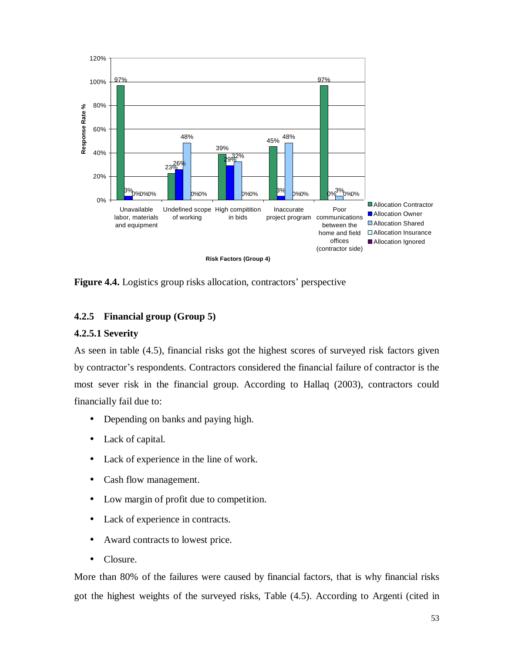

**Figure 4.4.** Logistics group risks allocation, contractors' perspective

# **4.2.5 Financial group (Group 5)**

## **4.2.5.1 Severity**

As seen in table (4.5), financial risks got the highest scores of surveyed risk factors given by contractor's respondents. Contractors considered the financial failure of contractor is the most sever risk in the financial group. According to Hallaq (2003), contractors could financially fail due to:

- Depending on banks and paying high.
- Lack of capital.
- Lack of experience in the line of work.
- Cash flow management.
- Low margin of profit due to competition.
- Lack of experience in contracts.
- Award contracts to lowest price.
- Closure.

More than 80% of the failures were caused by financial factors, that is why financial risks got the highest weights of the surveyed risks, Table (4.5). According to Argenti (cited in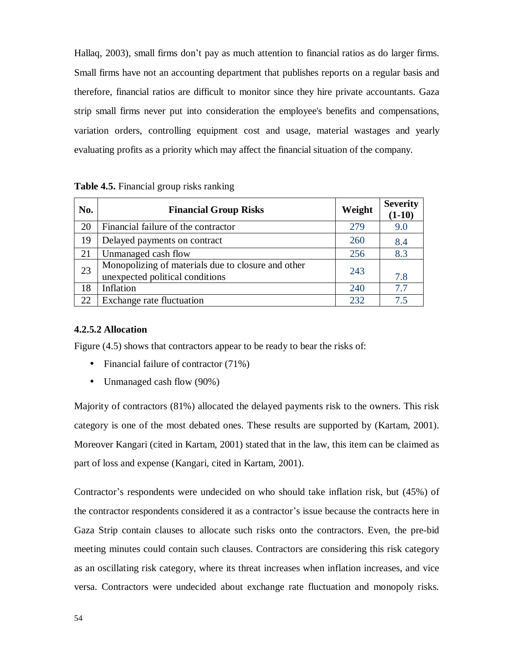Hallaq, 2003), small firms don't pay as much attention to financial ratios as do larger firms. Small firms have not an accounting department that publishes reports on a regular basis and therefore, financial ratios are difficult to monitor since they hire private accountants. Gaza strip small firms never put into consideration the employee's benefits and compensations, variation orders, controlling equipment cost and usage, material wastages and yearly evaluating profits as a priority which may affect the financial situation of the company.

| No. | <b>Financial Group Risks</b>                       | Weight | <b>Severity</b><br>$(1-10)$ |
|-----|----------------------------------------------------|--------|-----------------------------|
| 20  | Financial failure of the contractor                | 279    | 9.0                         |
| 19  | Delayed payments on contract                       | 260    | 8.4                         |
| 21  | Unmanaged cash flow                                | 256    | 8.3                         |
| 23  | Monopolizing of materials due to closure and other | 243    |                             |
|     | unexpected political conditions                    |        | 7.8                         |
| 18  | Inflation                                          | 240    | 7.7                         |
| 22  | Exchange rate fluctuation                          | 232    | 7.5                         |

# **4.2.5.2 Allocation**

Figure (4.5) shows that contractors appear to be ready to bear the risks of:

- Financial failure of contractor (71%)
- Unmanaged cash flow (90%)

Majority of contractors (81%) allocated the delayed payments risk to the owners. This risk category is one of the most debated ones. These results are supported by (Kartam, 2001). Moreover Kangari (cited in Kartam, 2001) stated that in the law, this item can be claimed as part of loss and expense (Kangari, cited in Kartam, 2001).

Contractor's respondents were undecided on who should take inflation risk, but (45%) of the contractor respondents considered it as a contractor's issue because the contracts here in Gaza Strip contain clauses to allocate such risks onto the contractors. Even, the pre-bid meeting minutes could contain such clauses. Contractors are considering this risk category as an oscillating risk category, where its threat increases when inflation increases, and vice versa. Contractors were undecided about exchange rate fluctuation and monopoly risks.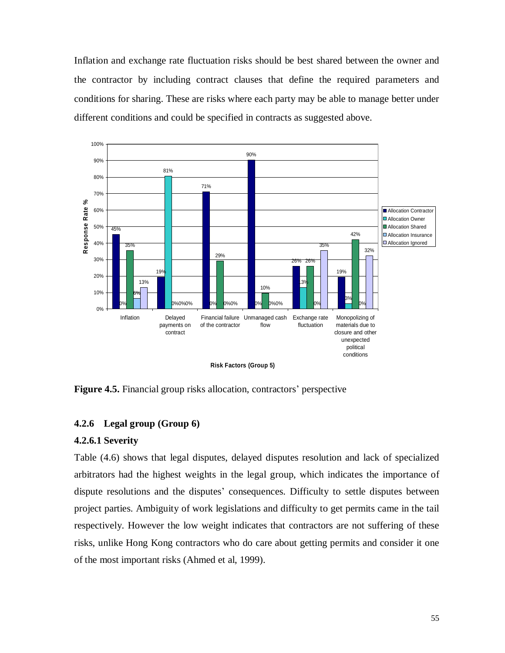Inflation and exchange rate fluctuation risks should be best shared between the owner and the contractor by including contract clauses that define the required parameters and conditions for sharing. These are risks where each party may be able to manage better under different conditions and could be specified in contracts as suggested above.



**Figure 4.5.** Financial group risks allocation, contractors' perspective

# **4.2.6 Legal group (Group 6)**

## **4.2.6.1 Severity**

Table (4.6) shows that legal disputes, delayed disputes resolution and lack of specialized arbitrators had the highest weights in the legal group, which indicates the importance of dispute resolutions and the disputes' consequences. Difficulty to settle disputes between project parties. Ambiguity of work legislations and difficulty to get permits came in the tail respectively. However the low weight indicates that contractors are not suffering of these risks, unlike Hong Kong contractors who do care about getting permits and consider it one of the most important risks (Ahmed et al, 1999).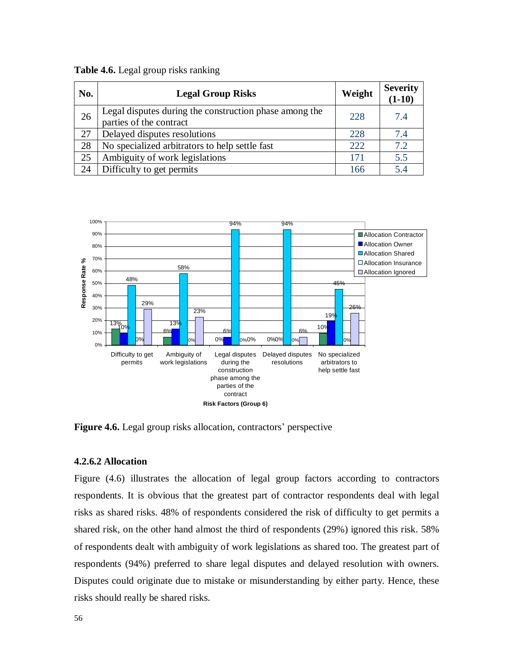| No. | <b>Legal Group Risks</b>                                                          | Weight | <b>Severity</b><br>$(1-10)$ |
|-----|-----------------------------------------------------------------------------------|--------|-----------------------------|
| 26  | Legal disputes during the construction phase among the<br>parties of the contract | 228    | 7.4                         |
| 27  | Delayed disputes resolutions                                                      | 228    | 7.4                         |
| 28  | No specialized arbitrators to help settle fast                                    | 222    | 7.2                         |
| 25  | Ambiguity of work legislations                                                    | 171    | 5.5                         |
| 24  | Difficulty to get permits                                                         | 166    | 5.4                         |





**Figure 4.6.** Legal group risks allocation, contractors' perspective

## **4.2.6.2 Allocation**

Figure (4.6) illustrates the allocation of legal group factors according to contractors respondents. It is obvious that the greatest part of contractor respondents deal with legal risks as shared risks. 48% of respondents considered the risk of difficulty to get permits a shared risk, on the other hand almost the third of respondents (29%) ignored this risk. 58% of respondents dealt with ambiguity of work legislations as shared too. The greatest part of respondents (94%) preferred to share legal disputes and delayed resolution with owners. Disputes could originate due to mistake or misunderstanding by either party. Hence, these risks should really be shared risks.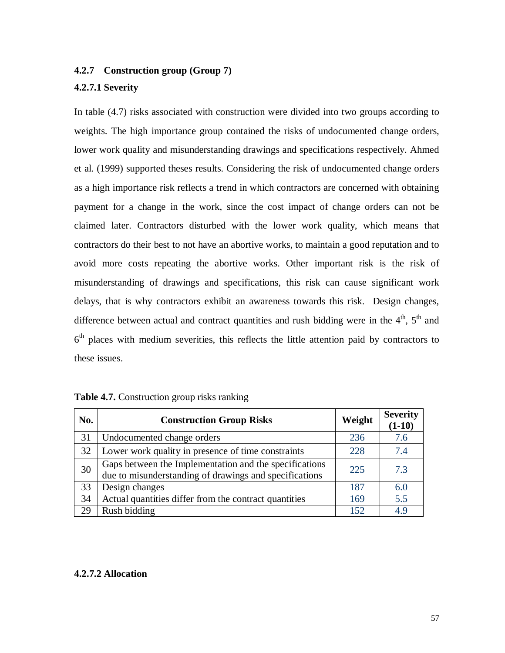# **4.2.7 Construction group (Group 7)**

## **4.2.7.1 Severity**

In table (4.7) risks associated with construction were divided into two groups according to weights. The high importance group contained the risks of undocumented change orders, lower work quality and misunderstanding drawings and specifications respectively. Ahmed et al. (1999) supported theses results. Considering the risk of undocumented change orders as a high importance risk reflects a trend in which contractors are concerned with obtaining payment for a change in the work, since the cost impact of change orders can not be claimed later. Contractors disturbed with the lower work quality, which means that contractors do their best to not have an abortive works, to maintain a good reputation and to avoid more costs repeating the abortive works. Other important risk is the risk of misunderstanding of drawings and specifications, this risk can cause significant work delays, that is why contractors exhibit an awareness towards this risk. Design changes, difference between actual and contract quantities and rush bidding were in the  $4<sup>th</sup>$ ,  $5<sup>th</sup>$  and 6<sup>th</sup> places with medium severities, this reflects the little attention paid by contractors to these issues.

| No. | <b>Construction Group Risks</b>                                                                                  | Weight | <b>Severity</b><br>$(1-10)$ |
|-----|------------------------------------------------------------------------------------------------------------------|--------|-----------------------------|
| 31  | Undocumented change orders                                                                                       | 236    | 7.6                         |
| 32  | Lower work quality in presence of time constraints                                                               | 228    | 7.4                         |
| 30  | Gaps between the Implementation and the specifications<br>due to misunderstanding of drawings and specifications | 225    | 7.3                         |
| 33  | Design changes                                                                                                   | 187    | 6.0                         |
| 34  | Actual quantities differ from the contract quantities                                                            | 169    | 5.5                         |
| 29  | Rush bidding                                                                                                     | 152    | 4.9                         |

| Table 4.7. Construction group risks ranking |  |  |
|---------------------------------------------|--|--|
|                                             |  |  |

## **4.2.7.2 Allocation**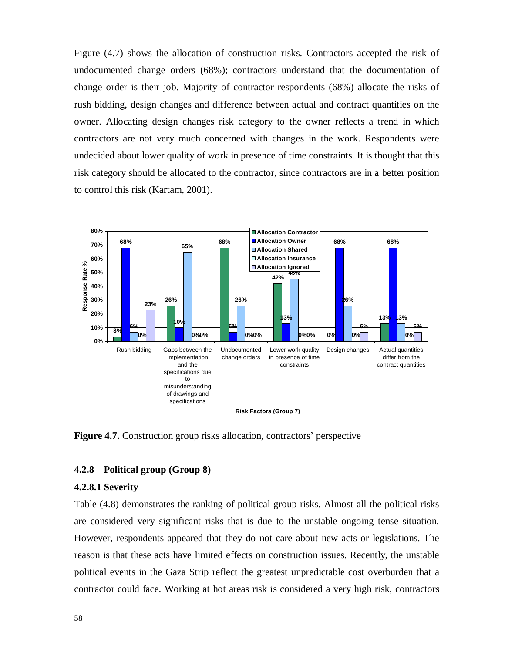Figure (4.7) shows the allocation of construction risks. Contractors accepted the risk of undocumented change orders (68%); contractors understand that the documentation of change order is their job. Majority of contractor respondents (68%) allocate the risks of rush bidding, design changes and difference between actual and contract quantities on the owner. Allocating design changes risk category to the owner reflects a trend in which contractors are not very much concerned with changes in the work. Respondents were undecided about lower quality of work in presence of time constraints. It is thought that this risk category should be allocated to the contractor, since contractors are in a better position to control this risk (Kartam, 2001).



**Figure 4.7.** Construction group risks allocation, contractors' perspective

## **4.2.8 Political group (Group 8)**

#### **4.2.8.1 Severity**

Table (4.8) demonstrates the ranking of political group risks. Almost all the political risks are considered very significant risks that is due to the unstable ongoing tense situation. However, respondents appeared that they do not care about new acts or legislations. The reason is that these acts have limited effects on construction issues. Recently, the unstable political events in the Gaza Strip reflect the greatest unpredictable cost overburden that a contractor could face. Working at hot areas risk is considered a very high risk, contractors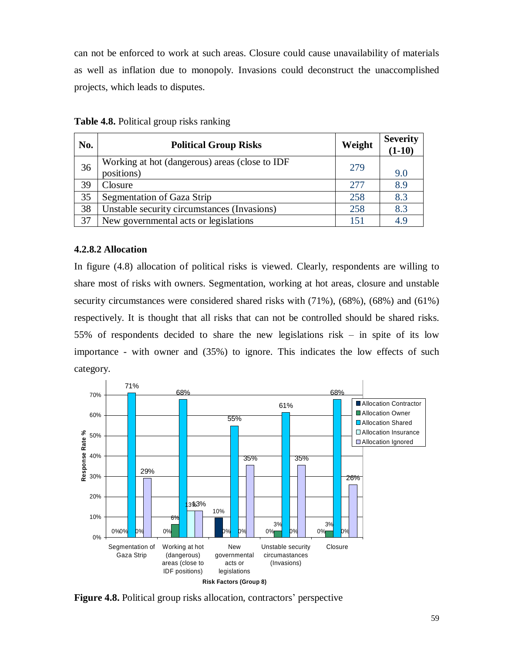can not be enforced to work at such areas. Closure could cause unavailability of materials as well as inflation due to monopoly. Invasions could deconstruct the unaccomplished projects, which leads to disputes.

| No. | <b>Political Group Risks</b>                   | Weight | <b>Severity</b><br>$(1-10)$ |
|-----|------------------------------------------------|--------|-----------------------------|
| 36  | Working at hot (dangerous) areas (close to IDF | 279    |                             |
|     | positions)                                     |        | 9.0                         |
| 39  | Closure                                        | 2.77   | 8.9                         |
| 35  | Segmentation of Gaza Strip                     | 258    | 8.3                         |
| 38  | Unstable security circumstances (Invasions)    | 258    | 8.3                         |
| 37  | New governmental acts or legislations          | 151    | 4.9                         |

**Table 4.8.** Political group risks ranking

## **4.2.8.2 Allocation**

In figure (4.8) allocation of political risks is viewed. Clearly, respondents are willing to share most of risks with owners. Segmentation, working at hot areas, closure and unstable security circumstances were considered shared risks with (71%), (68%), (68%) and (61%) respectively. It is thought that all risks that can not be controlled should be shared risks. 55% of respondents decided to share the new legislations risk – in spite of its low importance - with owner and (35%) to ignore. This indicates the low effects of such category.



**Figure 4.8.** Political group risks allocation, contractors' perspective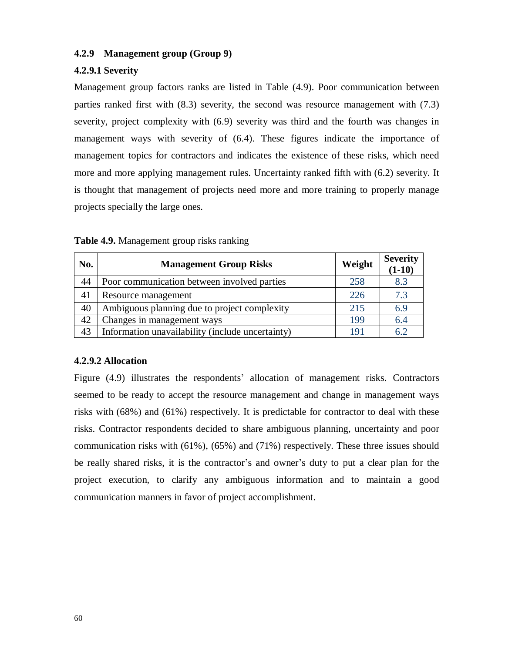## **4.2.9 Management group (Group 9)**

# **4.2.9.1 Severity**

Management group factors ranks are listed in Table (4.9). Poor communication between parties ranked first with (8.3) severity, the second was resource management with (7.3) severity, project complexity with (6.9) severity was third and the fourth was changes in management ways with severity of (6.4). These figures indicate the importance of management topics for contractors and indicates the existence of these risks, which need more and more applying management rules. Uncertainty ranked fifth with (6.2) severity. It is thought that management of projects need more and more training to properly manage projects specially the large ones.

| No. | <b>Management Group Risks</b>                    | Weight | <b>Severity</b><br>$(1-10)$ |
|-----|--------------------------------------------------|--------|-----------------------------|
| 44  | Poor communication between involved parties      | 258    | 8.3                         |
| 41  | Resource management                              | 226    | 7.3                         |
| 40  | Ambiguous planning due to project complexity     | 215    | 6.9                         |
| 42  | Changes in management ways                       | 199    | 6.4                         |
| 43  | Information unavailability (include uncertainty) | 191    | 6.2                         |

| Table 4.9. Management group risks ranking |  |  |
|-------------------------------------------|--|--|
|                                           |  |  |

# **4.2.9.2 Allocation**

Figure (4.9) illustrates the respondents' allocation of management risks. Contractors seemed to be ready to accept the resource management and change in management ways risks with (68%) and (61%) respectively. It is predictable for contractor to deal with these risks. Contractor respondents decided to share ambiguous planning, uncertainty and poor communication risks with (61%), (65%) and (71%) respectively. These three issues should be really shared risks, it is the contractor's and owner's duty to put a clear plan for the project execution, to clarify any ambiguous information and to maintain a good communication manners in favor of project accomplishment.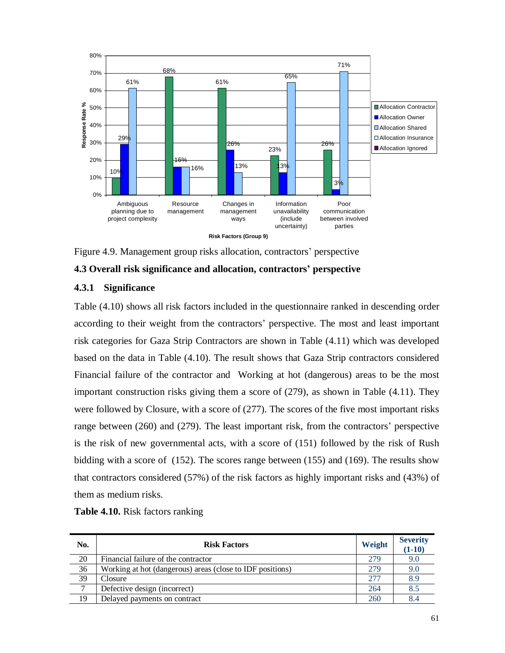

Figure 4.9. Management group risks allocation, contractors' perspective

**4.3 Overall risk significance and allocation, contractors' perspective**

# **4.3.1 Significance**

Table (4.10) shows all risk factors included in the questionnaire ranked in descending order according to their weight from the contractors' perspective. The most and least important risk categories for Gaza Strip Contractors are shown in Table (4.11) which was developed based on the data in Table (4.10). The result shows that Gaza Strip contractors considered Financial failure of the contractor and Working at hot (dangerous) areas to be the most important construction risks giving them a score of (279), as shown in Table (4.11). They were followed by Closure, with a score of (277). The scores of the five most important risks range between (260) and (279). The least important risk, from the contractors' perspective is the risk of new governmental acts, with a score of (151) followed by the risk of Rush bidding with a score of (152). The scores range between (155) and (169). The results show that contractors considered (57%) of the risk factors as highly important risks and (43%) of them as medium risks.

| No.           | <b>Risk Factors</b>                                       | Weight | <b>Severity</b><br>$(1-10)$ |
|---------------|-----------------------------------------------------------|--------|-----------------------------|
| 20            | Financial failure of the contractor                       | 279    | 9.0                         |
| 36            | Working at hot (dangerous) areas (close to IDF positions) | 279    | 9.0                         |
| 39            | Closure                                                   | 277    | 8.9                         |
| $\mathcal{I}$ | Defective design (incorrect)                              | 264    | 8.5                         |
| 19            | Delayed payments on contract                              | 260    | 8.4                         |

**Table 4.10.** Risk factors ranking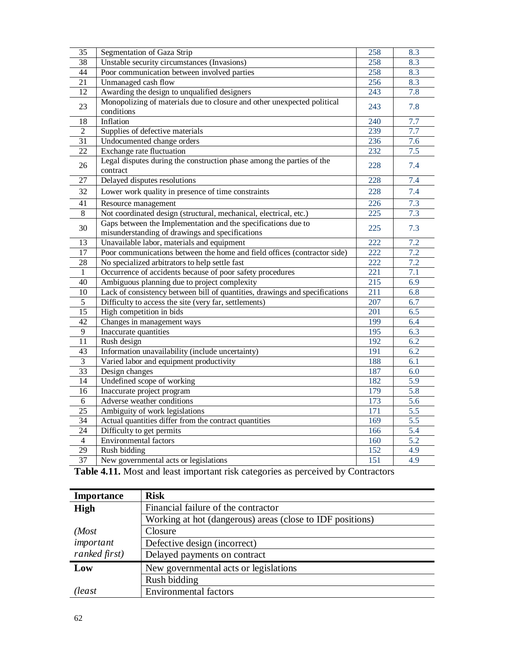| 35              | Segmentation of Gaza Strip                                                            | 258 | 8.3              |
|-----------------|---------------------------------------------------------------------------------------|-----|------------------|
| 38              | Unstable security circumstances (Invasions)                                           | 258 | 8.3              |
| 44              | Poor communication between involved parties                                           | 258 | 8.3              |
| 21              | Unmanaged cash flow                                                                   | 256 | 8.3              |
| 12              | Awarding the design to unqualified designers                                          | 243 | 7.8              |
| 23              | Monopolizing of materials due to closure and other unexpected political<br>conditions | 243 | 7.8              |
| 18              | Inflation                                                                             | 240 | 7.7              |
| 2               | Supplies of defective materials                                                       | 239 | $\overline{7.7}$ |
| $\overline{31}$ | Undocumented change orders                                                            | 236 | 7.6              |
| $\overline{22}$ | Exchange rate fluctuation                                                             | 232 | 7.5              |
| 26              | Legal disputes during the construction phase among the parties of the<br>contract     | 228 | 7.4              |
| 27              | Delayed disputes resolutions                                                          | 228 | 7.4              |
| 32              | Lower work quality in presence of time constraints                                    | 228 | 7.4              |
| 41              | Resource management                                                                   | 226 | 7.3              |
| $\,8\,$         | Not coordinated design (structural, mechanical, electrical, etc.)                     | 225 | 7.3              |
|                 | Gaps between the Implementation and the specifications due to                         |     |                  |
| 30              | misunderstanding of drawings and specifications                                       | 225 | 7.3              |
| 13              | Unavailable labor, materials and equipment                                            | 222 | 7.2              |
| 17              | Poor communications between the home and field offices (contractor side)              | 222 | 7.2              |
| 28              | No specialized arbitrators to help settle fast                                        | 222 | 7.2              |
| 1               | Occurrence of accidents because of poor safety procedures                             | 221 | 7.1              |
| 40              | Ambiguous planning due to project complexity                                          | 215 | 6.9              |
| 10              | Lack of consistency between bill of quantities, drawings and specifications           | 211 | 6.8              |
| 5               | Difficulty to access the site (very far, settlements)                                 | 207 | 6.7              |
| 15              | High competition in bids                                                              | 201 | 6.5              |
| 42              | Changes in management ways                                                            | 199 | 6.4              |
| 9               | Inaccurate quantities                                                                 | 195 | 6.3              |
| 11              | Rush design                                                                           | 192 | 6.2              |
| 43              | Information unavailability (include uncertainty)                                      | 191 | 6.2              |
| $\mathfrak{Z}$  | Varied labor and equipment productivity                                               | 188 | 6.1              |
| 33              | Design changes                                                                        | 187 | 6.0              |
| 14              | Undefined scope of working                                                            | 182 | 5.9              |
| 16              | Inaccurate project program                                                            | 179 | 5.8              |
| 6               | Adverse weather conditions                                                            | 173 | 5.6              |
| 25              | Ambiguity of work legislations                                                        | 171 | 5.5              |
| 34              | Actual quantities differ from the contract quantities                                 | 169 | 5.5              |
| 24              | Difficulty to get permits                                                             | 166 | 5.4              |
| $\overline{4}$  | <b>Environmental factors</b>                                                          | 160 | 5.2              |
| 29              | Rush bidding                                                                          | 152 | 4.9              |
| 37              | New governmental acts or legislations                                                 | 151 | 4.9              |

**Table 4.11.** Most and least important risk categories as perceived by Contractors

| <b>Importance</b> | <b>Risk</b>                                               |  |  |
|-------------------|-----------------------------------------------------------|--|--|
| <b>High</b>       | Financial failure of the contractor                       |  |  |
|                   | Working at hot (dangerous) areas (close to IDF positions) |  |  |
| (Most)            | Closure                                                   |  |  |
| important         | Defective design (incorrect)                              |  |  |
| ranked first)     | Delayed payments on contract                              |  |  |
| Low               | New governmental acts or legislations                     |  |  |
|                   | Rush bidding                                              |  |  |
| (least            | <b>Environmental factors</b>                              |  |  |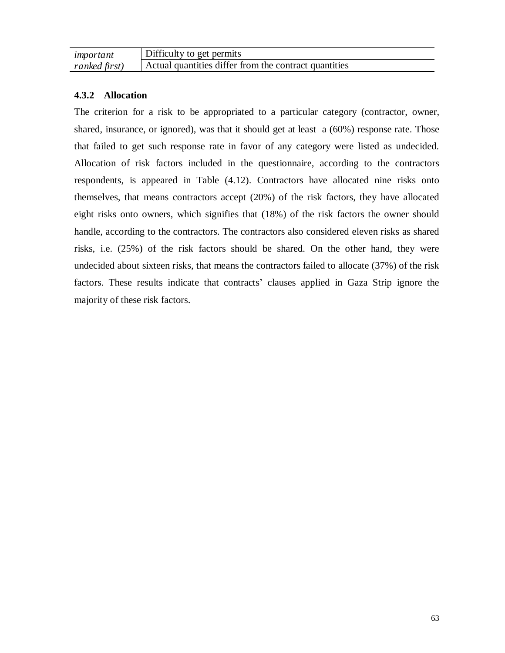| important     | Difficulty to get permits                             |
|---------------|-------------------------------------------------------|
| ranked first) | Actual quantities differ from the contract quantities |

# **4.3.2 Allocation**

The criterion for a risk to be appropriated to a particular category (contractor, owner, shared, insurance, or ignored), was that it should get at least a (60%) response rate. Those that failed to get such response rate in favor of any category were listed as undecided. Allocation of risk factors included in the questionnaire, according to the contractors respondents, is appeared in Table (4.12). Contractors have allocated nine risks onto themselves, that means contractors accept (20%) of the risk factors, they have allocated eight risks onto owners, which signifies that (18%) of the risk factors the owner should handle, according to the contractors. The contractors also considered eleven risks as shared risks, i.e. (25%) of the risk factors should be shared. On the other hand, they were undecided about sixteen risks, that means the contractors failed to allocate (37%) of the risk factors. These results indicate that contracts' clauses applied in Gaza Strip ignore the majority of these risk factors.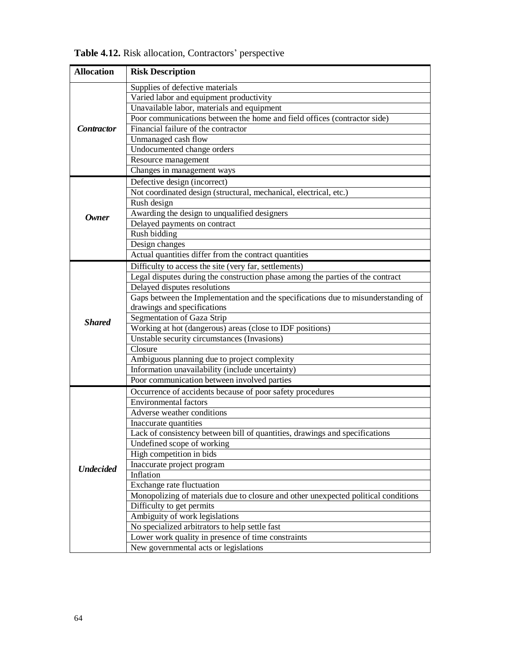| <b>Allocation</b> | <b>Risk Description</b>                                                            |
|-------------------|------------------------------------------------------------------------------------|
|                   | Supplies of defective materials                                                    |
|                   | Varied labor and equipment productivity                                            |
|                   | Unavailable labor, materials and equipment                                         |
|                   | Poor communications between the home and field offices (contractor side)           |
| <b>Contractor</b> | Financial failure of the contractor                                                |
|                   | Unmanaged cash flow                                                                |
|                   | Undocumented change orders                                                         |
|                   | Resource management                                                                |
|                   | Changes in management ways                                                         |
|                   | Defective design (incorrect)                                                       |
|                   | Not coordinated design (structural, mechanical, electrical, etc.)                  |
|                   | Rush design                                                                        |
| <b>Owner</b>      | Awarding the design to unqualified designers                                       |
|                   | Delayed payments on contract                                                       |
|                   | Rush bidding                                                                       |
|                   | Design changes                                                                     |
|                   | Actual quantities differ from the contract quantities                              |
|                   | Difficulty to access the site (very far, settlements)                              |
|                   | Legal disputes during the construction phase among the parties of the contract     |
|                   | Delayed disputes resolutions                                                       |
|                   | Gaps between the Implementation and the specifications due to misunderstanding of  |
|                   | drawings and specifications                                                        |
| <b>Shared</b>     | Segmentation of Gaza Strip                                                         |
|                   | Working at hot (dangerous) areas (close to IDF positions)                          |
|                   | Unstable security circumstances (Invasions)                                        |
|                   | Closure                                                                            |
|                   | Ambiguous planning due to project complexity                                       |
|                   | Information unavailability (include uncertainty)                                   |
|                   | Poor communication between involved parties                                        |
|                   | Occurrence of accidents because of poor safety procedures                          |
|                   | <b>Environmental factors</b>                                                       |
|                   | Adverse weather conditions                                                         |
|                   | Inaccurate quantities                                                              |
|                   | Lack of consistency between bill of quantities, drawings and specifications        |
|                   | Undefined scope of working                                                         |
|                   | High competition in bids                                                           |
| <b>Undecided</b>  | Inaccurate project program                                                         |
|                   | Inflation                                                                          |
|                   | Exchange rate fluctuation                                                          |
|                   | Monopolizing of materials due to closure and other unexpected political conditions |
|                   | Difficulty to get permits                                                          |
|                   | Ambiguity of work legislations                                                     |
|                   | No specialized arbitrators to help settle fast                                     |
|                   | Lower work quality in presence of time constraints                                 |
|                   | New governmental acts or legislations                                              |

**Table 4.12.** Risk allocation, Contractors' perspective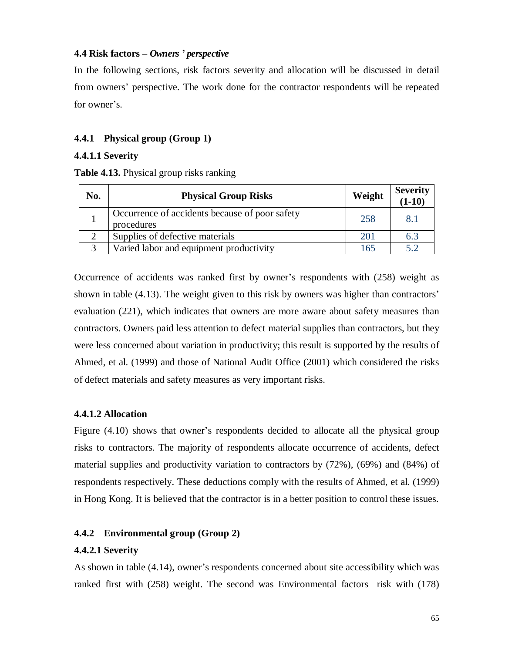## **4.4 Risk factors –** *Owners' perspective*

In the following sections, risk factors severity and allocation will be discussed in detail from owners' perspective. The work done for the contractor respondents will be repeated for owner's.

# **4.4.1 Physical group (Group 1)**

#### **4.4.1.1 Severity**

**Table 4.13.** Physical group risks ranking

| No. | <b>Physical Group Risks</b>                                  | Weight | <b>Severity</b><br>$(1-10)$ |
|-----|--------------------------------------------------------------|--------|-----------------------------|
|     | Occurrence of accidents because of poor safety<br>procedures | 258    | 8.1                         |
|     | Supplies of defective materials                              | 201    | 6.3                         |
|     | Varied labor and equipment productivity                      | 165    | 5.2                         |

Occurrence of accidents was ranked first by owner's respondents with (258) weight as shown in table (4.13). The weight given to this risk by owners was higher than contractors' evaluation (221), which indicates that owners are more aware about safety measures than contractors. Owners paid less attention to defect material supplies than contractors, but they were less concerned about variation in productivity; this result is supported by the results of Ahmed, et al. (1999) and those of National Audit Office (2001) which considered the risks of defect materials and safety measures as very important risks.

## **4.4.1.2 Allocation**

Figure (4.10) shows that owner's respondents decided to allocate all the physical group risks to contractors. The majority of respondents allocate occurrence of accidents, defect material supplies and productivity variation to contractors by (72%), (69%) and (84%) of respondents respectively. These deductions comply with the results of Ahmed, et al. (1999) in Hong Kong. It is believed that the contractor is in a better position to control these issues.

## **4.4.2 Environmental group (Group 2)**

## **4.4.2.1 Severity**

As shown in table (4.14), owner's respondents concerned about site accessibility which was ranked first with (258) weight. The second was Environmental factors risk with (178)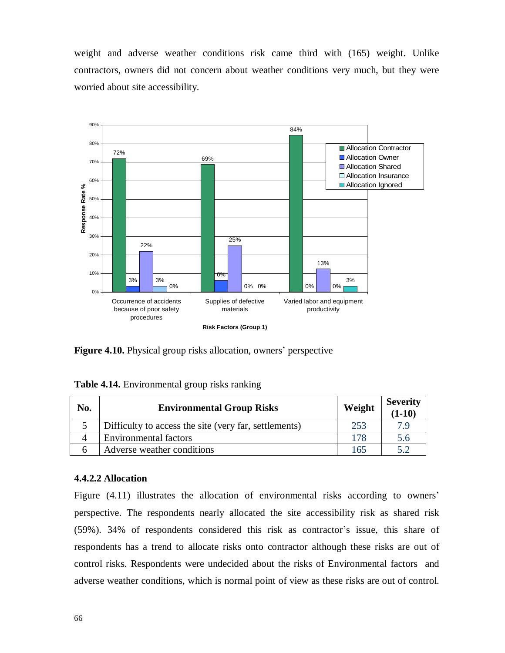weight and adverse weather conditions risk came third with (165) weight. Unlike contractors, owners did not concern about weather conditions very much, but they were worried about site accessibility.



**Figure 4.10.** Physical group risks allocation, owners' perspective

| No. | <b>Environmental Group Risks</b>                      | Weight | Severity<br>  $(1-10)$ |
|-----|-------------------------------------------------------|--------|------------------------|
|     | Difficulty to access the site (very far, settlements) | 253    | 7.9                    |
|     | Environmental factors                                 | 178    | 5.6                    |
|     | Adverse weather conditions                            | 165    |                        |

#### **4.4.2.2 Allocation**

Figure (4.11) illustrates the allocation of environmental risks according to owners' perspective. The respondents nearly allocated the site accessibility risk as shared risk (59%). 34% of respondents considered this risk as contractor's issue, this share of respondents has a trend to allocate risks onto contractor although these risks are out of control risks. Respondents were undecided about the risks of Environmental factors and adverse weather conditions, which is normal point of view as these risks are out of control.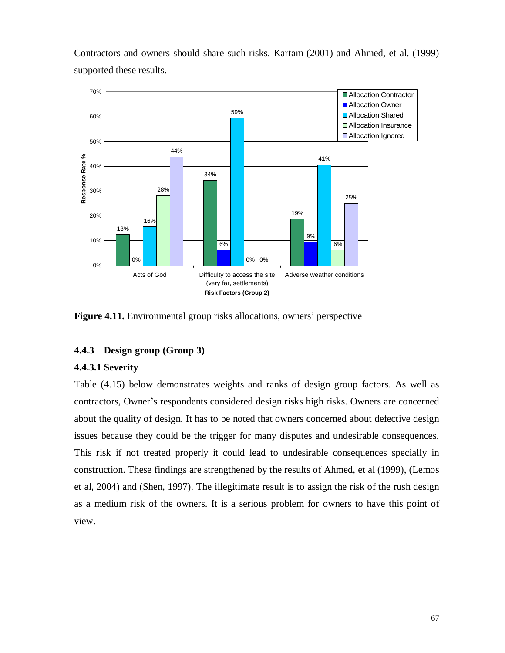

Contractors and owners should share such risks. Kartam (2001) and Ahmed, et al. (1999) supported these results.

**Figure 4.11.** Environmental group risks allocations, owners' perspective

# **4.4.3 Design group (Group 3)**

## **4.4.3.1 Severity**

Table (4.15) below demonstrates weights and ranks of design group factors. As well as contractors, Owner's respondents considered design risks high risks. Owners are concerned about the quality of design. It has to be noted that owners concerned about defective design issues because they could be the trigger for many disputes and undesirable consequences. This risk if not treated properly it could lead to undesirable consequences specially in construction. These findings are strengthened by the results of Ahmed, et al (1999), (Lemos et al, 2004) and (Shen, 1997). The illegitimate result is to assign the risk of the rush design as a medium risk of the owners. It is a serious problem for owners to have this point of view.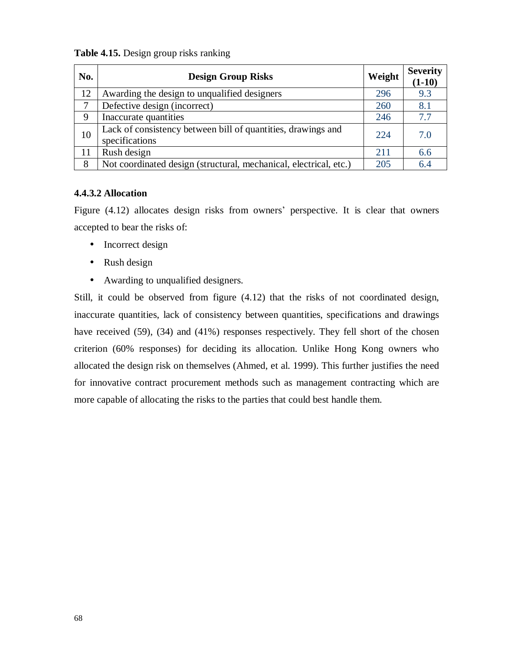| Table 4.15. Design group risks ranking |  |  |  |  |
|----------------------------------------|--|--|--|--|
|----------------------------------------|--|--|--|--|

| No. | <b>Design Group Risks</b>                                                      | Weight | <b>Severity</b><br>$(1-10)$ |
|-----|--------------------------------------------------------------------------------|--------|-----------------------------|
| 12  | Awarding the design to unqualified designers                                   | 296    | 9.3                         |
| 7   | Defective design (incorrect)                                                   | 260    | 8.1                         |
| 9   | Inaccurate quantities                                                          | 246    | 7.7                         |
| 10  | Lack of consistency between bill of quantities, drawings and<br>specifications | 224    | 7.0                         |
| 11  | Rush design                                                                    | 211    | 6.6                         |
| 8   | Not coordinated design (structural, mechanical, electrical, etc.)              | 205    | 6.4                         |

## **4.4.3.2 Allocation**

Figure (4.12) allocates design risks from owners' perspective. It is clear that owners accepted to bear the risks of:

- Incorrect design
- Rush design
- Awarding to unqualified designers.

Still, it could be observed from figure (4.12) that the risks of not coordinated design, inaccurate quantities, lack of consistency between quantities, specifications and drawings have received (59), (34) and (41%) responses respectively. They fell short of the chosen criterion (60% responses) for deciding its allocation. Unlike Hong Kong owners who allocated the design risk on themselves (Ahmed, et al. 1999). This further justifies the need for innovative contract procurement methods such as management contracting which are more capable of allocating the risks to the parties that could best handle them.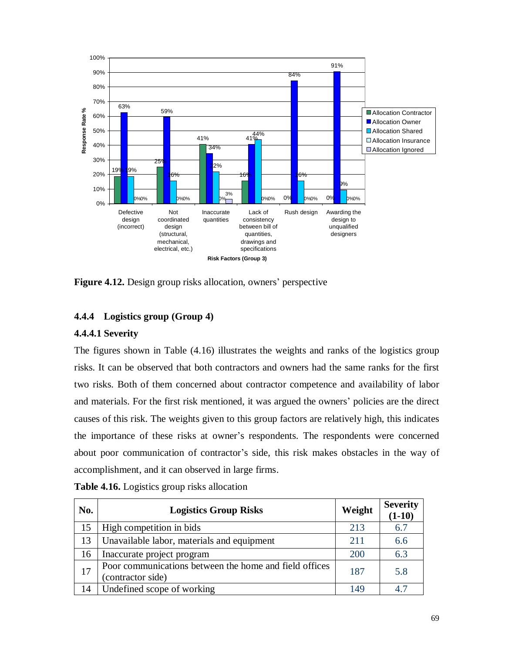

**Figure 4.12.** Design group risks allocation, owners' perspective

## **4.4.4 Logistics group (Group 4)**

## **4.4.4.1 Severity**

The figures shown in Table (4.16) illustrates the weights and ranks of the logistics group risks. It can be observed that both contractors and owners had the same ranks for the first two risks. Both of them concerned about contractor competence and availability of labor and materials. For the first risk mentioned, it was argued the owners' policies are the direct causes of this risk. The weights given to this group factors are relatively high, this indicates the importance of these risks at owner's respondents. The respondents were concerned about poor communication of contractor's side, this risk makes obstacles in the way of accomplishment, and it can observed in large firms.

| No. | <b>Logistics Group Risks</b>                                                | Weight | <b>Severity</b><br>$(1-10)$ |
|-----|-----------------------------------------------------------------------------|--------|-----------------------------|
| 15  | High competition in bids                                                    | 213    | 6.7                         |
| 13  | Unavailable labor, materials and equipment                                  | 2.11   | 6.6                         |
| 16  | Inaccurate project program                                                  | 200    | 6.3                         |
| 17  | Poor communications between the home and field offices<br>(contractor side) | 187    | 5.8                         |
| 14  | Undefined scope of working                                                  | 149    | 4.7                         |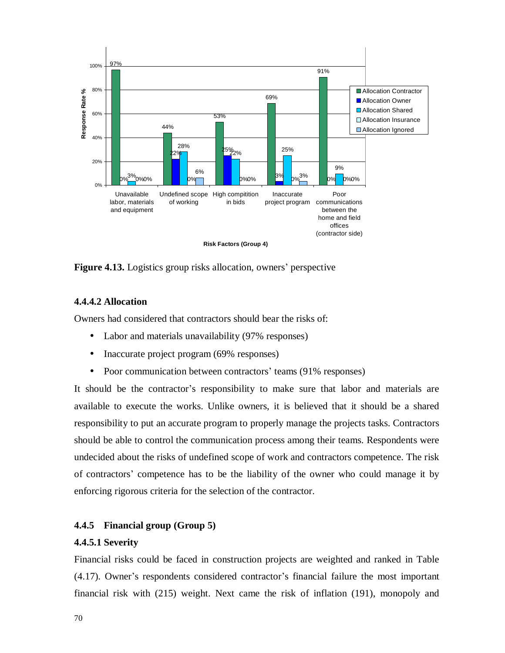

**Figure 4.13.** Logistics group risks allocation, owners' perspective

## **4.4.4.2 Allocation**

Owners had considered that contractors should bear the risks of:

- Labor and materials unavailability (97% responses)
- Inaccurate project program (69% responses)
- Poor communication between contractors' teams (91% responses)

It should be the contractor's responsibility to make sure that labor and materials are available to execute the works. Unlike owners, it is believed that it should be a shared responsibility to put an accurate program to properly manage the projects tasks. Contractors should be able to control the communication process among their teams. Respondents were undecided about the risks of undefined scope of work and contractors competence. The risk of contractors' competence has to be the liability of the owner who could manage it by enforcing rigorous criteria for the selection of the contractor.

#### **4.4.5 Financial group (Group 5)**

#### **4.4.5.1 Severity**

Financial risks could be faced in construction projects are weighted and ranked in Table (4.17). Owner's respondents considered contractor's financial failure the most important financial risk with (215) weight. Next came the risk of inflation (191), monopoly and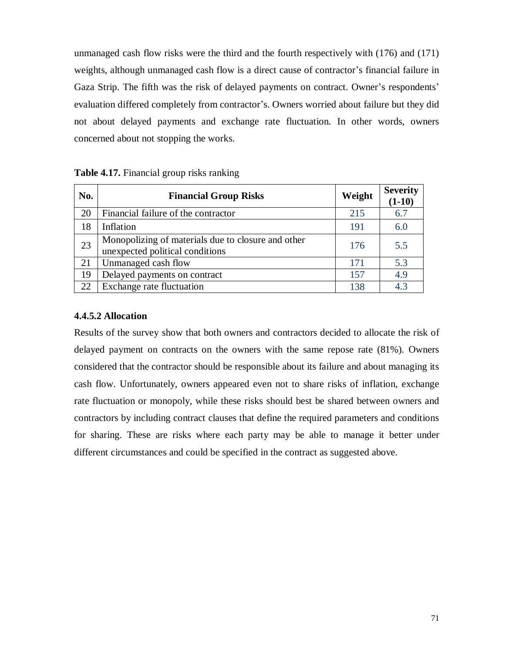unmanaged cash flow risks were the third and the fourth respectively with (176) and (171) weights, although unmanaged cash flow is a direct cause of contractor's financial failure in Gaza Strip. The fifth was the risk of delayed payments on contract. Owner's respondents' evaluation differed completely from contractor's. Owners worried about failure but they did not about delayed payments and exchange rate fluctuation. In other words, owners concerned about not stopping the works.

| No. | <b>Financial Group Risks</b>                                                          | Weight | <b>Severity</b><br>$(1-10)$ |
|-----|---------------------------------------------------------------------------------------|--------|-----------------------------|
| 20  | Financial failure of the contractor                                                   | 215    | 6.7                         |
| 18  | Inflation                                                                             | 191    | 6.0                         |
| 23  | Monopolizing of materials due to closure and other<br>unexpected political conditions | 176    | 5.5                         |
| 21  | Unmanaged cash flow                                                                   | 171    | 5.3                         |
| 19  | Delayed payments on contract                                                          | 157    | 4.9                         |
| 22  | Exchange rate fluctuation                                                             | 138    | 4.3                         |

# **Table 4.17.** Financial group risks ranking

## **4.4.5.2 Allocation**

Results of the survey show that both owners and contractors decided to allocate the risk of delayed payment on contracts on the owners with the same repose rate (81%). Owners considered that the contractor should be responsible about its failure and about managing its cash flow. Unfortunately, owners appeared even not to share risks of inflation, exchange rate fluctuation or monopoly, while these risks should best be shared between owners and contractors by including contract clauses that define the required parameters and conditions for sharing. These are risks where each party may be able to manage it better under different circumstances and could be specified in the contract as suggested above.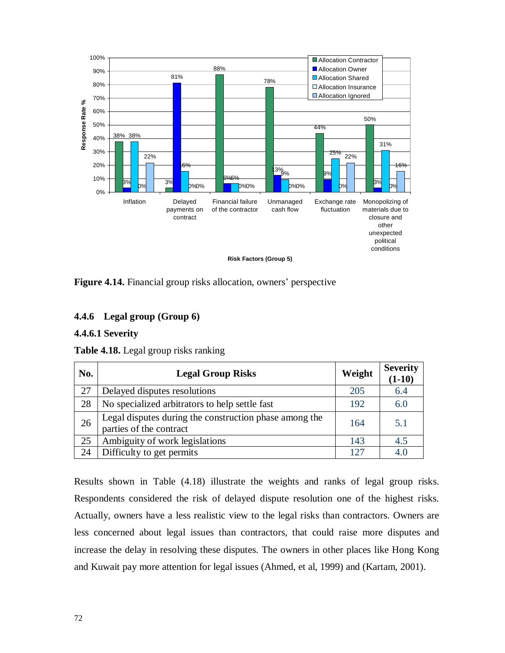

**Figure 4.14.** Financial group risks allocation, owners' perspective

# **4.4.6 Legal group (Group 6)**

#### **4.4.6.1 Severity**

| No. | <b>Legal Group Risks</b>                                                          | Weight | <b>Severity</b><br>$(1-10)$ |
|-----|-----------------------------------------------------------------------------------|--------|-----------------------------|
| 27  | Delayed disputes resolutions                                                      | 205    | 6.4                         |
| 28  | No specialized arbitrators to help settle fast                                    | 192    | 6.0                         |
| 26  | Legal disputes during the construction phase among the<br>parties of the contract | 164    | 5.1                         |
| 25  | Ambiguity of work legislations                                                    | 143    | 4.5                         |
| 24  | Difficulty to get permits                                                         | 127    | 4.0                         |

**Table 4.18.** Legal group risks ranking

Results shown in Table (4.18) illustrate the weights and ranks of legal group risks. Respondents considered the risk of delayed dispute resolution one of the highest risks. Actually, owners have a less realistic view to the legal risks than contractors. Owners are less concerned about legal issues than contractors, that could raise more disputes and increase the delay in resolving these disputes. The owners in other places like Hong Kong and Kuwait pay more attention for legal issues (Ahmed, et al, 1999) and (Kartam, 2001).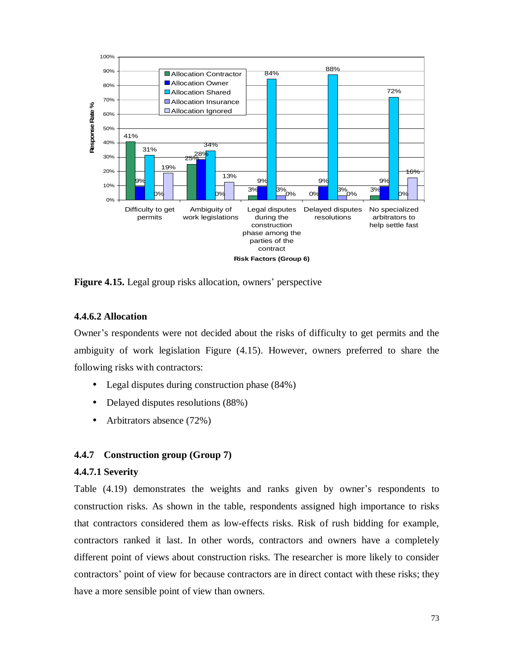

**Figure 4.15.** Legal group risks allocation, owners' perspective

## **4.4.6.2 Allocation**

Owner's respondents were not decided about the risks of difficulty to get permits and the ambiguity of work legislation Figure (4.15). However, owners preferred to share the following risks with contractors:

- Legal disputes during construction phase (84%)
- Delayed disputes resolutions (88%)
- Arbitrators absence (72%)

## **4.4.7 Construction group (Group 7)**

## **4.4.7.1 Severity**

Table (4.19) demonstrates the weights and ranks given by owner's respondents to construction risks. As shown in the table, respondents assigned high importance to risks that contractors considered them as low-effects risks. Risk of rush bidding for example, contractors ranked it last. In other words, contractors and owners have a completely different point of views about construction risks. The researcher is more likely to consider contractors' point of view for because contractors are in direct contact with these risks; they have a more sensible point of view than owners.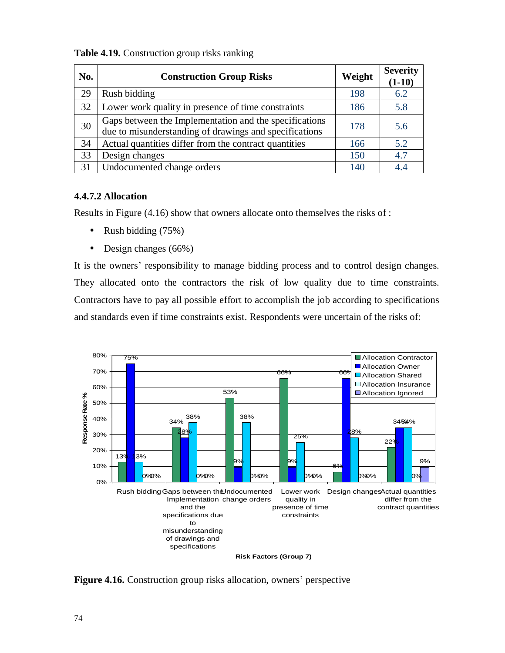| No. | <b>Construction Group Risks</b>                                                                                  | Weight | <b>Severity</b><br>$(1-10)$ |
|-----|------------------------------------------------------------------------------------------------------------------|--------|-----------------------------|
| 29  | Rush bidding                                                                                                     | 198    | 6.2                         |
| 32  | Lower work quality in presence of time constraints                                                               | 186    | 5.8                         |
| 30  | Gaps between the Implementation and the specifications<br>due to misunderstanding of drawings and specifications | 178    | 5.6                         |
| 34  | Actual quantities differ from the contract quantities                                                            | 166    | 5.2                         |
| 33  | Design changes                                                                                                   | 150    | 4.7                         |
| 31  | Undocumented change orders                                                                                       | 140    | 44                          |

**Table 4.19.** Construction group risks ranking

## **4.4.7.2 Allocation**

Results in Figure (4.16) show that owners allocate onto themselves the risks of :

- Rush bidding (75%)
- Design changes (66%)

It is the owners' responsibility to manage bidding process and to control design changes. They allocated onto the contractors the risk of low quality due to time constraints. Contractors have to pay all possible effort to accomplish the job according to specifications and standards even if time constraints exist. Respondents were uncertain of the risks of:



**Figure 4.16.** Construction group risks allocation, owners' perspective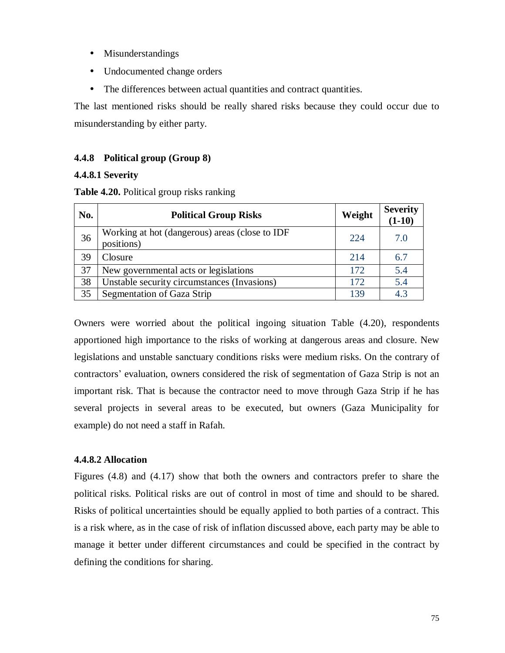- Misunderstandings
- Undocumented change orders
- The differences between actual quantities and contract quantities.

The last mentioned risks should be really shared risks because they could occur due to misunderstanding by either party.

# **4.4.8 Political group (Group 8)**

## **4.4.8.1 Severity**

**Table 4.20.** Political group risks ranking

| No. | <b>Political Group Risks</b>                                 | Weight | <b>Severity</b><br>$(1-10)$ |
|-----|--------------------------------------------------------------|--------|-----------------------------|
| 36  | Working at hot (dangerous) areas (close to IDF<br>positions) | 224    | 7.0                         |
| 39  | Closure                                                      | 214    | 6.7                         |
| 37  | New governmental acts or legislations                        | 172    | 5.4                         |
| 38  | Unstable security circumstances (Invasions)                  | 172    | 5.4                         |
| 35  | Segmentation of Gaza Strip                                   | 139    | 4.3                         |

Owners were worried about the political ingoing situation Table (4.20), respondents apportioned high importance to the risks of working at dangerous areas and closure. New legislations and unstable sanctuary conditions risks were medium risks. On the contrary of contractors' evaluation, owners considered the risk of segmentation of Gaza Strip is not an important risk. That is because the contractor need to move through Gaza Strip if he has several projects in several areas to be executed, but owners (Gaza Municipality for example) do not need a staff in Rafah.

## **4.4.8.2 Allocation**

Figures (4.8) and (4.17) show that both the owners and contractors prefer to share the political risks. Political risks are out of control in most of time and should to be shared. Risks of political uncertainties should be equally applied to both parties of a contract. This is a risk where, as in the case of risk of inflation discussed above, each party may be able to manage it better under different circumstances and could be specified in the contract by defining the conditions for sharing.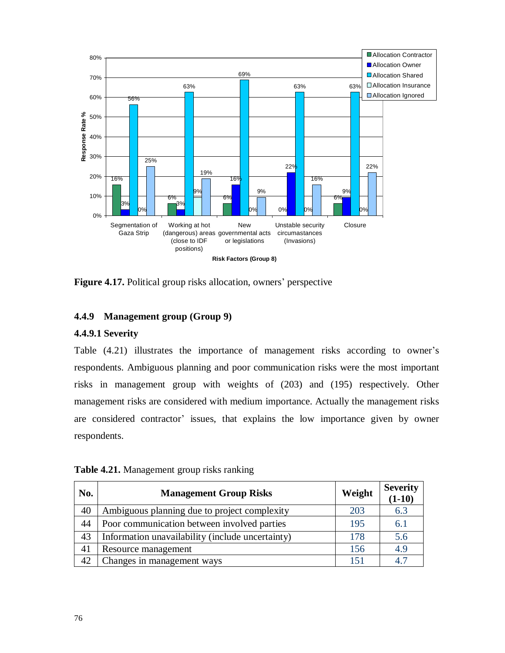

**Figure 4.17.** Political group risks allocation, owners' perspective

## **4.4.9 Management group (Group 9)**

## **4.4.9.1 Severity**

Table (4.21) illustrates the importance of management risks according to owner's respondents. Ambiguous planning and poor communication risks were the most important risks in management group with weights of (203) and (195) respectively. Other management risks are considered with medium importance. Actually the management risks are considered contractor' issues, that explains the low importance given by owner respondents.

| No. | <b>Management Group Risks</b>                    | Weight | <b>Severity</b><br>$(1-10)$ |
|-----|--------------------------------------------------|--------|-----------------------------|
| 40  | Ambiguous planning due to project complexity     | 203    | 6.3                         |
| 44  | Poor communication between involved parties      | 195    | 6.1                         |
| 43  | Information unavailability (include uncertainty) | 178    | 5.6                         |
| 41  | Resource management                              | 156    | 4.9                         |
| 42  | Changes in management ways                       | 151    | 4.7                         |

**Table 4.21.** Management group risks ranking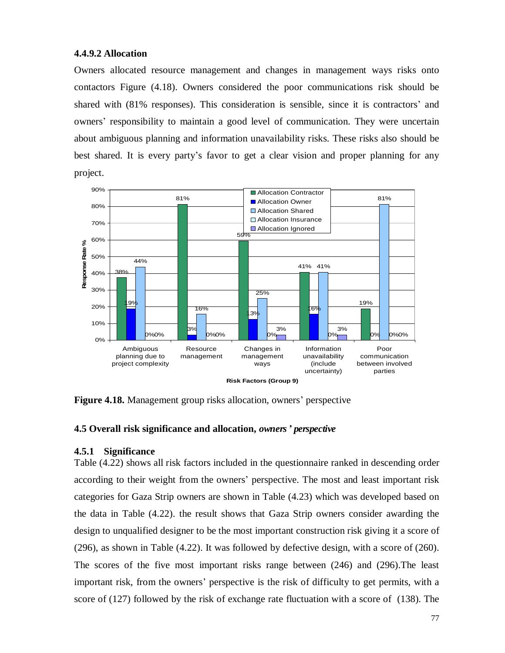#### **4.4.9.2 Allocation**

Owners allocated resource management and changes in management ways risks onto contactors Figure (4.18). Owners considered the poor communications risk should be shared with (81% responses). This consideration is sensible, since it is contractors' and owners' responsibility to maintain a good level of communication. They were uncertain about ambiguous planning and information unavailability risks. These risks also should be best shared. It is every party's favor to get a clear vision and proper planning for any project.



**Figure 4.18.** Management group risks allocation, owners' perspective

#### **4.5 Overall risk significance and allocation,** *owners' perspective*

## **4.5.1 Significance**

Table (4.22) shows all risk factors included in the questionnaire ranked in descending order according to their weight from the owners' perspective. The most and least important risk categories for Gaza Strip owners are shown in Table (4.23) which was developed based on the data in Table (4.22). the result shows that Gaza Strip owners consider awarding the design to unqualified designer to be the most important construction risk giving it a score of (296), as shown in Table (4.22). It was followed by defective design, with a score of (260). The scores of the five most important risks range between (246) and (296).The least important risk, from the owners' perspective is the risk of difficulty to get permits, with a score of (127) followed by the risk of exchange rate fluctuation with a score of (138). The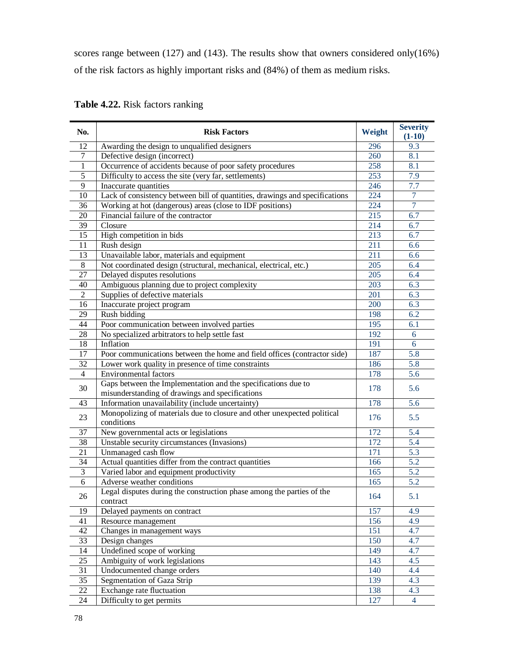scores range between (127) and (143). The results show that owners considered only(16%) of the risk factors as highly important risks and (84%) of them as medium risks.

|  | Table 4.22. Risk factors ranking |  |
|--|----------------------------------|--|
|--|----------------------------------|--|

| No.            | <b>Risk Factors</b>                                                               | Weight | <b>Severity</b><br>$(1-10)$ |
|----------------|-----------------------------------------------------------------------------------|--------|-----------------------------|
| 12             | Awarding the design to unqualified designers                                      | 296    | 9.3                         |
| $\tau$         | Defective design (incorrect)                                                      | 260    | 8.1                         |
| 1              | Occurrence of accidents because of poor safety procedures                         | 258    | 8.1                         |
| 5              | Difficulty to access the site (very far, settlements)                             | 253    | 7.9                         |
| 9              | Inaccurate quantities                                                             | 246    | 7.7                         |
| 10             | Lack of consistency between bill of quantities, drawings and specifications       | 224    | $\overline{7}$              |
| 36             | Working at hot (dangerous) areas (close to IDF positions)                         | 224    | $\overline{7}$              |
| 20             | Financial failure of the contractor                                               | 215    | 6.7                         |
| 39             | Closure                                                                           | 214    | 6.7                         |
| 15             | High competition in bids                                                          | 213    | 6.7                         |
| 11             | Rush design                                                                       | 211    | 6.6                         |
| 13             | Unavailable labor, materials and equipment                                        | 211    | 6.6                         |
| 8              | Not coordinated design (structural, mechanical, electrical, etc.)                 | 205    | 6.4                         |
| 27             | Delayed disputes resolutions                                                      | 205    | 6.4                         |
| 40             | Ambiguous planning due to project complexity                                      | 203    | 6.3                         |
| $\mathfrak{2}$ | Supplies of defective materials                                                   | 201    | 6.3                         |
| 16             | Inaccurate project program                                                        | 200    | 6.3                         |
| 29             | Rush bidding                                                                      | 198    | 6.2                         |
| 44             | Poor communication between involved parties                                       | 195    | 6.1                         |
| 28             | No specialized arbitrators to help settle fast                                    | 192    | 6                           |
| 18             | Inflation                                                                         | 191    | 6                           |
| 17             | Poor communications between the home and field offices (contractor side)          | 187    | 5.8                         |
| 32             | Lower work quality in presence of time constraints                                | 186    | 5.8                         |
| $\overline{4}$ | <b>Environmental factors</b>                                                      | 178    | 5.6                         |
|                | Gaps between the Implementation and the specifications due to                     |        |                             |
| 30             | misunderstanding of drawings and specifications                                   | 178    | 5.6                         |
| 43             | Information unavailability (include uncertainty)                                  | 178    | 5.6                         |
|                | Monopolizing of materials due to closure and other unexpected political           |        |                             |
| 23             | conditions                                                                        | 176    | 5.5                         |
| 37             | New governmental acts or legislations                                             | 172    | 5.4                         |
| 38             | Unstable security circumstances (Invasions)                                       | 172    | 5.4                         |
| 21             | Unmanaged cash flow                                                               | 171    | 5.3                         |
| 34             | Actual quantities differ from the contract quantities                             | 166    | 5.2                         |
| 3              | Varied labor and equipment productivity                                           | 165    | 5.2                         |
| 6              | Adverse weather conditions                                                        | 165    | 5.2                         |
| 26             | Legal disputes during the construction phase among the parties of the<br>contract | 164    | 5.1                         |
| 19             | Delayed payments on contract                                                      | 157    | 4.9                         |
| 41             | Resource management                                                               | 156    | 4.9                         |
| 42             | Changes in management ways                                                        | 151    | 4.7                         |
| 33             | Design changes                                                                    | 150    | 4.7                         |
| 14             | Undefined scope of working                                                        | 149    | 4.7                         |
| 25             | Ambiguity of work legislations                                                    | 143    | 4.5                         |
| 31             | Undocumented change orders                                                        | 140    | 4.4                         |
| 35             | Segmentation of Gaza Strip                                                        | 139    | 4.3                         |
| 22             | <b>Exchange rate fluctuation</b>                                                  | 138    | 4.3                         |
| 24             | Difficulty to get permits                                                         | 127    | $\overline{4}$              |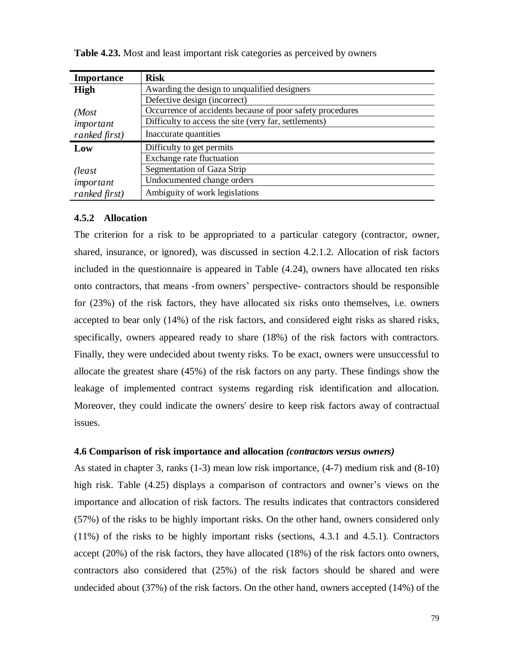| <b>Importance</b> | <b>Risk</b>                                               |
|-------------------|-----------------------------------------------------------|
| <b>High</b>       | Awarding the design to unqualified designers              |
|                   | Defective design (incorrect)                              |
| (Most             | Occurrence of accidents because of poor safety procedures |
| important         | Difficulty to access the site (very far, settlements)     |
| ranked first)     | Inaccurate quantities                                     |
| Low               | Difficulty to get permits                                 |
|                   | Exchange rate fluctuation                                 |
| (least            | Segmentation of Gaza Strip                                |
| important         | Undocumented change orders                                |
| ranked first)     | Ambiguity of work legislations                            |

**Table 4.23.** Most and least important risk categories as perceived by owners

#### **4.5.2 Allocation**

The criterion for a risk to be appropriated to a particular category (contractor, owner, shared, insurance, or ignored), was discussed in section 4.2.1.2. Allocation of risk factors included in the questionnaire is appeared in Table (4.24), owners have allocated ten risks onto contractors, that means -from owners' perspective- contractors should be responsible for (23%) of the risk factors, they have allocated six risks onto themselves, i.e. owners accepted to bear only (14%) of the risk factors, and considered eight risks as shared risks, specifically, owners appeared ready to share (18%) of the risk factors with contractors. Finally, they were undecided about twenty risks. To be exact, owners were unsuccessful to allocate the greatest share (45%) of the risk factors on any party. These findings show the leakage of implemented contract systems regarding risk identification and allocation. Moreover, they could indicate the owners' desire to keep risk factors away of contractual issues.

## **4.6 Comparison of risk importance and allocation** *(contractors versus owners)*

As stated in chapter 3, ranks (1-3) mean low risk importance, (4-7) medium risk and (8-10) high risk. Table (4.25) displays a comparison of contractors and owner's views on the importance and allocation of risk factors. The results indicates that contractors considered (57%) of the risks to be highly important risks. On the other hand, owners considered only (11%) of the risks to be highly important risks (sections, 4.3.1 and 4.5.1). Contractors accept (20%) of the risk factors, they have allocated (18%) of the risk factors onto owners, contractors also considered that (25%) of the risk factors should be shared and were undecided about (37%) of the risk factors. On the other hand, owners accepted (14%) of the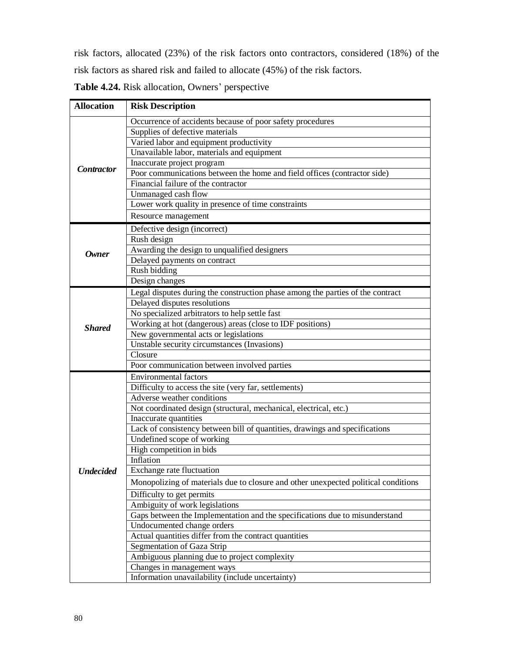risk factors, allocated (23%) of the risk factors onto contractors, considered (18%) of the risk factors as shared risk and failed to allocate (45%) of the risk factors.

| <b>Table 4.24.</b> Risk allocation, Owners' perspective |  |
|---------------------------------------------------------|--|
|---------------------------------------------------------|--|

| <b>Allocation</b> | <b>Risk Description</b>                                                            |
|-------------------|------------------------------------------------------------------------------------|
|                   | Occurrence of accidents because of poor safety procedures                          |
|                   | Supplies of defective materials                                                    |
|                   | Varied labor and equipment productivity                                            |
|                   | Unavailable labor, materials and equipment                                         |
|                   | Inaccurate project program                                                         |
| <b>Contractor</b> | Poor communications between the home and field offices (contractor side)           |
|                   | Financial failure of the contractor                                                |
|                   | Unmanaged cash flow                                                                |
|                   | Lower work quality in presence of time constraints                                 |
|                   | Resource management                                                                |
|                   | Defective design (incorrect)                                                       |
|                   | Rush design                                                                        |
| <b>Owner</b>      | Awarding the design to unqualified designers                                       |
|                   | Delayed payments on contract                                                       |
|                   | Rush bidding                                                                       |
|                   | Design changes                                                                     |
|                   | Legal disputes during the construction phase among the parties of the contract     |
|                   | Delayed disputes resolutions                                                       |
|                   | No specialized arbitrators to help settle fast                                     |
| <b>Shared</b>     | Working at hot (dangerous) areas (close to IDF positions)                          |
|                   | New governmental acts or legislations                                              |
|                   | Unstable security circumstances (Invasions)                                        |
|                   | Closure                                                                            |
|                   | Poor communication between involved parties                                        |
|                   | <b>Environmental factors</b>                                                       |
|                   | Difficulty to access the site (very far, settlements)                              |
|                   | Adverse weather conditions                                                         |
|                   | Not coordinated design (structural, mechanical, electrical, etc.)                  |
|                   | Inaccurate quantities                                                              |
|                   | Lack of consistency between bill of quantities, drawings and specifications        |
|                   | Undefined scope of working                                                         |
|                   | High competition in bids                                                           |
|                   | Inflation                                                                          |
| <b>Undecided</b>  | Exchange rate fluctuation                                                          |
|                   | Monopolizing of materials due to closure and other unexpected political conditions |
|                   | Difficulty to get permits                                                          |
|                   | Ambiguity of work legislations                                                     |
|                   | Gaps between the Implementation and the specifications due to misunderstand        |
|                   | Undocumented change orders                                                         |
|                   | Actual quantities differ from the contract quantities                              |
|                   | Segmentation of Gaza Strip                                                         |
|                   | Ambiguous planning due to project complexity                                       |
|                   | Changes in management ways                                                         |
|                   | Information unavailability (include uncertainty)                                   |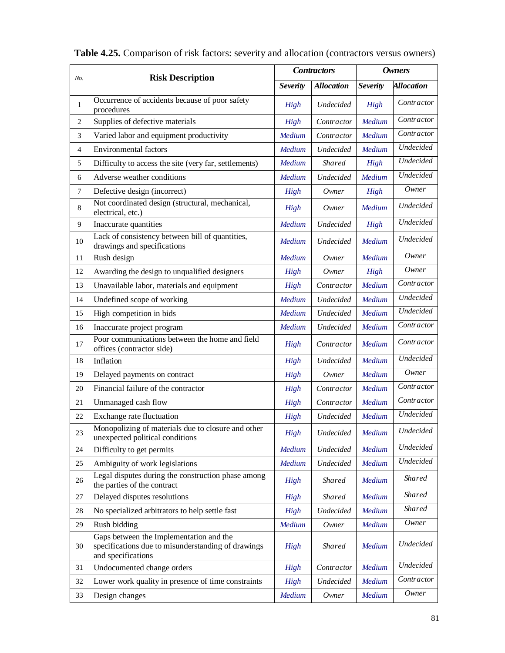|                |                                                                                                                     | <b>Contractors</b> |                   | <b>Owners</b> |                   |  |
|----------------|---------------------------------------------------------------------------------------------------------------------|--------------------|-------------------|---------------|-------------------|--|
| No.            | <b>Risk Description</b>                                                                                             | <b>Severity</b>    | <b>Allocation</b> |               | <b>Allocation</b> |  |
| $\mathbf{1}$   | Occurrence of accidents because of poor safety<br>procedures                                                        | High               | Undecided         | High          | Contractor        |  |
| 2              | Supplies of defective materials                                                                                     | High               | Contractor        | Medium        | Contractor        |  |
| 3              | Varied labor and equipment productivity                                                                             | Medium             | Contractor        | Medium        | Contractor        |  |
| $\overline{4}$ | <b>Environmental factors</b>                                                                                        | Medium             | Undecided         | Medium        | Undecided         |  |
| 5              | Difficulty to access the site (very far, settlements)                                                               | Medium             | <b>Shared</b>     | High          | Undecided         |  |
| 6              | Adverse weather conditions                                                                                          | Medium             | Undecided         | Medium        | Undecided         |  |
| $\tau$         | Defective design (incorrect)                                                                                        | High               | Owner             | High          | Owner             |  |
| 8              | Not coordinated design (structural, mechanical,<br>electrical, etc.)                                                | <b>High</b>        | Owner             | Medium        | Undecided         |  |
| 9              | Inaccurate quantities                                                                                               | Medium             | Undecided         | High          | <b>Undecided</b>  |  |
| 10             | Lack of consistency between bill of quantities,<br>drawings and specifications                                      | Medium             | Undecided         | Medium        | Undecided         |  |
| 11             | Rush design                                                                                                         | <b>Medium</b>      | Owner             | Medium        | Owner             |  |
| 12             | Awarding the design to unqualified designers                                                                        | High               | Owner             | High          | Owner             |  |
| 13             | Unavailable labor, materials and equipment                                                                          | High               | Contractor        | Medium        | Contractor        |  |
| 14             | Undefined scope of working                                                                                          | Medium             | Undecided         | Medium        | Undecided         |  |
| 15             | High competition in bids                                                                                            | Medium             | Undecided         | Medium        | Undecided         |  |
| 16             | Inaccurate project program                                                                                          | Medium             | Undecided         | Medium        | Contractor        |  |
| 17             | Poor communications between the home and field<br>offices (contractor side)                                         | High               | Contractor        | Medium        | Contractor        |  |
| 18             | Inflation                                                                                                           | High               | Undecided         | Medium        | Undecided         |  |
| 19             | Delayed payments on contract                                                                                        | <b>High</b>        | Owner             | Medium        | Owner             |  |
| 20             | Financial failure of the contractor                                                                                 | High               | Contractor        | Medium        | Contractor        |  |
| 21             | Unmanaged cash flow                                                                                                 | High               | Contractor        | Medium        | Contractor        |  |
| 22             | Exchange rate fluctuation                                                                                           | <b>High</b>        | Undecided         | Medium        | Undecided         |  |
| 23             | Monopolizing of materials due to closure and other<br>unexpected political conditions                               | High               | Undecided         | <b>Medium</b> | Undecided         |  |
| 24             | Difficulty to get permits                                                                                           | Medium             | Undecided         | Medium        | Undecided         |  |
| 25             | Ambiguity of work legislations                                                                                      | Medium             | Undecided         | Medium        | Undecided         |  |
| 26             | Legal disputes during the construction phase among<br>the parties of the contract                                   | High               | <b>Shared</b>     | Medium        | <b>Shared</b>     |  |
| 27             | Delayed disputes resolutions                                                                                        | High               | Shared            | Medium        | Shared            |  |
| 28             | No specialized arbitrators to help settle fast                                                                      | <b>High</b>        | Undecided         | Medium        | Shared            |  |
| 29             | Rush bidding                                                                                                        | Medium             | Owner             | Medium        | Owner             |  |
| 30             | Gaps between the Implementation and the<br>specifications due to misunderstanding of drawings<br>and specifications | High               | <b>Shared</b>     | Medium        | Undecided         |  |
| 31             | Undocumented change orders                                                                                          | High               | Contractor        | Medium        | Undecided         |  |
| 32             | Lower work quality in presence of time constraints                                                                  | High               | Undecided         | Medium        | Contractor        |  |
| 33             | Design changes                                                                                                      | Medium             | Owner             | Medium        | Owner             |  |

| Table 4.25. Comparison of risk factors: severity and allocation (contractors versus owners) |  |
|---------------------------------------------------------------------------------------------|--|
|---------------------------------------------------------------------------------------------|--|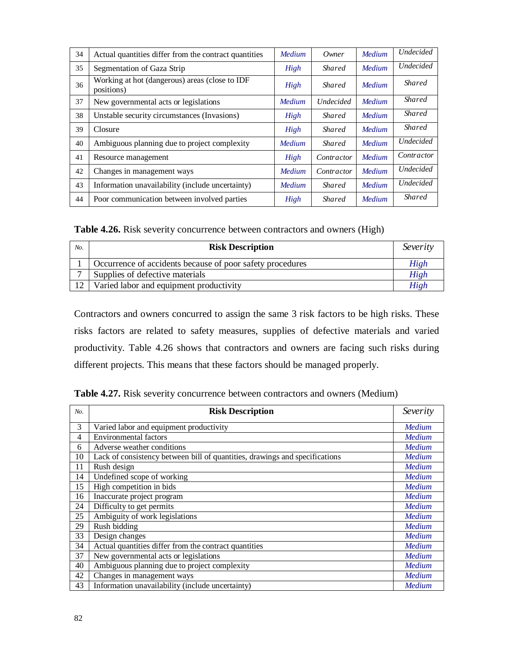| 34 | Actual quantities differ from the contract quantities        | <b>Medium</b> | Owner            | Medium | <b>Undecided</b> |
|----|--------------------------------------------------------------|---------------|------------------|--------|------------------|
| 35 | Segmentation of Gaza Strip                                   | High          | <b>Shared</b>    | Medium | <b>Undecided</b> |
| 36 | Working at hot (dangerous) areas (close to IDF<br>positions) | High          | <b>Shared</b>    | Medium | <b>Shared</b>    |
| 37 | New governmental acts or legislations                        | Medium        | <b>Undecided</b> | Medium | Shared           |
| 38 | Unstable security circumstances (Invasions)                  | High          | <i>Shared</i>    | Medium | Shared           |
| 39 | Closure                                                      | High          | <i>Shared</i>    | Medium | <i>Shared</i>    |
| 40 | Ambiguous planning due to project complexity                 | <b>Medium</b> | <b>Shared</b>    | Medium | <b>Undecided</b> |
| 41 | Resource management                                          | High          | Contractor       | Medium | Contractor       |
| 42 | Changes in management ways                                   | Medium        | Contractor       | Medium | <b>Undecided</b> |
| 43 | Information unavailability (include uncertainty)             | <b>Medium</b> | <b>Shared</b>    | Medium | <b>Undecided</b> |
| 44 | Poor communication between involved parties                  | High          | <b>Shared</b>    | Medium | <i>Shared</i>    |

**Table 4.26.** Risk severity concurrence between contractors and owners (High)

| No. | <b>Risk Description</b>                                   | Severity |
|-----|-----------------------------------------------------------|----------|
|     | Occurrence of accidents because of poor safety procedures | High     |
|     | Supplies of defective materials                           | High     |
| 12  | Varied labor and equipment productivity                   | High     |

Contractors and owners concurred to assign the same 3 risk factors to be high risks. These risks factors are related to safety measures, supplies of defective materials and varied productivity. Table 4.26 shows that contractors and owners are facing such risks during different projects. This means that these factors should be managed properly.

|  | Table 4.27. Risk severity concurrence between contractors and owners (Medium) |  |  |  |  |  |  |  |
|--|-------------------------------------------------------------------------------|--|--|--|--|--|--|--|
|--|-------------------------------------------------------------------------------|--|--|--|--|--|--|--|

| No. | <b>Risk Description</b>                                                     | Severity      |
|-----|-----------------------------------------------------------------------------|---------------|
| 3   | Varied labor and equipment productivity                                     | <b>Medium</b> |
| 4   | Environmental factors                                                       | Medium        |
| 6   | Adverse weather conditions                                                  | Medium        |
| 10  | Lack of consistency between bill of quantities, drawings and specifications | Medium        |
| 11  | Rush design                                                                 | Medium        |
| 14  | Undefined scope of working                                                  | <b>Medium</b> |
| 15  | High competition in bids                                                    | Medium        |
| 16  | Inaccurate project program                                                  | <b>Medium</b> |
| 24  | Difficulty to get permits                                                   | <b>Medium</b> |
| 25  | Ambiguity of work legislations                                              | <b>Medium</b> |
| 29  | Rush bidding                                                                | <b>Medium</b> |
| 33  | Design changes                                                              | Medium        |
| 34  | Actual quantities differ from the contract quantities                       | Medium        |
| 37  | New governmental acts or legislations                                       | Medium        |
| 40  | Ambiguous planning due to project complexity                                | Medium        |
| 42  | Changes in management ways                                                  | Medium        |
| 43  | Information unavailability (include uncertainty)                            | Medium        |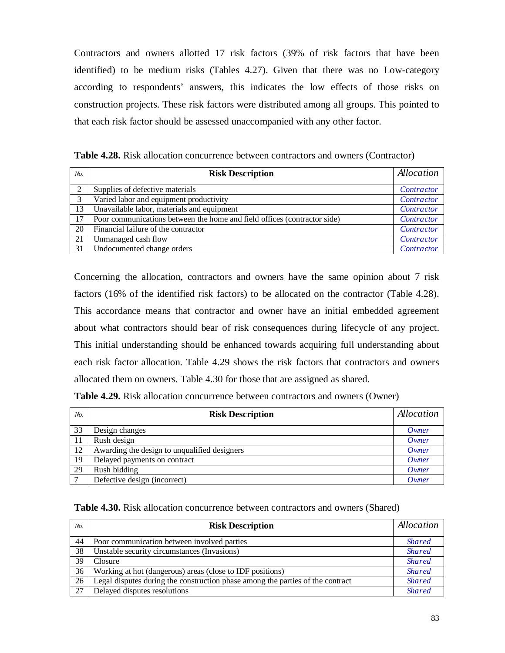Contractors and owners allotted 17 risk factors (39% of risk factors that have been identified) to be medium risks (Tables 4.27). Given that there was no Low-category according to respondents' answers, this indicates the low effects of those risks on construction projects. These risk factors were distributed among all groups. This pointed to that each risk factor should be assessed unaccompanied with any other factor.

**Table 4.28.** Risk allocation concurrence between contractors and owners (Contractor)

| No.            | <b>Risk Description</b>                                                  | Allocation |
|----------------|--------------------------------------------------------------------------|------------|
| $\overline{2}$ | Supplies of defective materials                                          | Contractor |
| 3              | Varied labor and equipment productivity                                  | Contractor |
| 13             | Unavailable labor, materials and equipment                               | Contractor |
| 17             | Poor communications between the home and field offices (contractor side) | Contractor |
| 20             | Financial failure of the contractor                                      | Contractor |
| 21             | Unmanaged cash flow                                                      | Contractor |
| 31             | Undocumented change orders                                               | Contractor |

Concerning the allocation, contractors and owners have the same opinion about 7 risk factors (16% of the identified risk factors) to be allocated on the contractor (Table 4.28). This accordance means that contractor and owner have an initial embedded agreement about what contractors should bear of risk consequences during lifecycle of any project. This initial understanding should be enhanced towards acquiring full understanding about each risk factor allocation. Table 4.29 shows the risk factors that contractors and owners allocated them on owners. Table 4.30 for those that are assigned as shared.

|  |  | Table 4.29. Risk allocation concurrence between contractors and owners (Owner) |  |  |
|--|--|--------------------------------------------------------------------------------|--|--|
|--|--|--------------------------------------------------------------------------------|--|--|

| No.           | <b>Risk Description</b>                      | Allocation |
|---------------|----------------------------------------------|------------|
| 33            | Design changes                               | Owner      |
| 11            | Rush design                                  | Owner      |
| 12            | Awarding the design to unqualified designers | Owner      |
| 19            | Delayed payments on contract                 | Owner      |
| 29            | Rush bidding                                 | Owner      |
| $\mathcal{L}$ | Defective design (incorrect)                 | Owner      |

## **Table 4.30.** Risk allocation concurrence between contractors and owners (Shared)

| No. | <b>Risk Description</b>                                                        | Allocation    |
|-----|--------------------------------------------------------------------------------|---------------|
| 44  | Poor communication between involved parties                                    | <b>Shared</b> |
| 38  | Unstable security circumstances (Invasions)                                    | <b>Shared</b> |
| 39  | Closure                                                                        | <b>Shared</b> |
| 36  | Working at hot (dangerous) areas (close to IDF positions)                      | <b>Shared</b> |
| 26  | Legal disputes during the construction phase among the parties of the contract | <b>Shared</b> |
| 27  | Delayed disputes resolutions                                                   | <b>Shared</b> |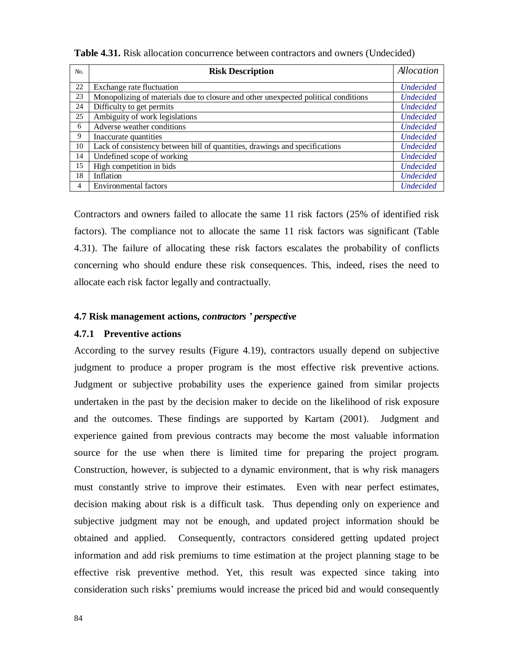| No. | <b>Risk Description</b>                                                            | Allocation       |
|-----|------------------------------------------------------------------------------------|------------------|
| 22  | Exchange rate fluctuation                                                          | <b>Undecided</b> |
| 23  | Monopolizing of materials due to closure and other unexpected political conditions | <b>Undecided</b> |
| 24  | Difficulty to get permits                                                          | <b>Undecided</b> |
| 25  | Ambiguity of work legislations                                                     | <b>Undecided</b> |
| 6   | Adverse weather conditions                                                         | <b>Undecided</b> |
| 9   | Inaccurate quantities                                                              | <b>Undecided</b> |
| 10  | Lack of consistency between bill of quantities, drawings and specifications        | <b>Undecided</b> |
| 14  | Undefined scope of working                                                         | <b>Undecided</b> |
| 15  | High competition in bids                                                           | <b>Undecided</b> |
| 18  | Inflation                                                                          | <b>Undecided</b> |
| 4   | <b>Environmental factors</b>                                                       | <b>Undecided</b> |

**Table 4.31.** Risk allocation concurrence between contractors and owners (Undecided)

Contractors and owners failed to allocate the same 11 risk factors (25% of identified risk factors). The compliance not to allocate the same 11 risk factors was significant (Table 4.31). The failure of allocating these risk factors escalates the probability of conflicts concerning who should endure these risk consequences. This, indeed, rises the need to allocate each risk factor legally and contractually.

#### **4.7 Risk management actions,** *contractors ' perspective*

#### **4.7.1 Preventive actions**

According to the survey results (Figure 4.19), contractors usually depend on subjective judgment to produce a proper program is the most effective risk preventive actions. Judgment or subjective probability uses the experience gained from similar projects undertaken in the past by the decision maker to decide on the likelihood of risk exposure and the outcomes. These findings are supported by Kartam (2001). Judgment and experience gained from previous contracts may become the most valuable information source for the use when there is limited time for preparing the project program. Construction, however, is subjected to a dynamic environment, that is why risk managers must constantly strive to improve their estimates. Even with near perfect estimates, decision making about risk is a difficult task. Thus depending only on experience and subjective judgment may not be enough, and updated project information should be obtained and applied. Consequently, contractors considered getting updated project information and add risk premiums to time estimation at the project planning stage to be effective risk preventive method. Yet, this result was expected since taking into consideration such risks' premiums would increase the priced bid and would consequently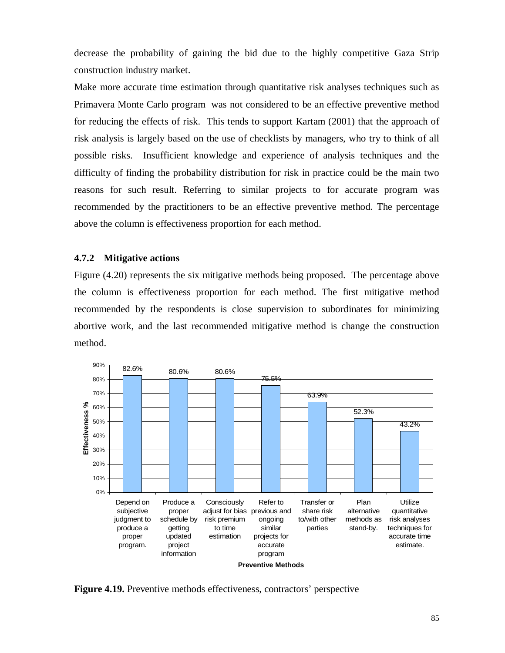decrease the probability of gaining the bid due to the highly competitive Gaza Strip construction industry market.

Make more accurate time estimation through quantitative risk analyses techniques such as Primavera Monte Carlo program was not considered to be an effective preventive method for reducing the effects of risk. This tends to support Kartam (2001) that the approach of risk analysis is largely based on the use of checklists by managers, who try to think of all possible risks. Insufficient knowledge and experience of analysis techniques and the difficulty of finding the probability distribution for risk in practice could be the main two reasons for such result. Referring to similar projects to for accurate program was recommended by the practitioners to be an effective preventive method. The percentage above the column is effectiveness proportion for each method.

## **4.7.2 Mitigative actions**

Figure (4.20) represents the six mitigative methods being proposed. The percentage above the column is effectiveness proportion for each method. The first mitigative method recommended by the respondents is close supervision to subordinates for minimizing abortive work, and the last recommended mitigative method is change the construction method.



**Figure 4.19.** Preventive methods effectiveness, contractors' perspective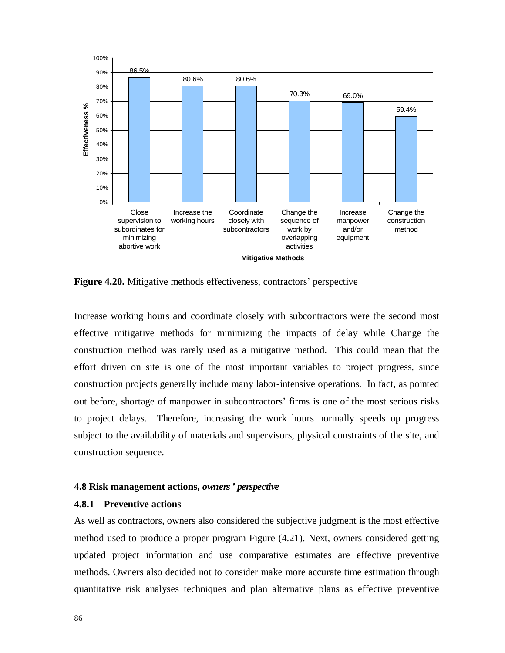

**Figure 4.20.** Mitigative methods effectiveness, contractors' perspective

Increase working hours and coordinate closely with subcontractors were the second most effective mitigative methods for minimizing the impacts of delay while Change the construction method was rarely used as a mitigative method. This could mean that the effort driven on site is one of the most important variables to project progress, since construction projects generally include many labor-intensive operations. In fact, as pointed out before, shortage of manpower in subcontractors' firms is one of the most serious risks to project delays. Therefore, increasing the work hours normally speeds up progress subject to the availability of materials and supervisors, physical constraints of the site, and construction sequence.

#### **4.8 Risk management actions,** *owners' perspective*

#### **4.8.1 Preventive actions**

As well as contractors, owners also considered the subjective judgment is the most effective method used to produce a proper program Figure (4.21). Next, owners considered getting updated project information and use comparative estimates are effective preventive methods. Owners also decided not to consider make more accurate time estimation through quantitative risk analyses techniques and plan alternative plans as effective preventive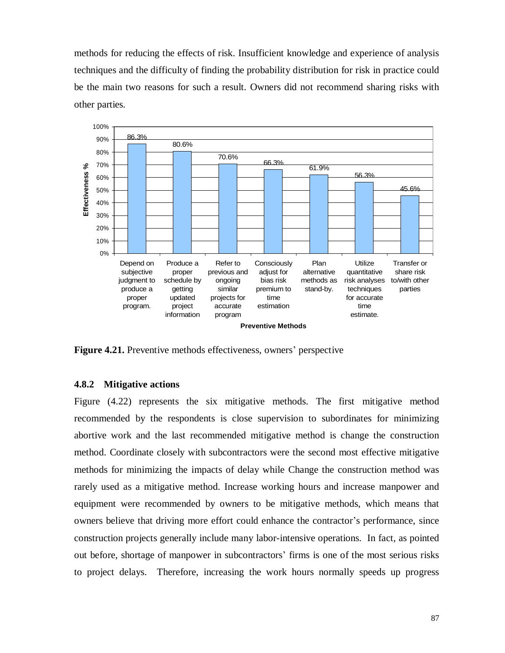methods for reducing the effects of risk. Insufficient knowledge and experience of analysis techniques and the difficulty of finding the probability distribution for risk in practice could be the main two reasons for such a result. Owners did not recommend sharing risks with other parties.



**Figure 4.21.** Preventive methods effectiveness, owners' perspective

#### **4.8.2 Mitigative actions**

Figure (4.22) represents the six mitigative methods. The first mitigative method recommended by the respondents is close supervision to subordinates for minimizing abortive work and the last recommended mitigative method is change the construction method. Coordinate closely with subcontractors were the second most effective mitigative methods for minimizing the impacts of delay while Change the construction method was rarely used as a mitigative method. Increase working hours and increase manpower and equipment were recommended by owners to be mitigative methods, which means that owners believe that driving more effort could enhance the contractor's performance, since construction projects generally include many labor-intensive operations. In fact, as pointed out before, shortage of manpower in subcontractors' firms is one of the most serious risks to project delays. Therefore, increasing the work hours normally speeds up progress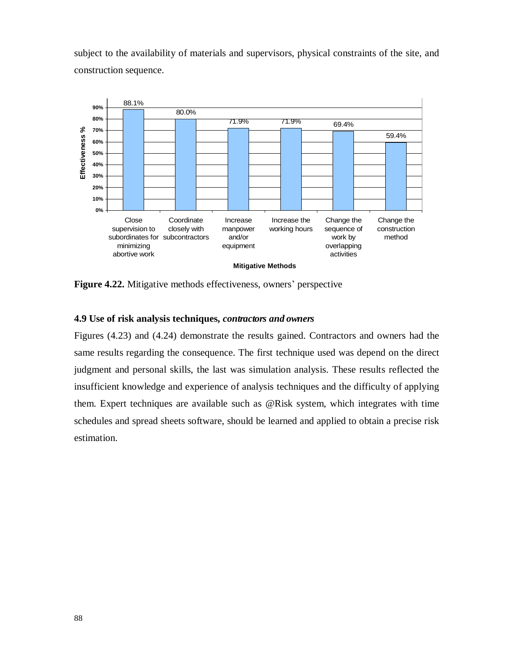subject to the availability of materials and supervisors, physical constraints of the site, and construction sequence.



**Figure 4.22.** Mitigative methods effectiveness, owners' perspective

#### **4.9 Use of risk analysis techniques,** *contractors and owners*

Figures (4.23) and (4.24) demonstrate the results gained. Contractors and owners had the same results regarding the consequence. The first technique used was depend on the direct judgment and personal skills, the last was simulation analysis. These results reflected the insufficient knowledge and experience of analysis techniques and the difficulty of applying them. Expert techniques are available such as @Risk system, which integrates with time schedules and spread sheets software, should be learned and applied to obtain a precise risk estimation.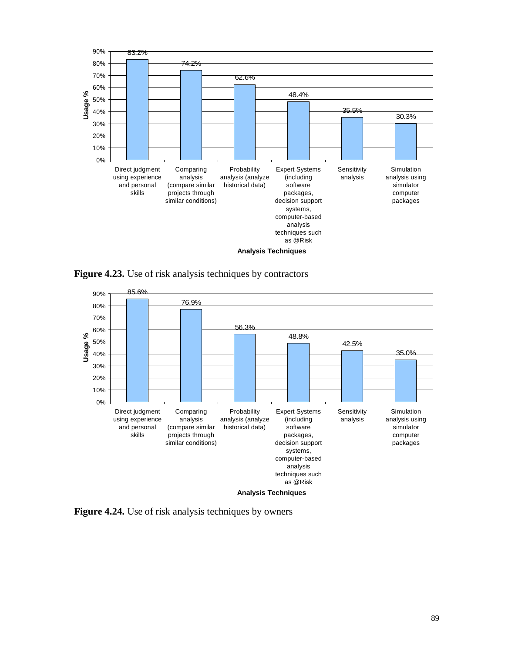

**Figure 4.23.** Use of risk analysis techniques by contractors



**Figure 4.24.** Use of risk analysis techniques by owners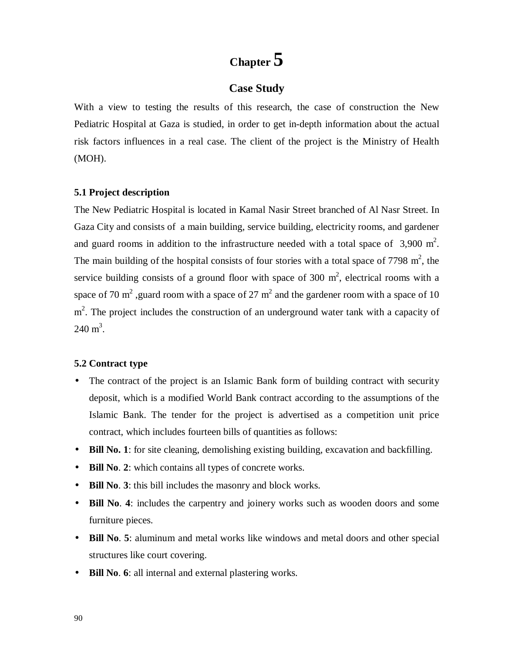# **Chapter 5**

# **Case Study**

With a view to testing the results of this research, the case of construction the New Pediatric Hospital at Gaza is studied, in order to get in-depth information about the actual risk factors influences in a real case. The client of the project is the Ministry of Health (MOH).

#### **5.1 Project description**

The New Pediatric Hospital is located in Kamal Nasir Street branched of Al Nasr Street. In Gaza City and consists of a main building, service building, electricity rooms, and gardener and guard rooms in addition to the infrastructure needed with a total space of  $3,900 \text{ m}^2$ . The main building of the hospital consists of four stories with a total space of 7798  $m^2$ , the service building consists of a ground floor with space of 300  $m^2$ , electrical rooms with a space of 70 m<sup>2</sup>, guard room with a space of 27 m<sup>2</sup> and the gardener room with a space of 10 m<sup>2</sup>. The project includes the construction of an underground water tank with a capacity of  $240 \text{ m}^3$ .

#### **5.2 Contract type**

- The contract of the project is an Islamic Bank form of building contract with security deposit, which is a modified World Bank contract according to the assumptions of the Islamic Bank. The tender for the project is advertised as a competition unit price contract, which includes fourteen bills of quantities as follows:
- **Bill No. 1**: for site cleaning, demolishing existing building, excavation and backfilling.
- **Bill No**. **2**: which contains all types of concrete works.
- **Bill No**. **3**: this bill includes the masonry and block works.
- **Bill No**. **4**: includes the carpentry and joinery works such as wooden doors and some furniture pieces.
- **Bill No**. **5**: aluminum and metal works like windows and metal doors and other special structures like court covering.
- **Bill No**. **6**: all internal and external plastering works.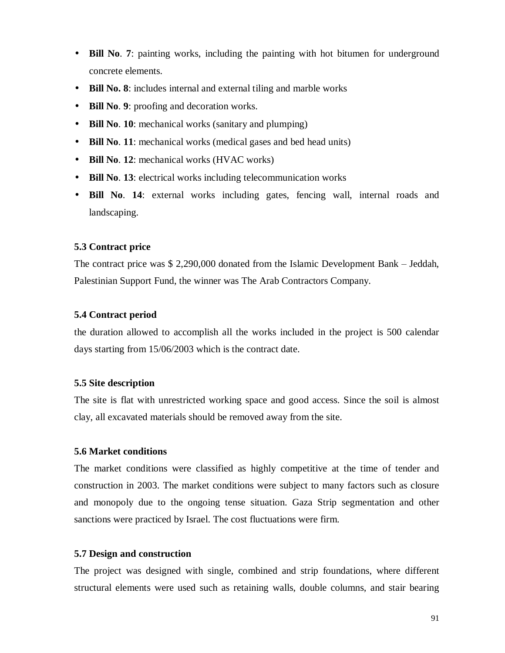- **Bill No**. **7**: painting works, including the painting with hot bitumen for underground concrete elements.
- **Bill No. 8**: includes internal and external tiling and marble works
- **Bill No**. **9**: proofing and decoration works.
- **Bill No**. **10**: mechanical works (sanitary and plumping)
- **Bill No**. **11**: mechanical works (medical gases and bed head units)
- **Bill No**. **12**: mechanical works (HVAC works)
- **Bill No**. **13**: electrical works including telecommunication works
- **Bill No**. **14**: external works including gates, fencing wall, internal roads and landscaping.

## **5.3 Contract price**

The contract price was \$ 2,290,000 donated from the Islamic Development Bank – Jeddah, Palestinian Support Fund, the winner was The Arab Contractors Company.

#### **5.4 Contract period**

the duration allowed to accomplish all the works included in the project is 500 calendar days starting from 15/06/2003 which is the contract date.

#### **5.5 Site description**

The site is flat with unrestricted working space and good access. Since the soil is almost clay, all excavated materials should be removed away from the site.

## **5.6 Market conditions**

The market conditions were classified as highly competitive at the time of tender and construction in 2003. The market conditions were subject to many factors such as closure and monopoly due to the ongoing tense situation. Gaza Strip segmentation and other sanctions were practiced by Israel. The cost fluctuations were firm.

#### **5.7 Design and construction**

The project was designed with single, combined and strip foundations, where different structural elements were used such as retaining walls, double columns, and stair bearing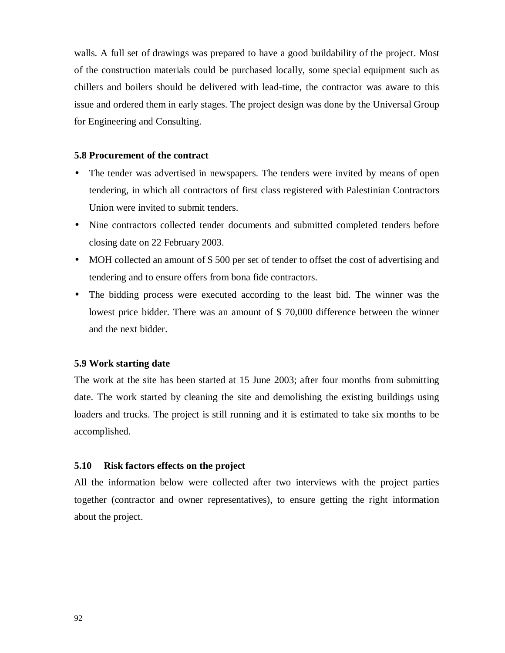walls. A full set of drawings was prepared to have a good buildability of the project. Most of the construction materials could be purchased locally, some special equipment such as chillers and boilers should be delivered with lead-time, the contractor was aware to this issue and ordered them in early stages. The project design was done by the Universal Group for Engineering and Consulting.

#### **5.8 Procurement of the contract**

- The tender was advertised in newspapers. The tenders were invited by means of open tendering, in which all contractors of first class registered with Palestinian Contractors Union were invited to submit tenders.
- Nine contractors collected tender documents and submitted completed tenders before closing date on 22 February 2003.
- MOH collected an amount of \$500 per set of tender to offset the cost of advertising and tendering and to ensure offers from bona fide contractors.
- The bidding process were executed according to the least bid. The winner was the lowest price bidder. There was an amount of \$ 70,000 difference between the winner and the next bidder.

#### **5.9 Work starting date**

The work at the site has been started at 15 June 2003; after four months from submitting date. The work started by cleaning the site and demolishing the existing buildings using loaders and trucks. The project is still running and it is estimated to take six months to be accomplished.

#### **5.10 Risk factors effects on the project**

All the information below were collected after two interviews with the project parties together (contractor and owner representatives), to ensure getting the right information about the project.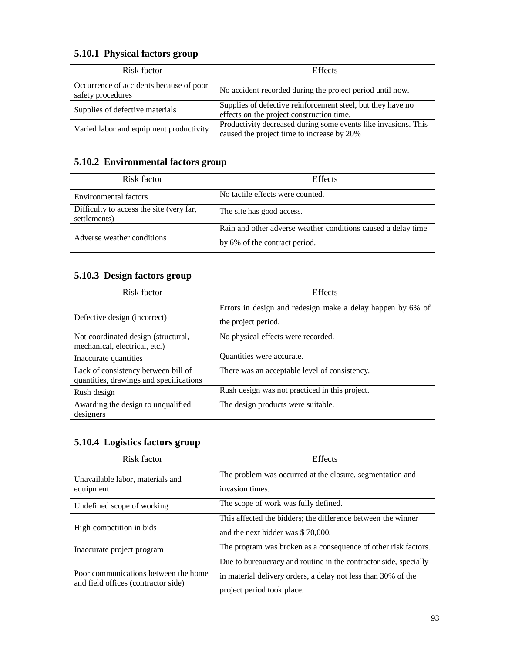## **5.10.1 Physical factors group**

| Risk factor                                                  | <b>Effects</b>                                                                                               |
|--------------------------------------------------------------|--------------------------------------------------------------------------------------------------------------|
| Occurrence of accidents because of poor<br>safety procedures | No accident recorded during the project period until now.                                                    |
| Supplies of defective materials                              | Supplies of defective reinforcement steel, but they have no<br>effects on the project construction time.     |
| Varied labor and equipment productivity                      | Productivity decreased during some events like invasions. This<br>caused the project time to increase by 20% |

# **5.10.2 Environmental factors group**

| Risk factor                                              | <b>Effects</b>                                                |
|----------------------------------------------------------|---------------------------------------------------------------|
| Environmental factors                                    | No tactile effects were counted.                              |
| Difficulty to access the site (very far,<br>settlements) | The site has good access.                                     |
| Adverse weather conditions                               | Rain and other adverse weather conditions caused a delay time |
|                                                          | by 6% of the contract period.                                 |

# **5.10.3 Design factors group**

| Risk factor                                                                    | <b>Effects</b>                                                                    |
|--------------------------------------------------------------------------------|-----------------------------------------------------------------------------------|
| Defective design (incorrect)                                                   | Errors in design and redesign make a delay happen by 6% of<br>the project period. |
| Not coordinated design (structural,<br>mechanical, electrical, etc.)           | No physical effects were recorded.                                                |
| Inaccurate quantities                                                          | Quantities were accurate.                                                         |
| Lack of consistency between bill of<br>quantities, drawings and specifications | There was an acceptable level of consistency.                                     |
| Rush design                                                                    | Rush design was not practiced in this project.                                    |
| Awarding the design to unqualified<br>designers                                | The design products were suitable.                                                |

# **5.10.4 Logistics factors group**

| Risk factor                                                                 | <b>Effects</b>                                                               |  |
|-----------------------------------------------------------------------------|------------------------------------------------------------------------------|--|
| Unavailable labor, materials and<br>equipment                               | The problem was occurred at the closure, segmentation and<br>invasion times. |  |
|                                                                             |                                                                              |  |
| Undefined scope of working                                                  | The scope of work was fully defined.                                         |  |
| High competition in bids                                                    | This affected the bidders; the difference between the winner                 |  |
|                                                                             | and the next bidder was \$70,000.                                            |  |
| Inaccurate project program                                                  | The program was broken as a consequence of other risk factors.               |  |
|                                                                             | Due to bureaucracy and routine in the contractor side, specially             |  |
| Poor communications between the home<br>and field offices (contractor side) | in material delivery orders, a delay not less than 30% of the                |  |
|                                                                             | project period took place.                                                   |  |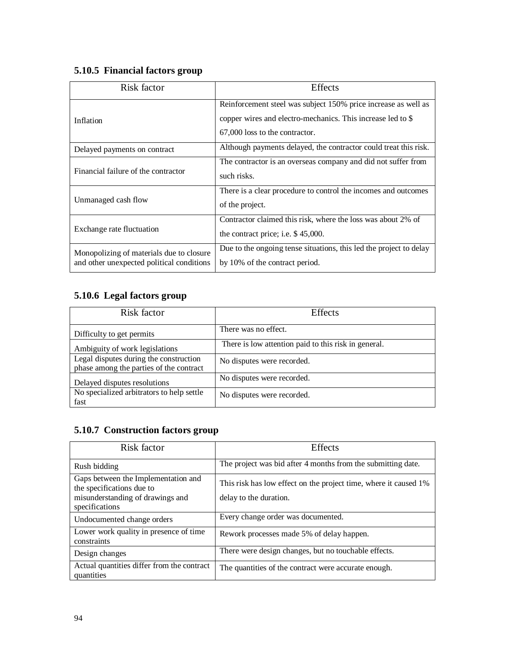# **5.10.5 Financial factors group**

| Risk factor                                                                           | <b>Effects</b>                                                                                                                |  |
|---------------------------------------------------------------------------------------|-------------------------------------------------------------------------------------------------------------------------------|--|
| Inflation                                                                             | Reinforcement steel was subject 150% price increase as well as<br>copper wires and electro-mechanics. This increase led to \$ |  |
|                                                                                       | 67,000 loss to the contractor.                                                                                                |  |
| Delayed payments on contract                                                          | Although payments delayed, the contractor could treat this risk.                                                              |  |
| Financial failure of the contractor                                                   | The contractor is an overseas company and did not suffer from<br>such risks.                                                  |  |
| Unmanaged cash flow                                                                   | There is a clear procedure to control the incomes and outcomes<br>of the project.                                             |  |
| Exchange rate fluctuation                                                             | Contractor claimed this risk, where the loss was about 2% of<br>the contract price; i.e. \$45,000.                            |  |
| Monopolizing of materials due to closure<br>and other unexpected political conditions | Due to the ongoing tense situations, this led the project to delay<br>by 10% of the contract period.                          |  |

# **5.10.6 Legal factors group**

| Risk factor                                                                       | <b>Effects</b>                                       |
|-----------------------------------------------------------------------------------|------------------------------------------------------|
| Difficulty to get permits                                                         | There was no effect.                                 |
| Ambiguity of work legislations                                                    | There is low attention paid to this risk in general. |
| Legal disputes during the construction<br>phase among the parties of the contract | No disputes were recorded.                           |
| Delayed disputes resolutions                                                      | No disputes were recorded.                           |
| No specialized arbitrators to help settle<br>fast                                 | No disputes were recorded.                           |

# **5.10.7 Construction factors group**

| Risk factor                                                      | <b>Effects</b>                                                   |
|------------------------------------------------------------------|------------------------------------------------------------------|
| Rush bidding                                                     | The project was bid after 4 months from the submitting date.     |
| Gaps between the Implementation and<br>the specifications due to | This risk has low effect on the project time, where it caused 1% |
| misunderstanding of drawings and<br>specifications               | delay to the duration.                                           |
| Undocumented change orders                                       | Every change order was documented.                               |
| Lower work quality in presence of time<br>constraints            | Rework processes made 5% of delay happen.                        |
| Design changes                                                   | There were design changes, but no touchable effects.             |
| Actual quantities differ from the contract<br>quantities         | The quantities of the contract were accurate enough.             |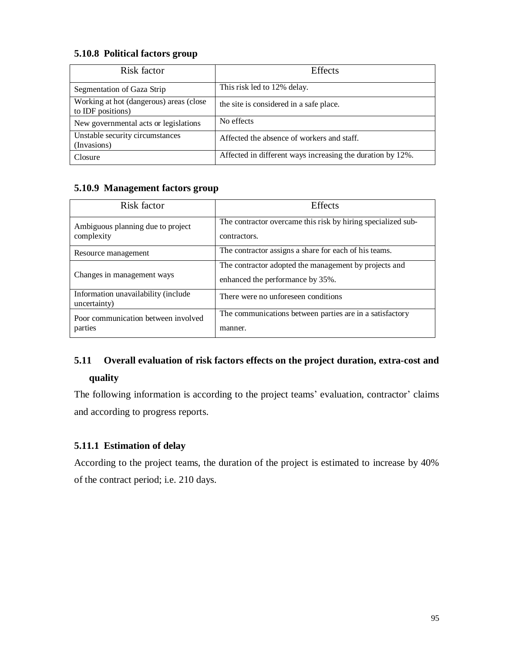### **5.10.8 Political factors group**

| Risk factor                                                  | <b>Effects</b>                                             |
|--------------------------------------------------------------|------------------------------------------------------------|
| Segmentation of Gaza Strip                                   | This risk led to 12% delay.                                |
| Working at hot (dangerous) areas (close<br>to IDF positions) | the site is considered in a safe place.                    |
| New governmental acts or legislations                        | No effects                                                 |
| Unstable security circumstances<br>(Invasions)               | Affected the absence of workers and staff.                 |
| <b>Closure</b>                                               | Affected in different ways increasing the duration by 12%. |

## **5.10.9 Management factors group**

| Risk factor                                         | Effects                                                                                   |
|-----------------------------------------------------|-------------------------------------------------------------------------------------------|
| Ambiguous planning due to project<br>complexity     | The contractor overcame this risk by hiring specialized sub-<br>contractors.              |
| Resource management                                 | The contractor assigns a share for each of his teams.                                     |
| Changes in management ways                          | The contractor adopted the management by projects and<br>enhanced the performance by 35%. |
| Information unavailability (include<br>uncertainty) | There were no unforeseen conditions                                                       |
| Poor communication between involved<br>parties      | The communications between parties are in a satisfactory<br>manner.                       |

# **5.11 Overall evaluation of risk factors effects on the project duration, extra-cost and quality**

The following information is according to the project teams' evaluation, contractor' claims and according to progress reports.

# **5.11.1 Estimation of delay**

According to the project teams, the duration of the project is estimated to increase by 40% of the contract period; i.e. 210 days.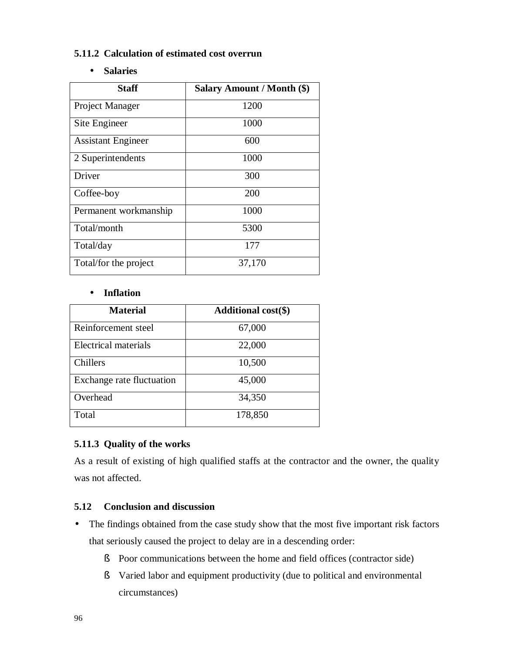### **5.11.2 Calculation of estimated cost overrun**

• **Salaries** 

| <b>Staff</b>              | Salary Amount / Month (\$) |
|---------------------------|----------------------------|
| Project Manager           | 1200                       |
| Site Engineer             | 1000                       |
| <b>Assistant Engineer</b> | 600                        |
| 2 Superintendents         | 1000                       |
| Driver                    | 300                        |
| Coffee-boy                | <b>200</b>                 |
| Permanent workmanship     | 1000                       |
| Total/month               | 5300                       |
| Total/day                 | 177                        |
| Total/for the project     | 37,170                     |

### • **Inflation**

| <b>Material</b>             | <b>Additional cost(\$)</b> |
|-----------------------------|----------------------------|
| Reinforcement steel         | 67,000                     |
| <b>Electrical materials</b> | 22,000                     |
| Chillers                    | 10,500                     |
| Exchange rate fluctuation   | 45,000                     |
| Overhead                    | 34,350                     |
| Total                       | 178,850                    |

### **5.11.3 Quality of the works**

As a result of existing of high qualified staffs at the contractor and the owner, the quality was not affected.

### **5.12 Conclusion and discussion**

- The findings obtained from the case study show that the most five important risk factors that seriously caused the project to delay are in a descending order:
	- § Poor communications between the home and field offices (contractor side)
	- § Varied labor and equipment productivity (due to political and environmental circumstances)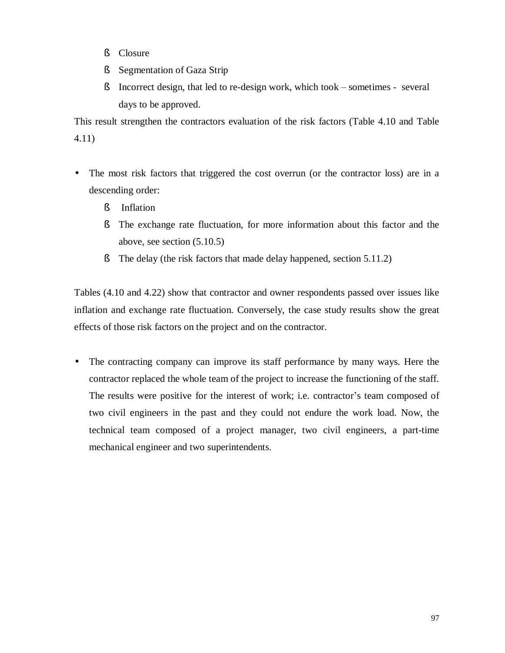- § Closure
- § Segmentation of Gaza Strip
- § Incorrect design, that led to re-design work, which took sometimes several days to be approved.

This result strengthen the contractors evaluation of the risk factors (Table 4.10 and Table 4.11)

- The most risk factors that triggered the cost overrun (or the contractor loss) are in a descending order:
	- § Inflation
	- § The exchange rate fluctuation, for more information about this factor and the above, see section (5.10.5)
	- § The delay (the risk factors that made delay happened, section 5.11.2)

Tables (4.10 and 4.22) show that contractor and owner respondents passed over issues like inflation and exchange rate fluctuation. Conversely, the case study results show the great effects of those risk factors on the project and on the contractor.

• The contracting company can improve its staff performance by many ways. Here the contractor replaced the whole team of the project to increase the functioning of the staff. The results were positive for the interest of work; i.e. contractor's team composed of two civil engineers in the past and they could not endure the work load. Now, the technical team composed of a project manager, two civil engineers, a part-time mechanical engineer and two superintendents.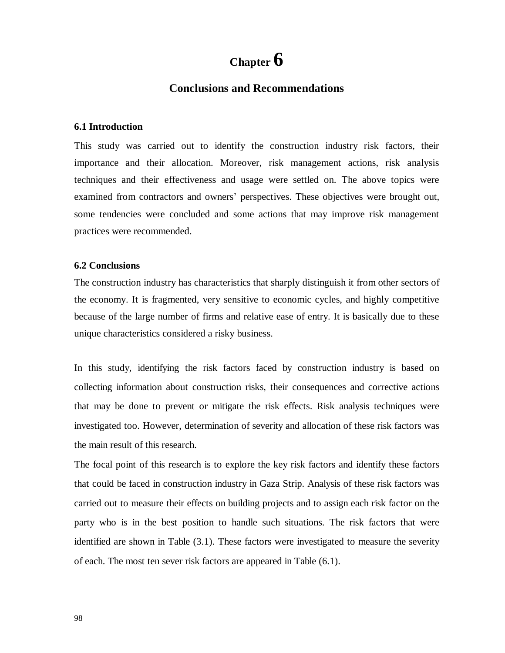# **Chapter 6**

### **Conclusions and Recommendations**

#### **6.1 Introduction**

This study was carried out to identify the construction industry risk factors, their importance and their allocation. Moreover, risk management actions, risk analysis techniques and their effectiveness and usage were settled on. The above topics were examined from contractors and owners' perspectives. These objectives were brought out, some tendencies were concluded and some actions that may improve risk management practices were recommended.

#### **6.2 Conclusions**

The construction industry has characteristics that sharply distinguish it from other sectors of the economy. It is fragmented, very sensitive to economic cycles, and highly competitive because of the large number of firms and relative ease of entry. It is basically due to these unique characteristics considered a risky business.

In this study, identifying the risk factors faced by construction industry is based on collecting information about construction risks, their consequences and corrective actions that may be done to prevent or mitigate the risk effects. Risk analysis techniques were investigated too. However, determination of severity and allocation of these risk factors was the main result of this research.

The focal point of this research is to explore the key risk factors and identify these factors that could be faced in construction industry in Gaza Strip. Analysis of these risk factors was carried out to measure their effects on building projects and to assign each risk factor on the party who is in the best position to handle such situations. The risk factors that were identified are shown in Table (3.1). These factors were investigated to measure the severity of each. The most ten sever risk factors are appeared in Table (6.1).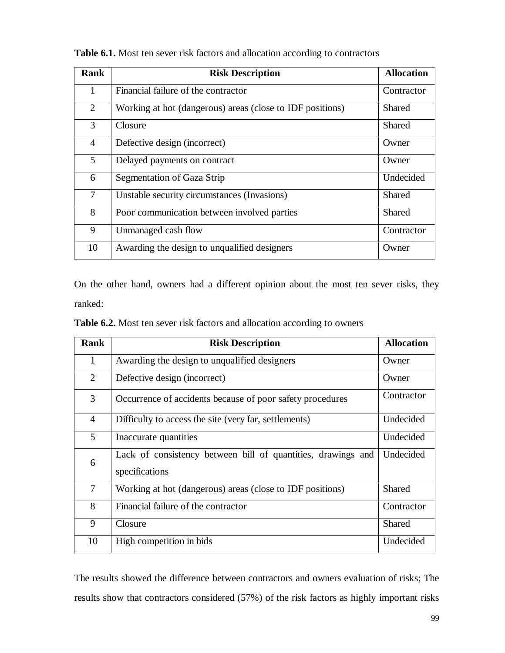| <b>Rank</b> | <b>Risk Description</b>                                   | <b>Allocation</b> |
|-------------|-----------------------------------------------------------|-------------------|
| 1           | Financial failure of the contractor                       | Contractor        |
| 2           | Working at hot (dangerous) areas (close to IDF positions) | Shared            |
| 3           | Closure                                                   | <b>Shared</b>     |
| 4           | Defective design (incorrect)                              | Owner             |
| $5^{\circ}$ | Delayed payments on contract                              | Owner             |
| 6           | Segmentation of Gaza Strip                                | Undecided         |
| $\tau$      | Unstable security circumstances (Invasions)               | Shared            |
| 8           | Poor communication between involved parties               | Shared            |
| 9           | Unmanaged cash flow                                       | Contractor        |
| 10          | Awarding the design to unqualified designers              | Owner             |

**Table 6.1.** Most ten sever risk factors and allocation according to contractors

On the other hand, owners had a different opinion about the most ten sever risks, they ranked:

| <b>Table 6.2.</b> Most ten sever risk factors and allocation according to owners |  |
|----------------------------------------------------------------------------------|--|
|----------------------------------------------------------------------------------|--|

| <b>Rank</b>    | <b>Risk Description</b>                                                        | <b>Allocation</b> |
|----------------|--------------------------------------------------------------------------------|-------------------|
| 1              | Awarding the design to unqualified designers                                   | Owner             |
| $\overline{2}$ | Defective design (incorrect)                                                   | Owner             |
| 3              | Occurrence of accidents because of poor safety procedures                      | Contractor        |
| $\overline{4}$ | Difficulty to access the site (very far, settlements)                          | Undecided         |
| 5              | Inaccurate quantities                                                          | Undecided         |
| 6              | Lack of consistency between bill of quantities, drawings and<br>specifications | Undecided         |
| $\tau$         | Working at hot (dangerous) areas (close to IDF positions)                      | <b>Shared</b>     |
| 8              | Financial failure of the contractor                                            | Contractor        |
| 9              | Closure                                                                        | <b>Shared</b>     |
| 10             | High competition in bids                                                       | Undecided         |

The results showed the difference between contractors and owners evaluation of risks; The results show that contractors considered (57%) of the risk factors as highly important risks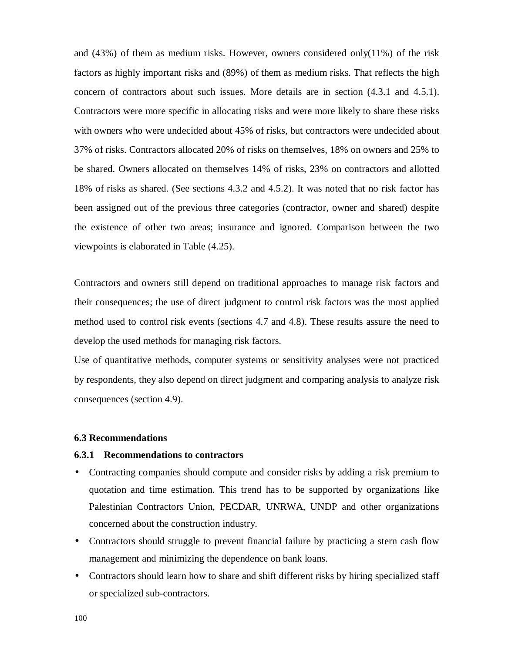and (43%) of them as medium risks. However, owners considered only(11%) of the risk factors as highly important risks and (89%) of them as medium risks. That reflects the high concern of contractors about such issues. More details are in section (4.3.1 and 4.5.1). Contractors were more specific in allocating risks and were more likely to share these risks with owners who were undecided about 45% of risks, but contractors were undecided about 37% of risks. Contractors allocated 20% of risks on themselves, 18% on owners and 25% to be shared. Owners allocated on themselves 14% of risks, 23% on contractors and allotted 18% of risks as shared. (See sections 4.3.2 and 4.5.2). It was noted that no risk factor has been assigned out of the previous three categories (contractor, owner and shared) despite the existence of other two areas; insurance and ignored. Comparison between the two viewpoints is elaborated in Table (4.25).

Contractors and owners still depend on traditional approaches to manage risk factors and their consequences; the use of direct judgment to control risk factors was the most applied method used to control risk events (sections 4.7 and 4.8). These results assure the need to develop the used methods for managing risk factors.

Use of quantitative methods, computer systems or sensitivity analyses were not practiced by respondents, they also depend on direct judgment and comparing analysis to analyze risk consequences (section 4.9).

#### **6.3 Recommendations**

#### **6.3.1 Recommendations to contractors**

- Contracting companies should compute and consider risks by adding a risk premium to quotation and time estimation. This trend has to be supported by organizations like Palestinian Contractors Union, PECDAR, UNRWA, UNDP and other organizations concerned about the construction industry.
- Contractors should struggle to prevent financial failure by practicing a stern cash flow management and minimizing the dependence on bank loans.
- Contractors should learn how to share and shift different risks by hiring specialized staff or specialized sub-contractors.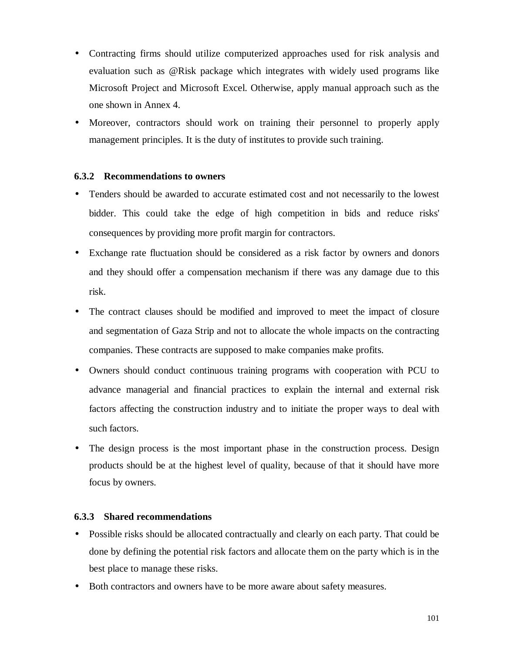- Contracting firms should utilize computerized approaches used for risk analysis and evaluation such as @Risk package which integrates with widely used programs like Microsoft Project and Microsoft Excel. Otherwise, apply manual approach such as the one shown in Annex 4.
- Moreover, contractors should work on training their personnel to properly apply management principles. It is the duty of institutes to provide such training.

### **6.3.2 Recommendations to owners**

- Tenders should be awarded to accurate estimated cost and not necessarily to the lowest bidder. This could take the edge of high competition in bids and reduce risks' consequences by providing more profit margin for contractors.
- Exchange rate fluctuation should be considered as a risk factor by owners and donors and they should offer a compensation mechanism if there was any damage due to this risk.
- The contract clauses should be modified and improved to meet the impact of closure and segmentation of Gaza Strip and not to allocate the whole impacts on the contracting companies. These contracts are supposed to make companies make profits.
- Owners should conduct continuous training programs with cooperation with PCU to advance managerial and financial practices to explain the internal and external risk factors affecting the construction industry and to initiate the proper ways to deal with such factors.
- The design process is the most important phase in the construction process. Design products should be at the highest level of quality, because of that it should have more focus by owners.

### **6.3.3 Shared recommendations**

- Possible risks should be allocated contractually and clearly on each party. That could be done by defining the potential risk factors and allocate them on the party which is in the best place to manage these risks.
- Both contractors and owners have to be more aware about safety measures.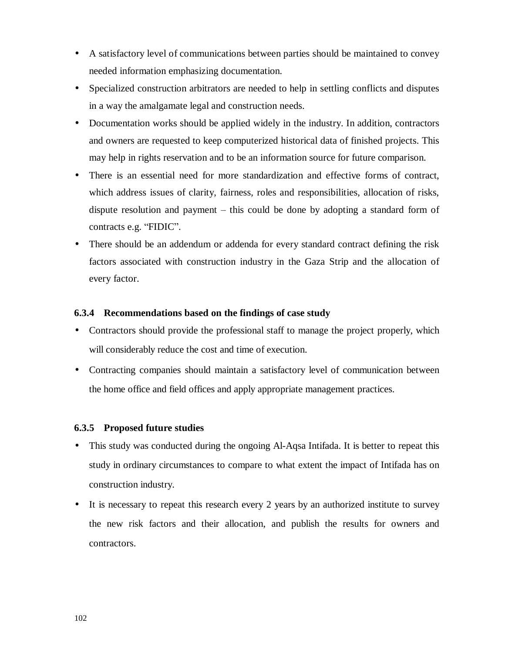- A satisfactory level of communications between parties should be maintained to convey needed information emphasizing documentation.
- Specialized construction arbitrators are needed to help in settling conflicts and disputes in a way the amalgamate legal and construction needs.
- Documentation works should be applied widely in the industry. In addition, contractors and owners are requested to keep computerized historical data of finished projects. This may help in rights reservation and to be an information source for future comparison.
- There is an essential need for more standardization and effective forms of contract, which address issues of clarity, fairness, roles and responsibilities, allocation of risks, dispute resolution and payment – this could be done by adopting a standard form of contracts e.g. "FIDIC".
- There should be an addendum or addenda for every standard contract defining the risk factors associated with construction industry in the Gaza Strip and the allocation of every factor.

### **6.3.4 Recommendations based on the findings of case study**

- Contractors should provide the professional staff to manage the project properly, which will considerably reduce the cost and time of execution.
- Contracting companies should maintain a satisfactory level of communication between the home office and field offices and apply appropriate management practices.

### **6.3.5 Proposed future studies**

- This study was conducted during the ongoing Al-Aqsa Intifada. It is better to repeat this study in ordinary circumstances to compare to what extent the impact of Intifada has on construction industry.
- It is necessary to repeat this research every 2 years by an authorized institute to survey the new risk factors and their allocation, and publish the results for owners and contractors.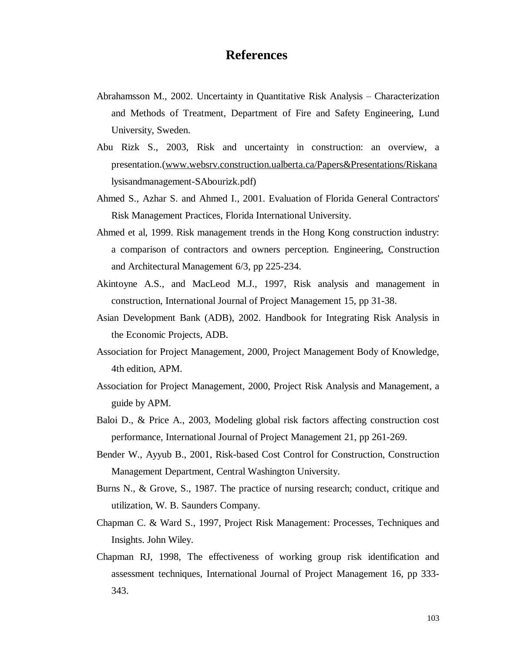# **References**

- Abrahamsson M., 2002. Uncertainty in Quantitative Risk Analysis Characterization and Methods of Treatment, Department of Fire and Safety Engineering, Lund University, Sweden.
- Abu Rizk S., 2003, Risk and uncertainty in construction: an overview, a presentation.([www.websrv.construction.ualberta.ca/Papers&Presentations/Riskana](http://www.websrv.construction.ualberta.ca/Papers&Presentations/Riskana) lysisandmanagement-SAbourizk.pdf)
- Ahmed S., Azhar S. and Ahmed I., 2001. Evaluation of Florida General Contractors' Risk Management Practices, Florida International University.
- Ahmed et al, 1999. Risk management trends in the Hong Kong construction industry: a comparison of contractors and owners perception. Engineering, Construction and Architectural Management 6/3, pp 225-234.
- Akintoyne A.S., and MacLeod M.J., 1997, Risk analysis and management in construction, International Journal of Project Management 15, pp 31-38.
- Asian Development Bank (ADB), 2002. Handbook for Integrating Risk Analysis in the Economic Projects, ADB.
- Association for Project Management, 2000, Project Management Body of Knowledge, 4th edition, APM.
- Association for Project Management, 2000, Project Risk Analysis and Management, a guide by APM.
- Baloi D., & Price A., 2003, Modeling global risk factors affecting construction cost performance, International Journal of Project Management 21, pp 261-269.
- Bender W., Ayyub B., 2001, Risk-based Cost Control for Construction, Construction Management Department, Central Washington University.
- Burns N., & Grove, S., 1987. The practice of nursing research; conduct, critique and utilization, W. B. Saunders Company.
- Chapman C. & Ward S., 1997, Project Risk Management: Processes, Techniques and Insights. John Wiley.
- Chapman RJ, 1998, The effectiveness of working group risk identification and assessment techniques, International Journal of Project Management 16, pp 333- 343.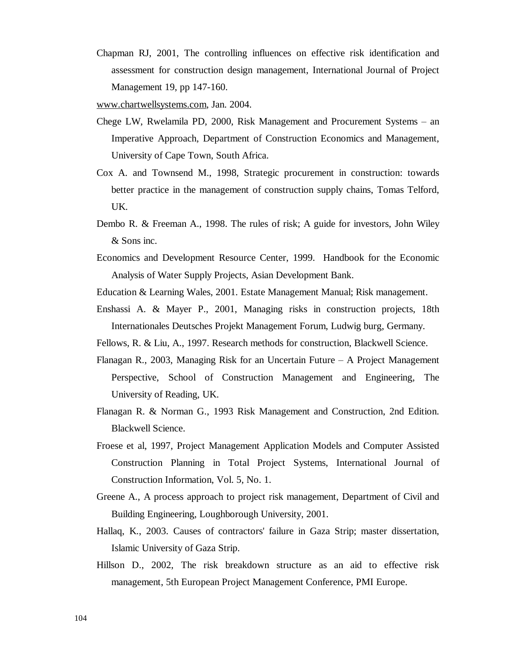Chapman RJ, 2001, The controlling influences on effective risk identification and assessment for construction design management, International Journal of Project Management 19, pp 147-160.

[www.chartwellsystems.com](http://www.chartwellsystems.com), Jan. 2004.

- Chege LW, Rwelamila PD, 2000, Risk Management and Procurement Systems an Imperative Approach, Department of Construction Economics and Management, University of Cape Town, South Africa.
- Cox A. and Townsend M., 1998, Strategic procurement in construction: towards better practice in the management of construction supply chains, Tomas Telford, UK.
- Dembo R. & Freeman A., 1998. The rules of risk; A guide for investors, John Wiley & Sons inc.
- Economics and Development Resource Center, 1999. Handbook for the Economic Analysis of Water Supply Projects, Asian Development Bank.
- Education & Learning Wales, 2001. Estate Management Manual; Risk management.
- Enshassi A. & Mayer P., 2001, Managing risks in construction projects, 18th Internationales Deutsches Projekt Management Forum, Ludwig burg, Germany.
- Fellows, R. & Liu, A., 1997. Research methods for construction, Blackwell Science.
- Flanagan R., 2003, Managing Risk for an Uncertain Future A Project Management Perspective, School of Construction Management and Engineering, The University of Reading, UK.
- Flanagan R. & Norman G., 1993 Risk Management and Construction, 2nd Edition. Blackwell Science.
- Froese et al, 1997, Project Management Application Models and Computer Assisted Construction Planning in Total Project Systems, International Journal of Construction Information, Vol. 5, No. 1.
- Greene A., A process approach to project risk management, Department of Civil and Building Engineering, Loughborough University, 2001.
- Hallaq, K., 2003. Causes of contractors' failure in Gaza Strip; master dissertation, Islamic University of Gaza Strip.
- Hillson D., 2002, The risk breakdown structure as an aid to effective risk management, 5th European Project Management Conference, PMI Europe.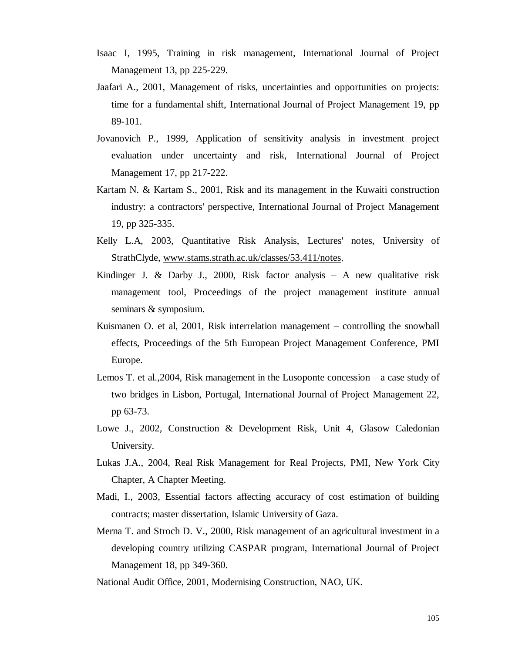- Isaac I, 1995, Training in risk management, International Journal of Project Management 13, pp 225-229.
- Jaafari A., 2001, Management of risks, uncertainties and opportunities on projects: time for a fundamental shift, International Journal of Project Management 19, pp 89-101.
- Jovanovich P., 1999, Application of sensitivity analysis in investment project evaluation under uncertainty and risk, International Journal of Project Management 17, pp 217-222.
- Kartam N. & Kartam S., 2001, Risk and its management in the Kuwaiti construction industry: a contractors' perspective, International Journal of Project Management 19, pp 325-335.
- Kelly L.A, 2003, Quantitative Risk Analysis, Lectures' notes, University of StrathClyde, [www.stams.strath.ac.uk/classes/53.411/notes.](http://www.stams.strath.ac.uk/classes/53.411/notes)
- Kindinger J. & Darby J., 2000, Risk factor analysis  $-$  A new qualitative risk management tool, Proceedings of the project management institute annual seminars & symposium.
- Kuismanen O. et al, 2001, Risk interrelation management controlling the snowball effects, Proceedings of the 5th European Project Management Conference, PMI Europe.
- Lemos T. et al.,2004, Risk management in the Lusoponte concession a case study of two bridges in Lisbon, Portugal, International Journal of Project Management 22, pp 63-73.
- Lowe J., 2002, Construction & Development Risk, Unit 4, Glasow Caledonian University.
- Lukas J.A., 2004, Real Risk Management for Real Projects, PMI, New York City Chapter, A Chapter Meeting.
- Madi, I., 2003, Essential factors affecting accuracy of cost estimation of building contracts; master dissertation, Islamic University of Gaza.
- Merna T. and Stroch D. V., 2000, Risk management of an agricultural investment in a developing country utilizing CASPAR program, International Journal of Project Management 18, pp 349-360.

National Audit Office, 2001, Modernising Construction, NAO, UK.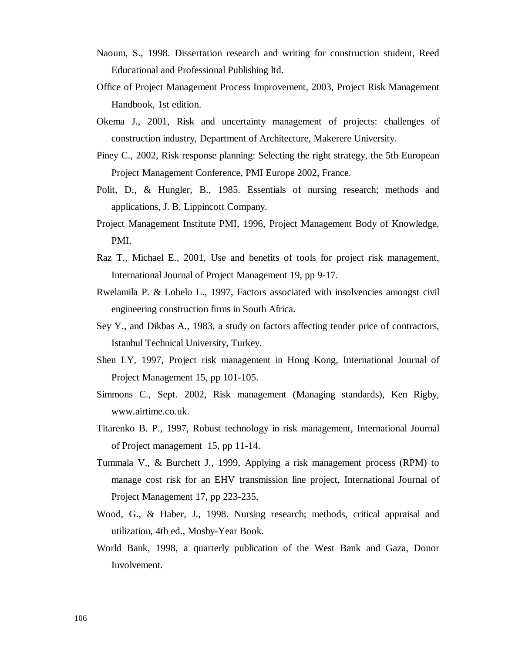- Naoum, S., 1998. Dissertation research and writing for construction student, Reed Educational and Professional Publishing ltd.
- Office of Project Management Process Improvement, 2003, Project Risk Management Handbook, 1st edition.
- Okema J., 2001, Risk and uncertainty management of projects: challenges of construction industry, Department of Architecture, Makerere University.
- Piney C., 2002, Risk response planning: Selecting the right strategy, the 5th European Project Management Conference, PMI Europe 2002, France.
- Polit, D., & Hungler, B., 1985. Essentials of nursing research; methods and applications, J. B. Lippincott Company.
- Project Management Institute PMI, 1996, Project Management Body of Knowledge, PMI.
- Raz T., Michael E., 2001, Use and benefits of tools for project risk management, International Journal of Project Management 19, pp 9-17.
- Rwelamila P. & Lobelo L., 1997, Factors associated with insolvencies amongst civil engineering construction firms in South Africa.
- Sey Y., and Dikbas A., 1983, a study on factors affecting tender price of contractors, Istanbul Technical University, Turkey.
- Shen LY, 1997, Project risk management in Hong Kong, International Journal of Project Management 15, pp 101-105.
- Simmons C., Sept. 2002, Risk management (Managing standards), Ken Rigby, [www.airtime.co.uk.](http://www.airtime.co.uk)
- Titarenko B. P., 1997, Robust technology in risk management, International Journal of Project management 15, pp 11-14.
- Tummala V., & Burchett J., 1999, Applying a risk management process (RPM) to manage cost risk for an EHV transmission line project, International Journal of Project Management 17, pp 223-235.
- Wood, G., & Haber, J., 1998. Nursing research; methods, critical appraisal and utilization, 4th ed., Mosby-Year Book.
- World Bank, 1998, a quarterly publication of the West Bank and Gaza, Donor Involvement.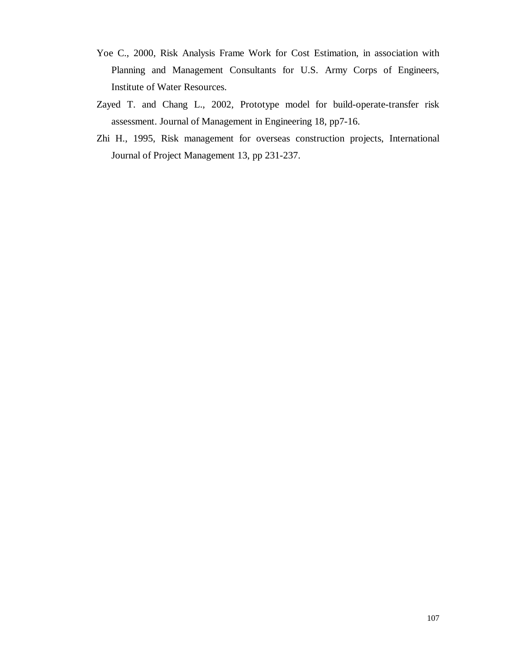- Yoe C., 2000, Risk Analysis Frame Work for Cost Estimation, in association with Planning and Management Consultants for U.S. Army Corps of Engineers, Institute of Water Resources.
- Zayed T. and Chang L., 2002, Prototype model for build-operate-transfer risk assessment. Journal of Management in Engineering 18, pp7-16.
- Zhi H., 1995, Risk management for overseas construction projects, International Journal of Project Management 13, pp 231-237.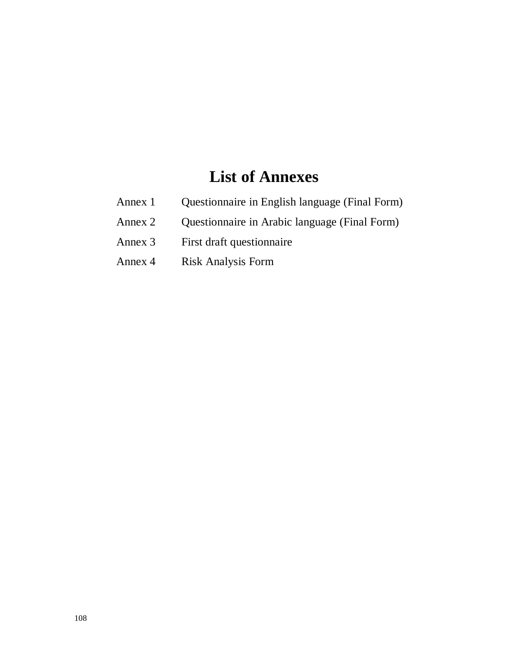# **List of Annexes**

- Annex 1 Questionnaire in English language (Final Form)
- Annex 2 Questionnaire in Arabic language (Final Form)
- Annex 3 First draft questionnaire
- Annex 4 Risk Analysis Form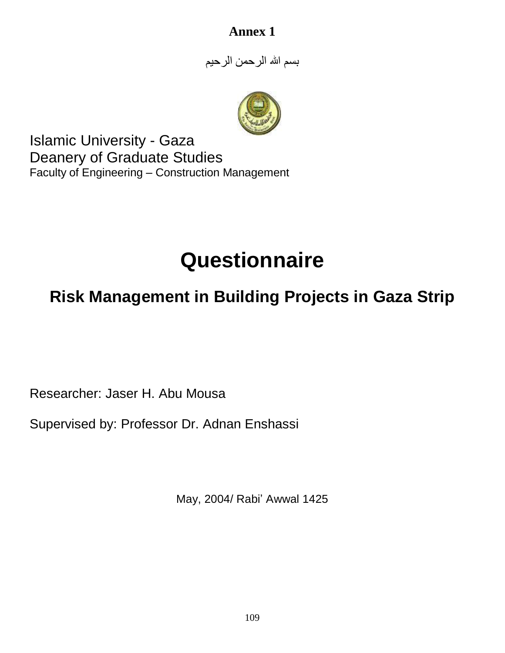# **Annex 1**

بسم الله الرحمن الرحیم



Islamic University - Gaza Deanery of Graduate Studies Faculty of Engineering – Construction Management

# **Questionnaire**

# **Risk Management in Building Projects in Gaza Strip**

Researcher: Jaser H. Abu Mousa

Supervised by: Professor Dr. Adnan Enshassi

May, 2004/ Rabi' Awwal 1425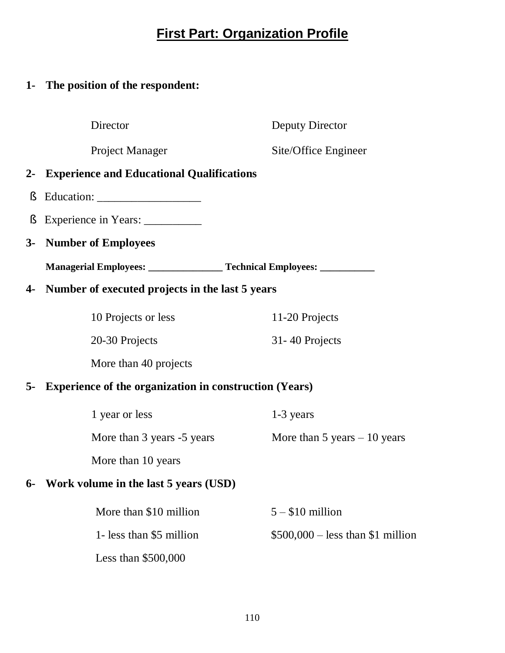# **First Part: Organization Profile**

# **1- The position of the respondent:**

Director Deputy Director

Project Manager Site/Office Engineer

# **2- Experience and Educational Qualifications**

- § Education:
- § Experience in Years: \_\_\_\_\_\_\_\_\_\_
- **3- Number of Employees**

**Managerial Employees: \_\_\_\_\_\_\_\_\_\_\_\_\_\_\_ Technical Employees: \_\_\_\_\_\_\_\_\_\_\_** 

# **4- Number of executed projects in the last 5 years**

| 10 Projects or less | 11-20 Projects   |
|---------------------|------------------|
| 20-30 Projects      | 31 - 40 Projects |

More than 40 projects

# **5- Experience of the organization in construction (Years)**

| 1 year or less             | 1-3 years                     |
|----------------------------|-------------------------------|
| More than 3 years -5 years | More than 5 years $-10$ years |
| More than 10 years         |                               |

# **6- Work volume in the last 5 years (USD)**

| More than \$10 million   | $5 - $10$ million                 |
|--------------------------|-----------------------------------|
| 1- less than \$5 million | $$500,000 - less than $1$ million |
| Less than $$500,000$     |                                   |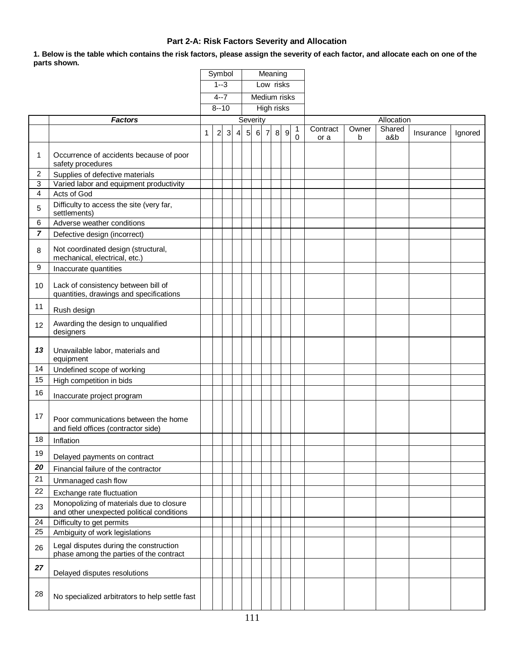### **Part 2-A: Risk Factors Severity and Allocation**

1. Below is the table which contains the risk factors, please assign the severity of each factor, and allocate each on one of the **parts shown.** 

|    |                                                                                       |   | Symbol         |              | Meaning        |                |                   |                |   |                  |        |                  |            |               |           |         |
|----|---------------------------------------------------------------------------------------|---|----------------|--------------|----------------|----------------|-------------------|----------------|---|------------------|--------|------------------|------------|---------------|-----------|---------|
|    |                                                                                       |   | $1 - 3$        |              |                | Low risks      |                   |                |   |                  |        |                  |            |               |           |         |
|    |                                                                                       |   | $4 - 7$        |              |                | Medium risks   |                   |                |   |                  |        |                  |            |               |           |         |
|    |                                                                                       |   |                | $8 - 10$     |                |                | <b>High risks</b> |                |   |                  |        |                  |            |               |           |         |
|    | <b>Factors</b>                                                                        |   |                |              |                | Severity       |                   |                |   |                  |        |                  |            | Allocation    |           |         |
|    |                                                                                       | 1 | $\overline{c}$ | $\mathbf{3}$ | $\overline{4}$ | 5 <sub>l</sub> | 6                 | $\overline{7}$ | 8 | $\boldsymbol{9}$ | 1<br>0 | Contract<br>or a | Owner<br>b | Shared<br>a&b | Insurance | Ignored |
| 1  | Occurrence of accidents because of poor<br>safety procedures                          |   |                |              |                |                |                   |                |   |                  |        |                  |            |               |           |         |
| 2  | Supplies of defective materials                                                       |   |                |              |                |                |                   |                |   |                  |        |                  |            |               |           |         |
| 3  | Varied labor and equipment productivity                                               |   |                |              |                |                |                   |                |   |                  |        |                  |            |               |           |         |
| 4  | Acts of God                                                                           |   |                |              |                |                |                   |                |   |                  |        |                  |            |               |           |         |
| 5  | Difficulty to access the site (very far,<br>settlements)                              |   |                |              |                |                |                   |                |   |                  |        |                  |            |               |           |         |
| 6  | Adverse weather conditions                                                            |   |                |              |                |                |                   |                |   |                  |        |                  |            |               |           |         |
| 7  | Defective design (incorrect)                                                          |   |                |              |                |                |                   |                |   |                  |        |                  |            |               |           |         |
| 8  | Not coordinated design (structural,<br>mechanical, electrical, etc.)                  |   |                |              |                |                |                   |                |   |                  |        |                  |            |               |           |         |
| 9  | Inaccurate quantities                                                                 |   |                |              |                |                |                   |                |   |                  |        |                  |            |               |           |         |
| 10 | Lack of consistency between bill of<br>quantities, drawings and specifications        |   |                |              |                |                |                   |                |   |                  |        |                  |            |               |           |         |
| 11 | Rush design                                                                           |   |                |              |                |                |                   |                |   |                  |        |                  |            |               |           |         |
| 12 | Awarding the design to unqualified<br>designers                                       |   |                |              |                |                |                   |                |   |                  |        |                  |            |               |           |         |
| 13 | Unavailable labor, materials and<br>equipment                                         |   |                |              |                |                |                   |                |   |                  |        |                  |            |               |           |         |
| 14 | Undefined scope of working                                                            |   |                |              |                |                |                   |                |   |                  |        |                  |            |               |           |         |
| 15 | High competition in bids                                                              |   |                |              |                |                |                   |                |   |                  |        |                  |            |               |           |         |
| 16 | Inaccurate project program                                                            |   |                |              |                |                |                   |                |   |                  |        |                  |            |               |           |         |
| 17 | Poor communications between the home<br>and field offices (contractor side)           |   |                |              |                |                |                   |                |   |                  |        |                  |            |               |           |         |
| 18 | Inflation                                                                             |   |                |              |                |                |                   |                |   |                  |        |                  |            |               |           |         |
| 19 | Delayed payments on contract                                                          |   |                |              |                |                |                   |                |   |                  |        |                  |            |               |           |         |
| 20 | Financial failure of the contractor                                                   |   |                |              |                |                |                   |                |   |                  |        |                  |            |               |           |         |
| 21 | Unmanaged cash flow                                                                   |   |                |              |                |                |                   |                |   |                  |        |                  |            |               |           |         |
| 22 | Exchange rate fluctuation                                                             |   |                |              |                |                |                   |                |   |                  |        |                  |            |               |           |         |
| 23 | Monopolizing of materials due to closure<br>and other unexpected political conditions |   |                |              |                |                |                   |                |   |                  |        |                  |            |               |           |         |
| 24 | Difficulty to get permits                                                             |   |                |              |                |                |                   |                |   |                  |        |                  |            |               |           |         |
| 25 | Ambiguity of work legislations                                                        |   |                |              |                |                |                   |                |   |                  |        |                  |            |               |           |         |
| 26 | Legal disputes during the construction<br>phase among the parties of the contract     |   |                |              |                |                |                   |                |   |                  |        |                  |            |               |           |         |
| 27 | Delayed disputes resolutions                                                          |   |                |              |                |                |                   |                |   |                  |        |                  |            |               |           |         |
| 28 | No specialized arbitrators to help settle fast                                        |   |                |              |                |                |                   |                |   |                  |        |                  |            |               |           |         |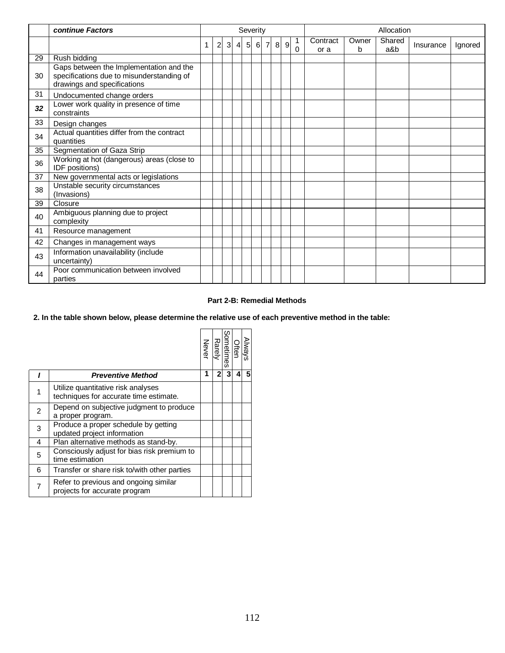|    | continue Factors                                                                                                    | Severity |                |   |                |                |   |                |   |   | Allocation |                  |            |               |           |         |
|----|---------------------------------------------------------------------------------------------------------------------|----------|----------------|---|----------------|----------------|---|----------------|---|---|------------|------------------|------------|---------------|-----------|---------|
|    |                                                                                                                     | 1        | $\overline{2}$ | 3 | $\overline{4}$ | 5 <sup>1</sup> | 6 | $\overline{7}$ | 8 | 9 | $\Omega$   | Contract<br>or a | Owner<br>b | Shared<br>a&b | Insurance | Ignored |
| 29 | Rush bidding                                                                                                        |          |                |   |                |                |   |                |   |   |            |                  |            |               |           |         |
| 30 | Gaps between the Implementation and the<br>specifications due to misunderstanding of<br>drawings and specifications |          |                |   |                |                |   |                |   |   |            |                  |            |               |           |         |
| 31 | Undocumented change orders                                                                                          |          |                |   |                |                |   |                |   |   |            |                  |            |               |           |         |
| 32 | Lower work quality in presence of time<br>constraints                                                               |          |                |   |                |                |   |                |   |   |            |                  |            |               |           |         |
| 33 | Design changes                                                                                                      |          |                |   |                |                |   |                |   |   |            |                  |            |               |           |         |
| 34 | Actual quantities differ from the contract<br>quantities                                                            |          |                |   |                |                |   |                |   |   |            |                  |            |               |           |         |
| 35 | Segmentation of Gaza Strip                                                                                          |          |                |   |                |                |   |                |   |   |            |                  |            |               |           |         |
| 36 | Working at hot (dangerous) areas (close to<br>IDF positions)                                                        |          |                |   |                |                |   |                |   |   |            |                  |            |               |           |         |
| 37 | New governmental acts or legislations                                                                               |          |                |   |                |                |   |                |   |   |            |                  |            |               |           |         |
| 38 | Unstable security circumstances<br>(Invasions)                                                                      |          |                |   |                |                |   |                |   |   |            |                  |            |               |           |         |
| 39 | Closure                                                                                                             |          |                |   |                |                |   |                |   |   |            |                  |            |               |           |         |
| 40 | Ambiguous planning due to project<br>complexity                                                                     |          |                |   |                |                |   |                |   |   |            |                  |            |               |           |         |
| 41 | Resource management                                                                                                 |          |                |   |                |                |   |                |   |   |            |                  |            |               |           |         |
| 42 | Changes in management ways                                                                                          |          |                |   |                |                |   |                |   |   |            |                  |            |               |           |         |
| 43 | Information unavailability (include<br>uncertainty)                                                                 |          |                |   |                |                |   |                |   |   |            |                  |            |               |           |         |
| 44 | Poor communication between involved<br>parties                                                                      |          |                |   |                |                |   |                |   |   |            |                  |            |               |           |         |

#### **Part 2-B: Remedial Methods**

#### 2. In the table shown below, please determine the relative use of each preventive method in the table:

|                |                                                                              | Never | <b>Rarely</b> | Often<br>Sometimes<br>Ō |   | Always |
|----------------|------------------------------------------------------------------------------|-------|---------------|-------------------------|---|--------|
|                | <b>Preventive Method</b>                                                     | 1     | 2             | 3                       | 4 |        |
| 1              | Utilize quantitative risk analyses<br>techniques for accurate time estimate. |       |               |                         |   |        |
| $\overline{2}$ | Depend on subjective judgment to produce<br>a proper program.                |       |               |                         |   |        |
| 3              | Produce a proper schedule by getting<br>updated project information          |       |               |                         |   |        |
| 4              | Plan alternative methods as stand-by.                                        |       |               |                         |   |        |
| 5              | Consciously adjust for bias risk premium to<br>time estimation               |       |               |                         |   |        |
| 6              | Transfer or share risk to/with other parties                                 |       |               |                         |   |        |
| 7              | Refer to previous and ongoing similar<br>projects for accurate program       |       |               |                         |   |        |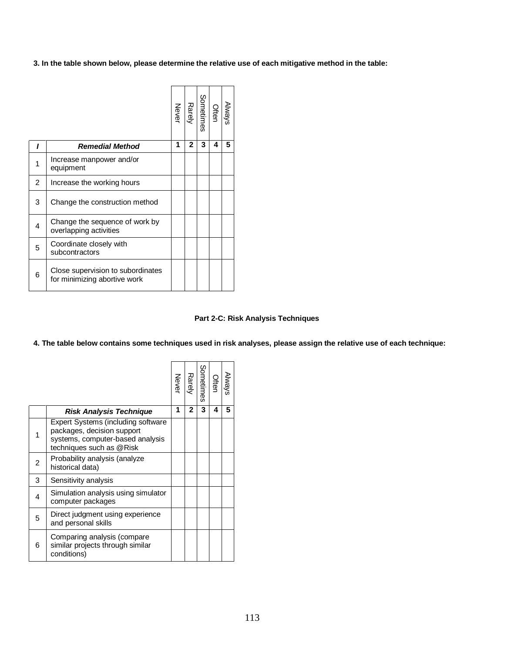**3. In the table shown below, please determine the relative use of each mitigative method in the table:** 

|                |                                                                   | Never | Rarely       | Sometimes | Often | Always |
|----------------|-------------------------------------------------------------------|-------|--------------|-----------|-------|--------|
|                | <b>Remedial Method</b>                                            | 1     | $\mathbf{2}$ | 3         | 4     | 5      |
| 1              | Increase manpower and/or<br>equipment                             |       |              |           |       |        |
| $\overline{2}$ | Increase the working hours                                        |       |              |           |       |        |
| 3              | Change the construction method                                    |       |              |           |       |        |
| 4              | Change the sequence of work by<br>overlapping activities          |       |              |           |       |        |
| 5              | Coordinate closely with<br>subcontractors                         |       |              |           |       |        |
| 6              | Close supervision to subordinates<br>for minimizing abortive work |       |              |           |       |        |

#### **Part 2-C: Risk Analysis Techniques**

4. The table below contains some techniques used in risk analyses, please assign the relative use of each technique:

|                |                                                                                                                                  | Never | Rarely       | Sometimes | Often | <b>Always</b> |
|----------------|----------------------------------------------------------------------------------------------------------------------------------|-------|--------------|-----------|-------|---------------|
|                | <b>Risk Analysis Technique</b>                                                                                                   | 1     | $\mathbf{2}$ | 3         | 4     | 5             |
|                | Expert Systems (including software<br>packages, decision support<br>systems, computer-based analysis<br>techniques such as @Risk |       |              |           |       |               |
| $\overline{2}$ | Probability analysis (analyze<br>historical data)                                                                                |       |              |           |       |               |
| 3              | Sensitivity analysis                                                                                                             |       |              |           |       |               |
| 4              | Simulation analysis using simulator<br>computer packages                                                                         |       |              |           |       |               |
| 5              | Direct judgment using experience<br>and personal skills                                                                          |       |              |           |       |               |
| 6              | Comparing analysis (compare<br>similar projects through similar<br>conditions)                                                   |       |              |           |       |               |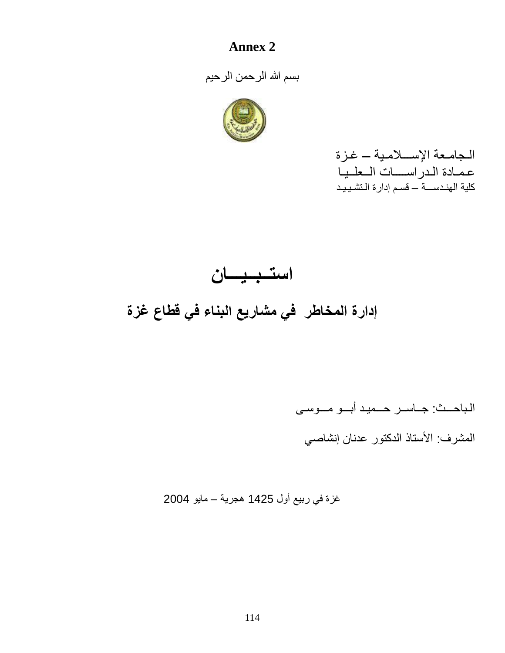# **Annex 2**

بسم االله الرحمن الرحیم



الـجامـعة الإســـلامـیة – غـزة عـمـادة الـدراســــات الــعلــیـا كلیة الھنـدســـة – قسـم إدارة الـتشـیـیـد

# **استــبــیـــان إدارة المخاطر في مشاریع البناء في قطاع غزة**

الـباحـــث: جــاســر حـــمیـد أبـــو مـــوسـى

المشرف: الأستاذ الدكتور عدنان إنشاصي

غزة في ربیع أول 1425 ھجریة – مایو 2004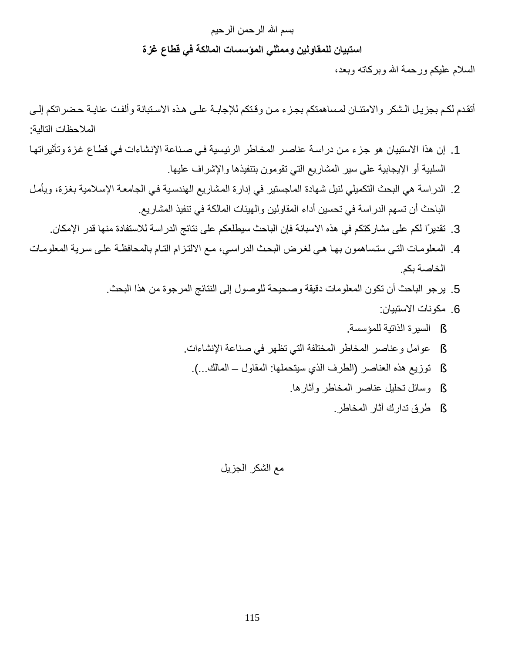# بسم االله الرحمن الرحیم **استبیان للمقاولین وممثلي المؤسسات المالكة في قطاع غزة**

السلام علیكم ورحمة االله وبركاتھ وبعد،

أتقدم لكم بجزيل الشكر والامتنـان لمساهمتكم بجزء من وقتكم للإجابـة علـي هذه الاستبانة وألفت عنايـة حضراتكم إلـي الملاحظات التالیة:

- 1. إن هذا الاستبيان هو جزء من دراسة عناصر المخاطر الرئيسية في صناعة الإنشاءات في قطاع غزة وتأثيراتها السلبیة أو الإیجابیة على سیر المشاریع التي تقومون بتنفیذھا والإشراف علیھا.
- 2. الدراسة هي البحث التكميلي لنيل شهادة الماجستير في إدارة المشاريع الهندسية في الجامعة الإسلامية بغزة، ويأمل الباحث أن تسھم الدراسة في تحسین أداء المقاولین والھیئات المالكة في تنفیذ المشاریع.
	- .3 تقدیرًا لكم على مشاركتكم في ھذه الاسبانة فإن الباحث سیطلعكم على نتائج الدراسة للاستفادة منھا قدر الإمكان.
- 4. المعلومات التبي ستساهمون بها هي لغرض البحث الدراسي، مع الالتزام التـام بالمحافظـة علـي سرية المعلومـات الخاصة بكم.
	- .5 یرجو الباحث أن تكون المعلومات دقیقة وصحیحة للوصول إلى النتائج المرجوة من ھذا البحث.
		- .6 مكونات الاستبیان:
		- § السیرة الذاتیة للمؤسسة.
		- § عوامل وعناصر المخاطر المختلفة التي تظھر في صناعة الإنشاءات.
			- § توزیع ھذه العناصر (الطرف الذي سیتحملھا: المقاول المالك...).
				- § وسائل تحلیل عناصر المخاطر وآثارھا.
					- § طرق تدارك آثار المخاطر.

# مع الشكر الجزیل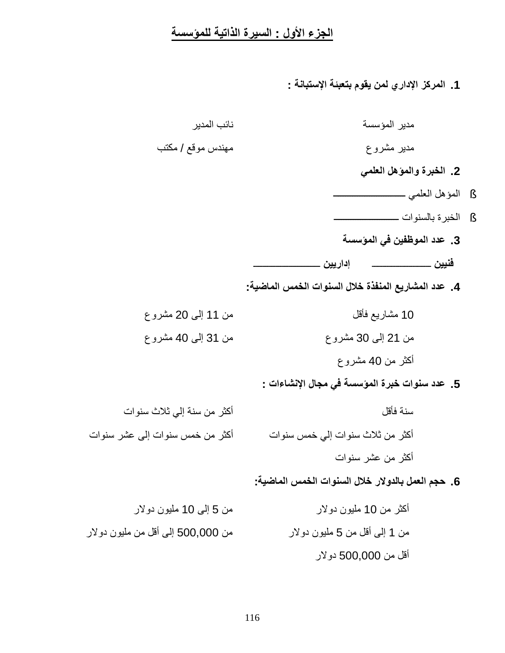# **الجزء الأول : السیرة الذاتیة للمؤسسة**

**.1 المركز الإداري لمن یقوم بتعبئة الإستبانة :**

| مدير المؤسسة                                        | نائب المدير                     |
|-----------------------------------------------------|---------------------------------|
| مدبر مشروع                                          | مهندس موقع / مكتب               |
| 2. الخبرة والمؤهل العلمي                            |                                 |
|                                                     |                                 |
|                                                     |                                 |
| 3. عدد الموظفين في المؤسسة                          |                                 |
|                                                     |                                 |
| 4. عدد المشاريع المنفذة خلال السنوات الخمس الماضية: |                                 |
| 10 مشاريع فأقل                                      | من 11 إلى 20 مشروع              |
| من 21 إلى 30 مشروع                                  | من 31 إلى 40 مشروع              |
| أكثر من 40 مشروع                                    |                                 |
| 5. عدد سنوات خبرة المؤسسة في مجال الإنشاءات :       |                                 |
| سنة فأقل                                            | أكثر من سنة إلى ثلاث سنوات      |
| أكثر من ثلاث سنوات إلى خمس سنوات                    | أكثر من خمس سنوات إلى عشر سنوات |
| أكثر من عشر سنوات                                   |                                 |
| 6. حجم العمل بالدولار خلال السنوات الخمس الماضية:   |                                 |
| أكثر من 10 مليون دولار                              | من 5 إلى 10 مليون دولار         |

من 1 إلى أقل من 5 ملیون دولار من 500,000 إلى أقل من ملیون دولار أقل من 500,000 دولار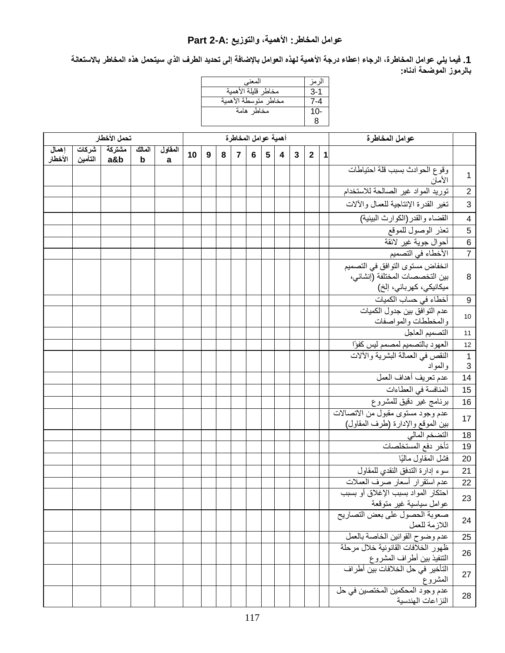# **عوامل المخاطر: الأھمیة، والتوزیع :A2- Part**

1. فيما يلي عوامل المخاطرة، الرجاء إعطاء درجة الأهمية لهذه العوامل بالإضافة إلى تحديد الطرف الذي سيتحمل هذه المخاطر بالاستعانة **بالرموز الموضحة أدناه:**

| المعنى               | ار مز |
|----------------------|-------|
| مخاطر قليلة الأهمية  | $3-1$ |
| مخاطر متوسطة الأهمية | 7-4   |
| مخاطر هامة           | 10-   |
|                      | 8     |

|                  |         | تحمل الأخطار         |                       |              |    |                  |   |                | أهمية عوامل المخاطرة |                 |                         |              |              |             | عوامل المخاطرة                                                             |                         |
|------------------|---------|----------------------|-----------------------|--------------|----|------------------|---|----------------|----------------------|-----------------|-------------------------|--------------|--------------|-------------|----------------------------------------------------------------------------|-------------------------|
| إهمال<br>الأخطار | التأمين | مشتركة مشركات<br>a&b | المالك<br>$\mathbf b$ | المقاول<br>a | 10 | $\boldsymbol{9}$ | 8 | $\overline{7}$ | 6                    | $5\phantom{.0}$ | $\overline{\mathbf{4}}$ | $\mathbf{3}$ | $\mathbf{2}$ | $\mathbf 1$ |                                                                            |                         |
|                  |         |                      |                       |              |    |                  |   |                |                      |                 |                         |              |              |             | وقوع الحوادث بسبب قلة احتياطات<br>الأمان                                   | $\mathbf{1}$            |
|                  |         |                      |                       |              |    |                  |   |                |                      |                 |                         |              |              |             | توريد المواد غير الصالحة للاستخدام                                         | $\sqrt{2}$              |
|                  |         |                      |                       |              |    |                  |   |                |                      |                 |                         |              |              |             | تغير القدرة الإنتاجية للعمال والألات                                       | 3                       |
|                  |         |                      |                       |              |    |                  |   |                |                      |                 |                         |              |              |             | القضاء والقدر (الكوارث البيئية)                                            | $\overline{\mathbf{4}}$ |
|                  |         |                      |                       |              |    |                  |   |                |                      |                 |                         |              |              |             | تعذر الوصول للموقع                                                         | $\overline{5}$          |
|                  |         |                      |                       |              |    |                  |   |                |                      |                 |                         |              |              |             | أحوال جوية غير لائقة                                                       | $\overline{6}$          |
|                  |         |                      |                       |              |    |                  |   |                |                      |                 |                         |              |              |             | الأخطاء في التصميم                                                         | $\overline{7}$          |
|                  |         |                      |                       |              |    |                  |   |                |                      |                 |                         |              |              |             | انخفاض مستوى التوافق في التصميم<br>بين التخصصات المختلفة (إنشائي،          | 8                       |
|                  |         |                      |                       |              |    |                  |   |                |                      |                 |                         |              |              |             | ميكانيكي، كهربائي، إلخ)                                                    |                         |
|                  |         |                      |                       |              |    |                  |   |                |                      |                 |                         |              |              |             | أخطاء في حساب الكميات                                                      | $\boldsymbol{9}$        |
|                  |         |                      |                       |              |    |                  |   |                |                      |                 |                         |              |              |             | عدم التوافق بين جدول الكميات                                               |                         |
|                  |         |                      |                       |              |    |                  |   |                |                      |                 |                         |              |              |             | والمخططات والمواصفات                                                       | $10$                    |
|                  |         |                      |                       |              |    |                  |   |                |                      |                 |                         |              |              |             | التصميم العاجل                                                             | 11                      |
|                  |         |                      |                       |              |    |                  |   |                |                      |                 |                         |              |              |             | العهود بالتصميم لمصمم ليس كفؤا                                             | 12                      |
|                  |         |                      |                       |              |    |                  |   |                |                      |                 |                         |              |              |             | النقص في العمالة البشرية والألات                                           | $\mathbf{1}$            |
|                  |         |                      |                       |              |    |                  |   |                |                      |                 |                         |              |              |             | والمواد                                                                    | 3                       |
|                  |         |                      |                       |              |    |                  |   |                |                      |                 |                         |              |              |             | عدم تعريف أهداف العمل                                                      | 14                      |
|                  |         |                      |                       |              |    |                  |   |                |                      |                 |                         |              |              |             | المنافسة في العطاءات                                                       | 15                      |
|                  |         |                      |                       |              |    |                  |   |                |                      |                 |                         |              |              |             | برنامج غير دقيق للمشروع                                                    | 16                      |
|                  |         |                      |                       |              |    |                  |   |                |                      |                 |                         |              |              |             | عدم وجود مستوى مقبول من الاتصالات<br>بين الموقع والإدارة (طرف المقاول)     | 17                      |
|                  |         |                      |                       |              |    |                  |   |                |                      |                 |                         |              |              |             | التضخم المالي                                                              | 18                      |
|                  |         |                      |                       |              |    |                  |   |                |                      |                 |                         |              |              |             | تأخر دفع المستخلصات                                                        | 19                      |
|                  |         |                      |                       |              |    |                  |   |                |                      |                 |                         |              |              |             | فشل المقاول ماليًا                                                         | 20                      |
|                  |         |                      |                       |              |    |                  |   |                |                      |                 |                         |              |              |             | سوء إدارة التدفق النقدى للمقاول                                            | 21                      |
|                  |         |                      |                       |              |    |                  |   |                |                      |                 |                         |              |              |             | عدم استقرار أسعار صرف العملات                                              | 22                      |
|                  |         |                      |                       |              |    |                  |   |                |                      |                 |                         |              |              |             | احتكار المواد بسبب الإغلاق أو بسبب<br>عوامل سياسية غير متوقعة              | 23                      |
|                  |         |                      |                       |              |    |                  |   |                |                      |                 |                         |              |              |             | صعوبة الحصول على بعض التصاريح<br>اللازمة للعمل                             | 24                      |
|                  |         |                      |                       |              |    |                  |   |                |                      |                 |                         |              |              |             | عدم وضوح القوانين الخاصة بالعمل                                            | 25                      |
|                  |         |                      |                       |              |    |                  |   |                |                      |                 |                         |              |              |             | ظهور الخلافات القانونية خلال مرحلة                                         | 26                      |
|                  |         |                      |                       |              |    |                  |   |                |                      |                 |                         |              |              |             | التنفيذ بين أطراف المشروع<br>التأخير في حل الخلافات بين أطراف              |                         |
|                  |         |                      |                       |              |    |                  |   |                |                      |                 |                         |              |              |             | المشروع<br><sub>ال</sub> مسروح<br>عدم وجود المحكمين المختصين ف <i>ي</i> حل | 27                      |
|                  |         |                      |                       |              |    |                  |   |                |                      |                 |                         |              |              |             | النز اعات الهندسية                                                         | 28                      |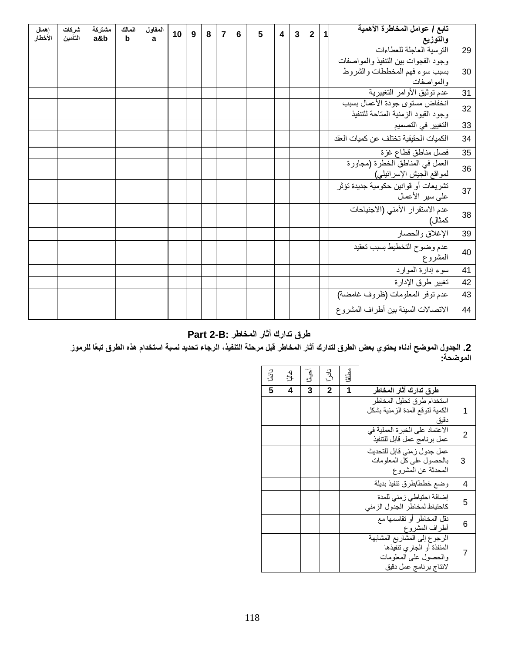| إهمال<br>الأخطار | شركات<br>التأمين | مشتركة<br>a&b | المالك<br>$\mathbf b$ | المقاول<br>a | 10 | 9 | 8 | $\overline{7}$ | 6 | 5 | $\overline{\mathbf{4}}$ | $\overline{3}$ | $\overline{2}$ | 1 | تابع / عوامل المخاطرة الأهمية<br>والتوزيع                             |    |
|------------------|------------------|---------------|-----------------------|--------------|----|---|---|----------------|---|---|-------------------------|----------------|----------------|---|-----------------------------------------------------------------------|----|
|                  |                  |               |                       |              |    |   |   |                |   |   |                         |                |                |   | الترسية العاجلة للعطاءات                                              | 29 |
|                  |                  |               |                       |              |    |   |   |                |   |   |                         |                |                |   | وجود الفجوات بين التنفيذ والمواصفات                                   |    |
|                  |                  |               |                       |              |    |   |   |                |   |   |                         |                |                |   | بسبب سوء فهم المخططات والشروط                                         | 30 |
|                  |                  |               |                       |              |    |   |   |                |   |   |                         |                |                |   | والمواصفات                                                            |    |
|                  |                  |               |                       |              |    |   |   |                |   |   |                         |                |                |   | عدم توثَّيق الأوامر التغييرية                                         | 31 |
|                  |                  |               |                       |              |    |   |   |                |   |   |                         |                |                |   | انخفاض مستوى جودة الأعمال بسبب<br>وجود القيود الزمنية المتاحة للتنفيذ | 32 |
|                  |                  |               |                       |              |    |   |   |                |   |   |                         |                |                |   | التغيير في التصميم                                                    | 33 |
|                  |                  |               |                       |              |    |   |   |                |   |   |                         |                |                |   | الكميات الحقيقية تختلف عن كميات العقد                                 | 34 |
|                  |                  |               |                       |              |    |   |   |                |   |   |                         |                |                |   | فصل مناطق قطاع غزة                                                    | 35 |
|                  |                  |               |                       |              |    |   |   |                |   |   |                         |                |                |   | العمل في المناطق الخطرة (مجاورة<br>لمواقع الجيش الإسرائيلي)           | 36 |
|                  |                  |               |                       |              |    |   |   |                |   |   |                         |                |                |   | تشريعات أو قوانين حكومية جديدة تؤثر<br>على سير الأعمال                | 37 |
|                  |                  |               |                       |              |    |   |   |                |   |   |                         |                |                |   | عدم الاستقرار الأمنى (الاجنياحات<br>كمثال)                            | 38 |
|                  |                  |               |                       |              |    |   |   |                |   |   |                         |                |                |   | الإغلاق والحصار                                                       | 39 |
|                  |                  |               |                       |              |    |   |   |                |   |   |                         |                |                |   | عدم وضوح التخطيط بسبب تعقيد<br>المشروع                                | 40 |
|                  |                  |               |                       |              |    |   |   |                |   |   |                         |                |                |   | سوء إدارة الموارد                                                     | 41 |
|                  |                  |               |                       |              |    |   |   |                |   |   |                         |                |                |   | تغيير طرق الإدارة                                                     | 42 |
|                  |                  |               |                       |              |    |   |   |                |   |   |                         |                |                |   | عدم نوفر المعلومات (ظروف غامضة)                                       | 43 |
|                  |                  |               |                       |              |    |   |   |                |   |   |                         |                |                |   | الاتصالات السيئة بين أطراف المشروع                                    | 44 |

**طرق تدارك آثار المخاطر :B2- Part**

2. الجدول الموضح أدناه يحتوي بعض الطرق لتدارك آثار المخاطر قبل مرحلة التنفيذ، الرجاء تحديد نسبة استخدام هذه الطرق تبعًا للرموز **الموضحة:**

| د اټې | <u>्भ</u> | أحنيانًا | <u>تلا</u>     | م<br>أما |                                                                                                              |   |
|-------|-----------|----------|----------------|----------|--------------------------------------------------------------------------------------------------------------|---|
| 5     | 4         | 3        | $\overline{2}$ | 1        | طرق تدارك آثار المخاطر                                                                                       |   |
|       |           |          |                |          | استخدام طرق تحليل المخاطر<br>الكمية لتوقع المدة الزمنية بشكل<br>دقيق                                         | 1 |
|       |           |          |                |          | الاعتماد على الخبرة العملية في<br>عمل برنامج عمل قابل للتنفيذ                                                | 2 |
|       |           |          |                |          | عمل جدول زمني قابل للتحديث<br>بالحصول على كل المعلومات<br>المحدثة عن المشروع                                 | 3 |
|       |           |          |                |          | وضع خطط/طرق تنفيذ بديلة                                                                                      | 4 |
|       |           |          |                |          | إضافة احتياطي زمني للمدة<br>كاحتياط لمخاطر الجدول الزمنى                                                     | 5 |
|       |           |          |                |          | نقل المخاطر أو نقاسمها مع<br>أطراف المشروع                                                                   | 6 |
|       |           |          |                |          | الرجوع إلى المشاريع المشابهة<br>المنفذة أو الجارى تنفيذها<br>والحصول على المعلومات<br>لانتاج برنامج عمل دقيق | 7 |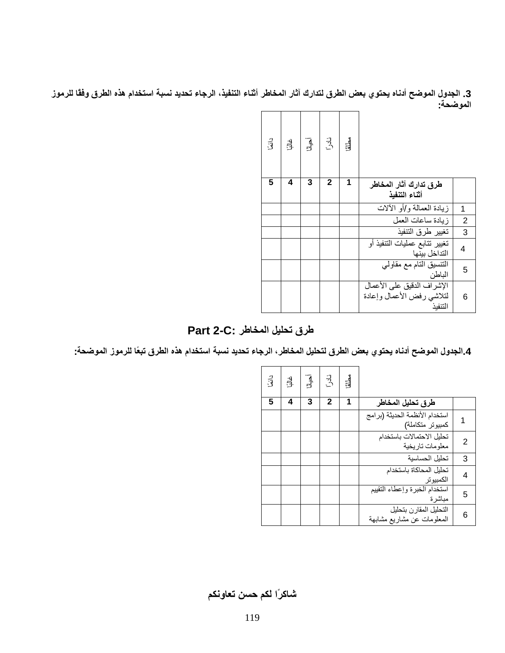3. الجدول الموضح أدناه يحتوي بعض الطرق لتدارك آثار المخاطر أثناء التنفيذ، الرجاء تحديد نسبة استخدام هذه الطرق وفقًا للرموز **الموضحة:**

| دائمًا | डी. | $\begin{array}{c} \boxed{1} \\ \frac{1}{2} \end{array}$ | نادر         | مطنة |                                                                     |                |
|--------|-----|---------------------------------------------------------|--------------|------|---------------------------------------------------------------------|----------------|
| 5      | 4   | 3                                                       | $\mathbf{2}$ | 1    | طرق تدارك آثار المخاطر<br>أثناء التنفيذ                             |                |
|        |     |                                                         |              |      | زيادة المعمالة و/أو الألات                                          | 1              |
|        |     |                                                         |              |      | ز يادة ساعات العمل                                                  | $\overline{2}$ |
|        |     |                                                         |              |      | تغيير طرق التنفيذ                                                   | 3              |
|        |     |                                                         |              |      | تغيير تتابع عمليات التنفيذ أو<br>التداخل بينها                      | 4              |
|        |     |                                                         |              |      | التنسيق التام مع مقاولي<br>الباطن                                   | 5              |
|        |     |                                                         |              |      | الإشر اف الدقيق على الأعمال<br>لتلاشى رفض الأعمال وإعادة<br>التنفيذ | 6              |

**طرق تحلیل المخاطر :C2- Part**

4.الجدول الموضح أدناه يحتوي بعض الطرق لتحليل المخاطر ، الرجاء تحديد نسبة استخدام هذه الطرق تبعًا للرموز الموضحة:

 $\blacksquare$ 

| دائگ | ن<br>بات | $\overline{A}$ | نادر         | مطلة |                                                      |   |
|------|----------|----------------|--------------|------|------------------------------------------------------|---|
| 5    | 4        | 3              | $\mathbf{2}$ | 1    | طرق تحليل المخاطر                                    |   |
|      |          |                |              |      | استخدام الأنظمة الحديثة (برامج<br>كمبيوتر متكاملة)   |   |
|      |          |                |              |      | تحليل الاحتمالات باستخدام<br>معلومات تاريخية         | 2 |
|      |          |                |              |      | تحليل الحساسية                                       | 3 |
|      |          |                |              |      | تحليل المحاكاة باستخدام<br>الكمبيوتر                 | 4 |
|      |          |                |              |      | استخدام الخبرة وإعطاء التقييم<br>مباشرة              | 5 |
|      |          |                |              |      | التحليل المقارن بتحليل<br>المعلومات عن مشاريع مشابهة | 6 |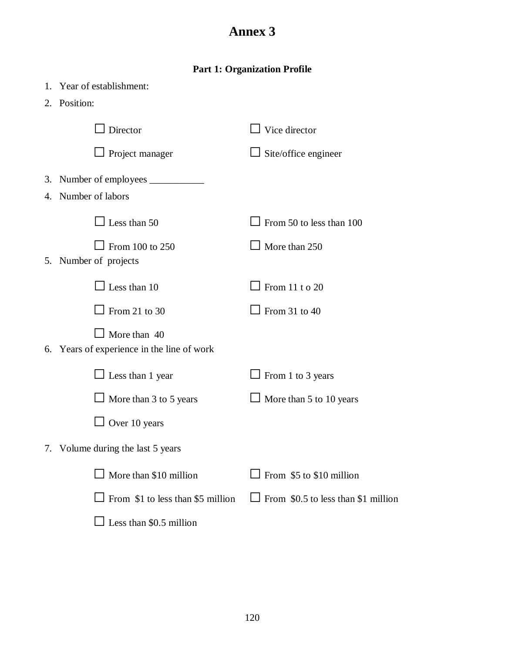# **Annex 3**

# **Part 1: Organization Profile**

| 1. Year of establishment:                                         |                                            |
|-------------------------------------------------------------------|--------------------------------------------|
| 2. Position:                                                      |                                            |
| Director                                                          | $\Box$ Vice director                       |
| $\Box$ Project manager                                            | $\Box$ Site/office engineer                |
|                                                                   |                                            |
| 4. Number of labors                                               |                                            |
| $\perp$ Less than 50                                              | $\Box$ From 50 to less than 100            |
| From 100 to 250<br>5. Number of projects                          | $\Box$ More than 250                       |
| $\Box$ Less than 10                                               | $\Box$ From 11 t o 20                      |
| $\perp$ From 21 to 30                                             | $\perp$ From 31 to 40                      |
| $\Box$ More than 40<br>6. Years of experience in the line of work |                                            |
| $\Box$ Less than 1 year                                           | $\Box$ From 1 to 3 years                   |
| $\Box$ More than 3 to 5 years                                     | $\Box$ More than 5 to 10 years             |
| $\Box$ Over 10 years                                              |                                            |
| 7. Volume during the last 5 years                                 |                                            |
| $\Box$ More than \$10 million                                     | $\Box$ From \$5 to \$10 million            |
| $\Box$ From \$1 to less than \$5 million                          | $\Box$ From \$0.5 to less than \$1 million |
| $\perp$ Less than \$0.5 million                                   |                                            |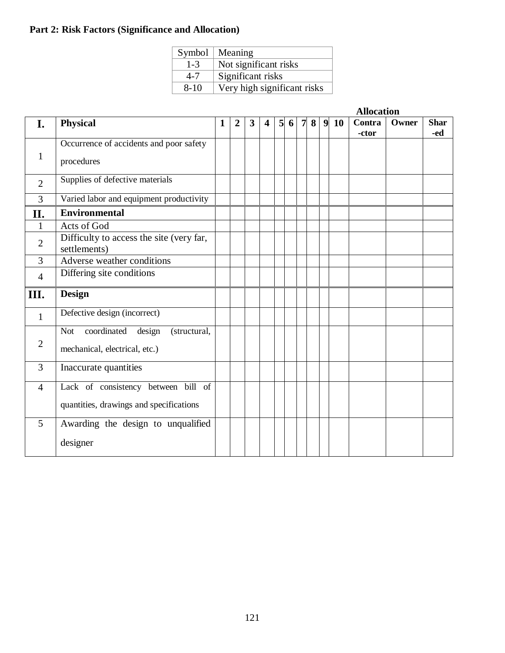# **Part 2: Risk Factors (Significance and Allocation)**

| Symbol   | Meaning                     |
|----------|-----------------------------|
| $1 - 3$  | Not significant risks       |
| $4 - 7$  | Significant risks           |
| $8 - 10$ | Very high significant risks |

|                |                                                          |   |                |   |   |                 |   |                |   | <b>Allocation</b> |        |       |             |  |  |  |
|----------------|----------------------------------------------------------|---|----------------|---|---|-----------------|---|----------------|---|-------------------|--------|-------|-------------|--|--|--|
| I.             | <b>Physical</b>                                          | 1 | $\overline{2}$ | 3 | 4 | $5\overline{)}$ | 6 | $\overline{7}$ | 8 | 910               | Contra | Owner | <b>Shar</b> |  |  |  |
|                |                                                          |   |                |   |   |                 |   |                |   |                   | -ctor  |       | -ed         |  |  |  |
|                | Occurrence of accidents and poor safety                  |   |                |   |   |                 |   |                |   |                   |        |       |             |  |  |  |
| 1              | procedures                                               |   |                |   |   |                 |   |                |   |                   |        |       |             |  |  |  |
|                |                                                          |   |                |   |   |                 |   |                |   |                   |        |       |             |  |  |  |
| $\overline{2}$ | Supplies of defective materials                          |   |                |   |   |                 |   |                |   |                   |        |       |             |  |  |  |
| $\overline{3}$ | Varied labor and equipment productivity                  |   |                |   |   |                 |   |                |   |                   |        |       |             |  |  |  |
| II.            | <b>Environmental</b>                                     |   |                |   |   |                 |   |                |   |                   |        |       |             |  |  |  |
| $\mathbf{1}$   | Acts of God                                              |   |                |   |   |                 |   |                |   |                   |        |       |             |  |  |  |
| $\overline{2}$ | Difficulty to access the site (very far,<br>settlements) |   |                |   |   |                 |   |                |   |                   |        |       |             |  |  |  |
| 3              | Adverse weather conditions                               |   |                |   |   |                 |   |                |   |                   |        |       |             |  |  |  |
| $\overline{4}$ | Differing site conditions                                |   |                |   |   |                 |   |                |   |                   |        |       |             |  |  |  |
| III.           | <b>Design</b>                                            |   |                |   |   |                 |   |                |   |                   |        |       |             |  |  |  |
| $\mathbf{1}$   | Defective design (incorrect)                             |   |                |   |   |                 |   |                |   |                   |        |       |             |  |  |  |
|                | coordinated<br>Not<br>design<br>(structural,             |   |                |   |   |                 |   |                |   |                   |        |       |             |  |  |  |
| $\overline{2}$ |                                                          |   |                |   |   |                 |   |                |   |                   |        |       |             |  |  |  |
|                | mechanical, electrical, etc.)                            |   |                |   |   |                 |   |                |   |                   |        |       |             |  |  |  |
| 3              | Inaccurate quantities                                    |   |                |   |   |                 |   |                |   |                   |        |       |             |  |  |  |
| $\overline{4}$ | Lack of consistency between bill of                      |   |                |   |   |                 |   |                |   |                   |        |       |             |  |  |  |
|                |                                                          |   |                |   |   |                 |   |                |   |                   |        |       |             |  |  |  |
|                | quantities, drawings and specifications                  |   |                |   |   |                 |   |                |   |                   |        |       |             |  |  |  |
| 5              | Awarding the design to unqualified                       |   |                |   |   |                 |   |                |   |                   |        |       |             |  |  |  |
|                | designer                                                 |   |                |   |   |                 |   |                |   |                   |        |       |             |  |  |  |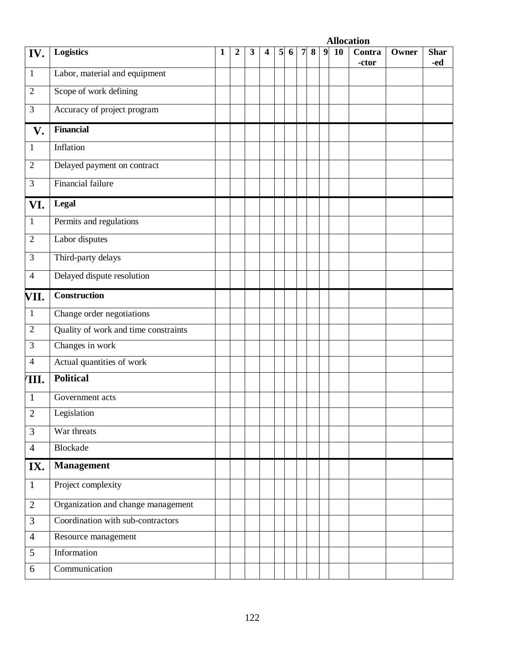|                |                                      |   |   |   |   |                |   |   |   |                  |    | <b>Allocation</b> |       |                    |
|----------------|--------------------------------------|---|---|---|---|----------------|---|---|---|------------------|----|-------------------|-------|--------------------|
| IV.            | <b>Logistics</b>                     | 1 | 2 | 3 | 4 | 5 <sub>l</sub> | 6 | 7 | 8 | $\boldsymbol{9}$ | 10 | Contra<br>-ctor   | Owner | <b>Shar</b><br>-ed |
| $\mathbf{1}$   | Labor, material and equipment        |   |   |   |   |                |   |   |   |                  |    |                   |       |                    |
| $\overline{2}$ | Scope of work defining               |   |   |   |   |                |   |   |   |                  |    |                   |       |                    |
| $\overline{3}$ | Accuracy of project program          |   |   |   |   |                |   |   |   |                  |    |                   |       |                    |
| V.             | <b>Financial</b>                     |   |   |   |   |                |   |   |   |                  |    |                   |       |                    |
| $\mathbf{1}$   | Inflation                            |   |   |   |   |                |   |   |   |                  |    |                   |       |                    |
| $\overline{2}$ | Delayed payment on contract          |   |   |   |   |                |   |   |   |                  |    |                   |       |                    |
| 3              | Financial failure                    |   |   |   |   |                |   |   |   |                  |    |                   |       |                    |
| VI.            | Legal                                |   |   |   |   |                |   |   |   |                  |    |                   |       |                    |
| $\mathbf{1}$   | Permits and regulations              |   |   |   |   |                |   |   |   |                  |    |                   |       |                    |
| $\overline{2}$ | Labor disputes                       |   |   |   |   |                |   |   |   |                  |    |                   |       |                    |
| 3              | Third-party delays                   |   |   |   |   |                |   |   |   |                  |    |                   |       |                    |
| $\overline{4}$ | Delayed dispute resolution           |   |   |   |   |                |   |   |   |                  |    |                   |       |                    |
| VII.           | Construction                         |   |   |   |   |                |   |   |   |                  |    |                   |       |                    |
| $\mathbf{1}$   | Change order negotiations            |   |   |   |   |                |   |   |   |                  |    |                   |       |                    |
| $\mathbf{2}$   | Quality of work and time constraints |   |   |   |   |                |   |   |   |                  |    |                   |       |                    |
| 3              | Changes in work                      |   |   |   |   |                |   |   |   |                  |    |                   |       |                    |
| $\overline{4}$ | Actual quantities of work            |   |   |   |   |                |   |   |   |                  |    |                   |       |                    |
| 'III.          | <b>Political</b>                     |   |   |   |   |                |   |   |   |                  |    |                   |       |                    |
| $\mathbf{1}$   | Government acts                      |   |   |   |   |                |   |   |   |                  |    |                   |       |                    |
| $\mathbf{2}$   | Legislation                          |   |   |   |   |                |   |   |   |                  |    |                   |       |                    |
| $\overline{3}$ | War threats                          |   |   |   |   |                |   |   |   |                  |    |                   |       |                    |
| $\overline{4}$ | <b>Blockade</b>                      |   |   |   |   |                |   |   |   |                  |    |                   |       |                    |
| IX.            | <b>Management</b>                    |   |   |   |   |                |   |   |   |                  |    |                   |       |                    |
| $\mathbf{1}$   | Project complexity                   |   |   |   |   |                |   |   |   |                  |    |                   |       |                    |
| $\overline{2}$ | Organization and change management   |   |   |   |   |                |   |   |   |                  |    |                   |       |                    |
| $\overline{3}$ | Coordination with sub-contractors    |   |   |   |   |                |   |   |   |                  |    |                   |       |                    |
| $\overline{4}$ | Resource management                  |   |   |   |   |                |   |   |   |                  |    |                   |       |                    |
| 5              | Information                          |   |   |   |   |                |   |   |   |                  |    |                   |       |                    |
| 6              | Communication                        |   |   |   |   |                |   |   |   |                  |    |                   |       |                    |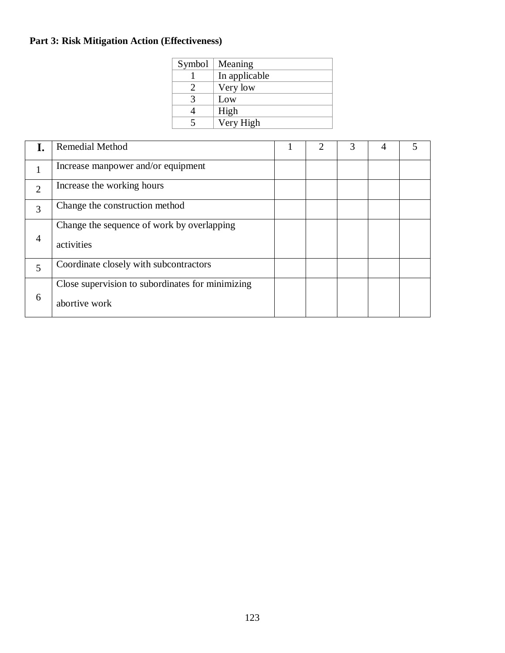# **Part 3: Risk Mitigation Action (Effectiveness)**

| Symbol | Meaning       |
|--------|---------------|
|        | In applicable |
|        | Very low      |
|        | Low           |
|        | High          |
|        | Very High     |

|                | <b>Remedial Method</b>                                            |  | 3 | 4 |  |
|----------------|-------------------------------------------------------------------|--|---|---|--|
|                | Increase manpower and/or equipment                                |  |   |   |  |
| $\overline{2}$ | Increase the working hours                                        |  |   |   |  |
| 3              | Change the construction method                                    |  |   |   |  |
| $\overline{4}$ | Change the sequence of work by overlapping<br>activities          |  |   |   |  |
| 5              | Coordinate closely with subcontractors                            |  |   |   |  |
| 6              | Close supervision to subordinates for minimizing<br>abortive work |  |   |   |  |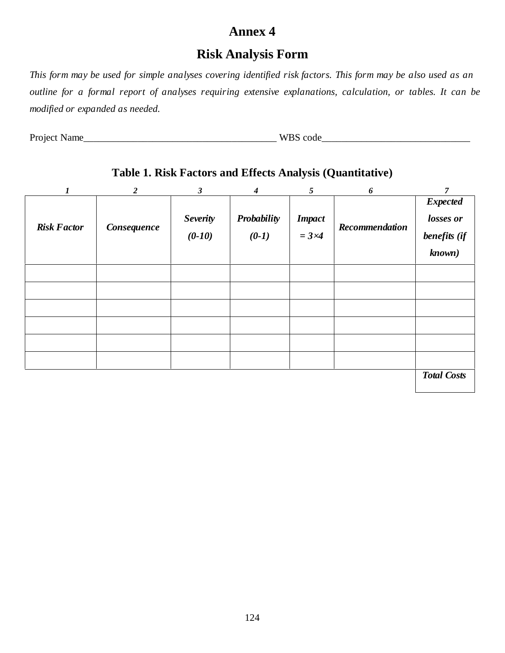# **Annex 4**

# **Risk Analysis Form**

This form may be used for simple analyses covering identified risk factors. This form may be also used as an *outline for a formal report of analyses requiring extensive explanations, calculation, or tables. It can be modified or expanded as needed.* 

Project Name\_\_\_\_\_\_\_\_\_\_\_\_\_\_\_\_\_\_\_\_\_\_\_\_\_\_\_\_\_\_\_\_\_\_\_\_\_\_\_ WBS code\_\_\_\_\_\_\_\_\_\_\_\_\_\_\_\_\_\_\_\_\_\_\_\_\_\_\_\_\_\_

# **Table 1. Risk Factors and Effects Analysis (Quantitative)**

| $\boldsymbol{l}$   | $\overline{2}$ | $\mathfrak{z}$              | $\boldsymbol{4}$       | 5                                 | 6              | $\overline{7}$                                         |
|--------------------|----------------|-----------------------------|------------------------|-----------------------------------|----------------|--------------------------------------------------------|
| <b>Risk Factor</b> | Consequence    | <b>Severity</b><br>$(0-10)$ | Probability<br>$(0-1)$ | <b>Impact</b><br>$=$ 3 $\times$ 4 | Recommendation | <b>Expected</b><br>losses or<br>benefits (if<br>known) |
|                    |                |                             |                        |                                   |                |                                                        |
|                    |                |                             |                        |                                   |                |                                                        |
|                    |                |                             |                        |                                   |                |                                                        |
|                    |                |                             |                        |                                   |                |                                                        |
|                    |                |                             |                        |                                   |                |                                                        |
|                    |                |                             |                        |                                   |                |                                                        |
|                    |                |                             |                        |                                   |                | <b>Total Costs</b>                                     |